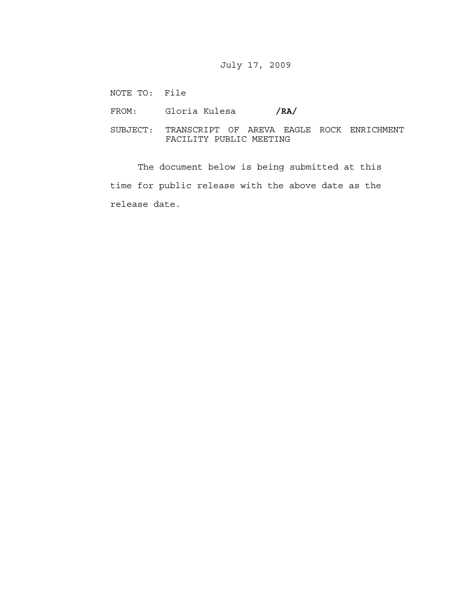## July 17, 2009

NOTE TO: File

FROM: Gloria Kulesa /RA/

SUBJECT: TRANSCRIPT OF AREVA EAGLE ROCK ENRICHMENT FACILITY PUBLIC MEETING

 The document below is being submitted at this time for public release with the above date as the release date.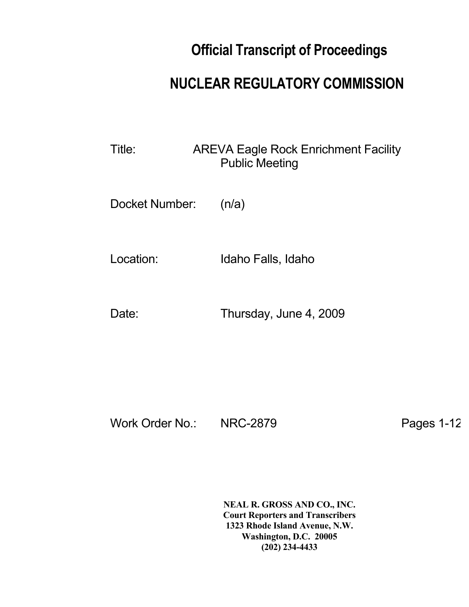## **Official Transcript of Proceedings**

## **NUCLEAR REGULATORY COMMISSION**

Title: AREVA Eagle Rock Enrichment Facility Public Meeting

Docket Number: (n/a)

Location: Idaho Falls, Idaho

Date: Thursday, June 4, 2009

Work Order No.: NRC-2879 Pages 1-12

 **NEAL R. GROSS AND CO., INC. Court Reporters and Transcribers 1323 Rhode Island Avenue, N.W. Washington, D.C. 20005 (202) 234-4433**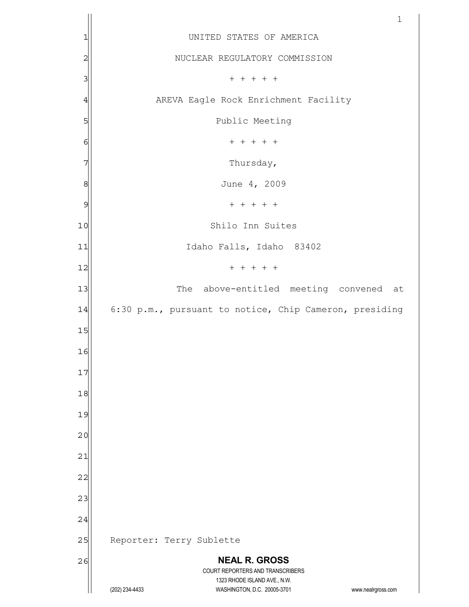|                | $\mathbf{1}$                                                                                                                            |
|----------------|-----------------------------------------------------------------------------------------------------------------------------------------|
| 1              | UNITED STATES OF AMERICA                                                                                                                |
| $\overline{c}$ | NUCLEAR REGULATORY COMMISSION                                                                                                           |
| 3              | $+ + + + + +$                                                                                                                           |
| 4              | AREVA Eagle Rock Enrichment Facility                                                                                                    |
| 5              | Public Meeting                                                                                                                          |
| 6              | $+ + + + + +$                                                                                                                           |
| 7              | Thursday,                                                                                                                               |
| 8              | June 4, 2009                                                                                                                            |
| 9              | $+ + + + + +$                                                                                                                           |
| 10             | Shilo Inn Suites                                                                                                                        |
| 11             | Idaho Falls, Idaho 83402                                                                                                                |
| 12             | $+ + + + + +$                                                                                                                           |
| 13             | The above-entitled meeting convened at                                                                                                  |
| 14             | 6:30 p.m., pursuant to notice, Chip Cameron, presiding                                                                                  |
| 15             |                                                                                                                                         |
| 16             |                                                                                                                                         |
| 17             |                                                                                                                                         |
| 18             |                                                                                                                                         |
| 19             |                                                                                                                                         |
| 20             |                                                                                                                                         |
| 21             |                                                                                                                                         |
| 22             |                                                                                                                                         |
| 23             |                                                                                                                                         |
| 24             |                                                                                                                                         |
| 25             | Reporter: Terry Sublette                                                                                                                |
| 26             | <b>NEAL R. GROSS</b>                                                                                                                    |
|                | COURT REPORTERS AND TRANSCRIBERS<br>1323 RHODE ISLAND AVE., N.W.<br>(202) 234-4433<br>WASHINGTON, D.C. 20005-3701<br>www.nealrgross.com |
|                |                                                                                                                                         |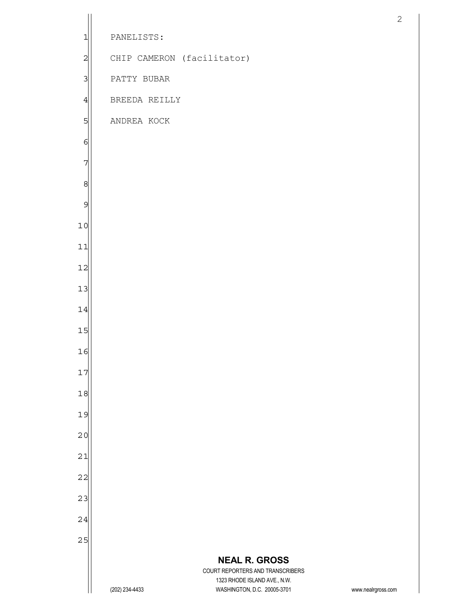|                |                |                                                             | $\mathbf{2}$       |
|----------------|----------------|-------------------------------------------------------------|--------------------|
| 1              | PANELISTS:     |                                                             |                    |
| $\overline{c}$ |                | CHIP CAMERON (facilitator)                                  |                    |
| 3              | PATTY BUBAR    |                                                             |                    |
| 4              | BREEDA REILLY  |                                                             |                    |
| 5              | ANDREA KOCK    |                                                             |                    |
| 6              |                |                                                             |                    |
| 7              |                |                                                             |                    |
| 8              |                |                                                             |                    |
| 9              |                |                                                             |                    |
| 10             |                |                                                             |                    |
| 11             |                |                                                             |                    |
| 12             |                |                                                             |                    |
| 13             |                |                                                             |                    |
| 14             |                |                                                             |                    |
| 15             |                |                                                             |                    |
| 16             |                |                                                             |                    |
| 17             |                |                                                             |                    |
| 18             |                |                                                             |                    |
| 19             |                |                                                             |                    |
| 20             |                |                                                             |                    |
| 21             |                |                                                             |                    |
| 22             |                |                                                             |                    |
| 23             |                |                                                             |                    |
| 24             |                |                                                             |                    |
| 25             |                |                                                             |                    |
|                |                | <b>NEAL R. GROSS</b><br>COURT REPORTERS AND TRANSCRIBERS    |                    |
|                | (202) 234-4433 | 1323 RHODE ISLAND AVE., N.W.<br>WASHINGTON, D.C. 20005-3701 | www.nealrgross.com |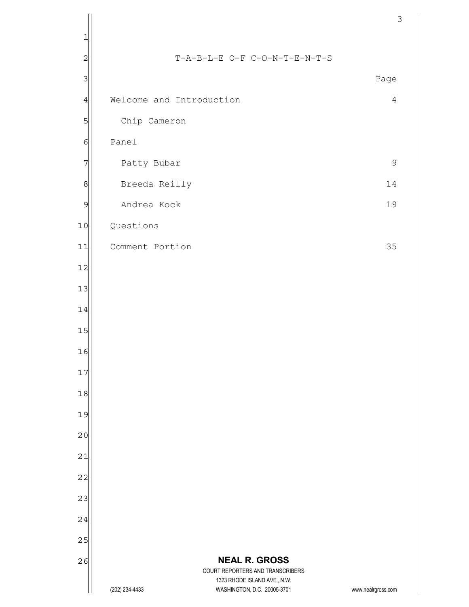|                |                          |                                                             | 3                  |
|----------------|--------------------------|-------------------------------------------------------------|--------------------|
| 1              |                          |                                                             |                    |
| $\overline{c}$ |                          | T-A-B-L-E O-F C-O-N-T-E-N-T-S                               |                    |
| 3              |                          |                                                             | Page               |
| 4              | Welcome and Introduction |                                                             | $\overline{4}$     |
| 5              | Chip Cameron             |                                                             |                    |
| 6              | Panel                    |                                                             |                    |
| 7              | Patty Bubar              |                                                             | $\mathsf 9$        |
| 8              | Breeda Reilly            |                                                             | 14                 |
| 9              | Andrea Kock              |                                                             | 19                 |
| 10             | Questions                |                                                             |                    |
| 11             | Comment Portion          |                                                             | 35                 |
| 12             |                          |                                                             |                    |
| 13             |                          |                                                             |                    |
| 14             |                          |                                                             |                    |
| 15             |                          |                                                             |                    |
| 16             |                          |                                                             |                    |
| 17             |                          |                                                             |                    |
| 18             |                          |                                                             |                    |
| 19             |                          |                                                             |                    |
| 20             |                          |                                                             |                    |
| 21             |                          |                                                             |                    |
| 22             |                          |                                                             |                    |
| 23             |                          |                                                             |                    |
| 24             |                          |                                                             |                    |
| 25             |                          |                                                             |                    |
| 26             |                          | <b>NEAL R. GROSS</b><br>COURT REPORTERS AND TRANSCRIBERS    |                    |
|                | (202) 234-4433           | 1323 RHODE ISLAND AVE., N.W.<br>WASHINGTON, D.C. 20005-3701 | www.nealrgross.com |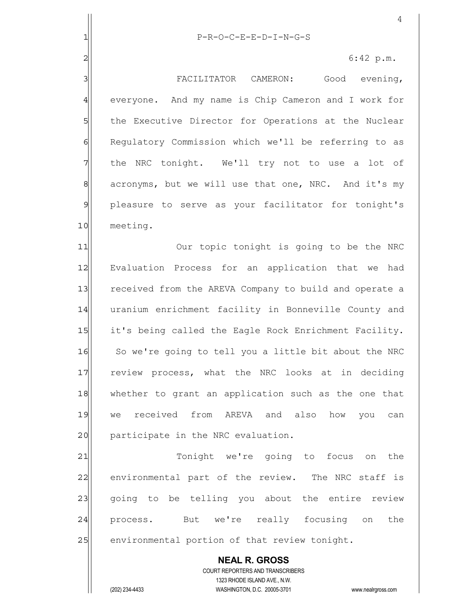|                | 4                                                        |
|----------------|----------------------------------------------------------|
| 1              | P-R-O-C-E-E-D-I-N-G-S                                    |
| $\overline{2}$ | 6:42 p.m.                                                |
| 3              | FACILITATOR CAMERON: Good evening,                       |
| $\overline{4}$ | everyone. And my name is Chip Cameron and I work for     |
| 5              | the Executive Director for Operations at the Nuclear     |
| 6              | Regulatory Commission which we'll be referring to as     |
| 7              | the NRC tonight. We'll try not to use a lot of           |
| $\,8\,$        | acronyms, but we will use that one, NRC. And it's my     |
| $\mathfrak{S}$ | pleasure to serve as your facilitator for tonight's      |
| 10             | meeting.                                                 |
| 11             | Our topic tonight is going to be the NRC                 |
| 12             | Evaluation Process for an application that we<br>had     |
| 13             | received from the AREVA Company to build and operate a   |
| 14             | uranium enrichment facility in Bonneville County and     |
| 15             | it's being called the Eagle Rock Enrichment Facility.    |
| 16             | So we're going to tell you a little bit about the NRC    |
| 17             | review process, what the NRC looks at in deciding        |
| 18             | whether to grant an application such as the one that     |
| 19             | we received from AREVA and also how you<br>can           |
| 20             | participate in the NRC evaluation.                       |
| 21             | Tonight we're going to focus on<br>the                   |
| 22             | environmental part of the review. The NRC staff is       |
| 23             | going to be telling you about the entire review          |
| 24             | process. But we're really focusing on<br>the             |
| 25             | environmental portion of that review tonight.            |
|                | <b>NEAL R. GROSS</b><br>COURT REPORTERS AND TRANSCRIBERS |

1323 RHODE ISLAND AVE., N.W.

 $\prod$ 

(202) 234-4433 WASHINGTON, D.C. 20005-3701 www.nealrgross.com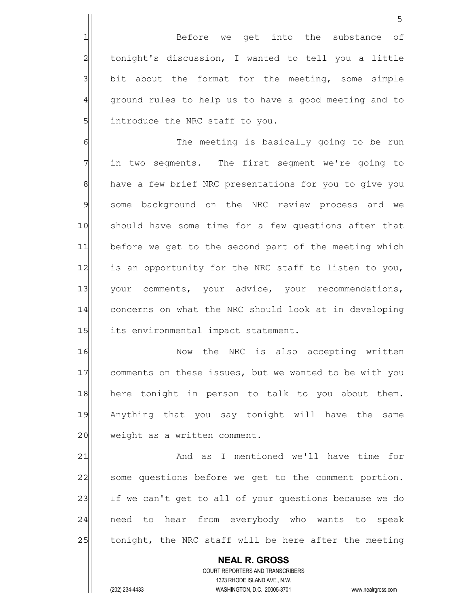1 Before we get into the substance of 2 tonight's discussion, I wanted to tell you a little  $3$  bit about the format for the meeting, some simple 4 ground rules to help us to have a good meeting and to 5 introduce the NRC staff to you.

6 6 The meeting is basically going to be run 7 in two segments. The first segment we're going to 8 have a few brief NRC presentations for you to give you 9| some background on the NRC review process and we 10 should have some time for a few questions after that 11 before we get to the second part of the meeting which 12 is an opportunity for the NRC staff to listen to you, 13 your comments, your advice, your recommendations, 14 concerns on what the NRC should look at in developing 15 its environmental impact statement.

16 and 16 Now the NRC is also accepting written 17 comments on these issues, but we wanted to be with you 18 here tonight in person to talk to you about them. 19| Anything that you say tonight will have the same 20 weight as a written comment.

21 and as I mentioned we'll have time for 22 | some questions before we get to the comment portion. 23 If we can't get to all of your questions because we do 24 | need to hear from everybody who wants to speak 25 tonight, the NRC staff will be here after the meeting

 **NEAL R. GROSS** COURT REPORTERS AND TRANSCRIBERS 1323 RHODE ISLAND AVE., N.W. (202) 234-4433 WASHINGTON, D.C. 20005-3701 www.nealrgross.com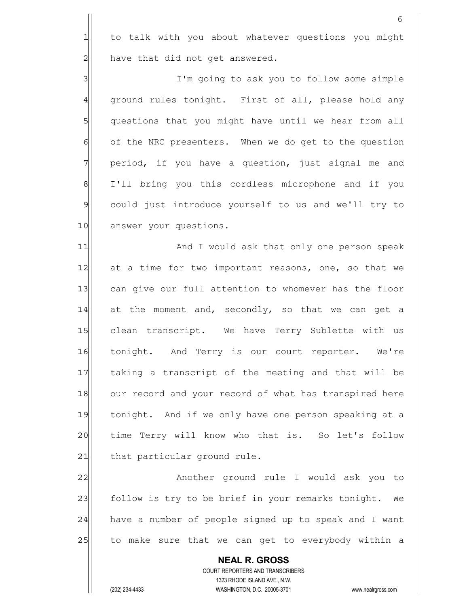1 to talk with you about whatever questions you might  $2$  have that did not get answered.

3|| I'm going to ask you to follow some simple 4 ground rules tonight. First of all, please hold any 5 | questions that you might have until we hear from all 6 of the NRC presenters. When we do get to the question 7 || period, if you have a question, just signal me and 8 | I'll bring you this cordless microphone and if you 9 could just introduce yourself to us and we'll try to 10 answer your questions.

11| And I would ask that only one person speak 12 at a time for two important reasons, one, so that we 13 can give our full attention to whomever has the floor  $14$  at the moment and, secondly, so that we can get a 15 clean transcript. We have Terry Sublette with us 16 tonight. And Terry is our court reporter. We're 17 taking a transcript of the meeting and that will be 18 our record and your record of what has transpired here 19 tonight. And if we only have one person speaking at a 20 time Terry will know who that is. So let's follow 21 that particular ground rule.

22 Another ground rule I would ask you to 23 follow is try to be brief in your remarks tonight. We 24 have a number of people signed up to speak and I want 25 to make sure that we can get to everybody within a

 **NEAL R. GROSS** COURT REPORTERS AND TRANSCRIBERS 1323 RHODE ISLAND AVE., N.W. (202) 234-4433 WASHINGTON, D.C. 20005-3701 www.nealrgross.com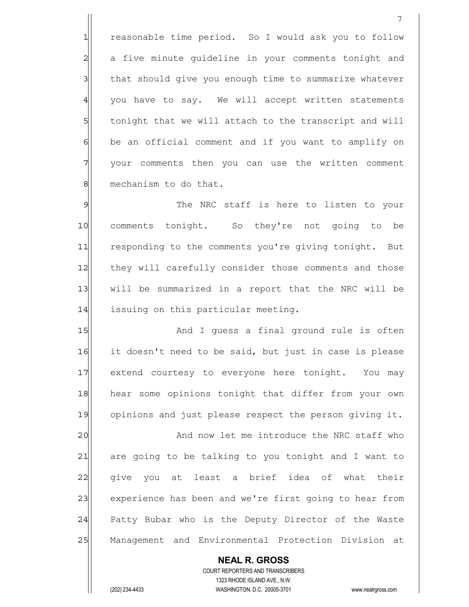1 reasonable time period. So I would ask you to follow 2 a five minute guideline in your comments tonight and 3 | that should give you enough time to summarize whatever 4 you have to say. We will accept written statements 5 5 5 5 tonight that we will attach to the transcript and will  $6$  be an official comment and if you want to amplify on 7 your comments then you can use the written comment 8 mechanism to do that.

9 9 The NRC staff is here to listen to your 10 comments tonight. So they're not going to be 11 responding to the comments you're giving tonight. But 12 they will carefully consider those comments and those 13 | will be summarized in a report that the NRC will be 14 issuing on this particular meeting.

15 and I guess a final ground rule is often 16 it doesn't need to be said, but just in case is please 17 extend courtesy to everyone here tonight. You may 18 hear some opinions tonight that differ from your own 19 opinions and just please respect the person giving it.

20 And now let me introduce the NRC staff who 21 are going to be talking to you tonight and I want to 22 give you at least a brief idea of what their 23 experience has been and we're first going to hear from 24 Patty Bubar who is the Deputy Director of the Waste 25 | Management and Environmental Protection Division at

 **NEAL R. GROSS** COURT REPORTERS AND TRANSCRIBERS 1323 RHODE ISLAND AVE., N.W. (202) 234-4433 WASHINGTON, D.C. 20005-3701 www.nealrgross.com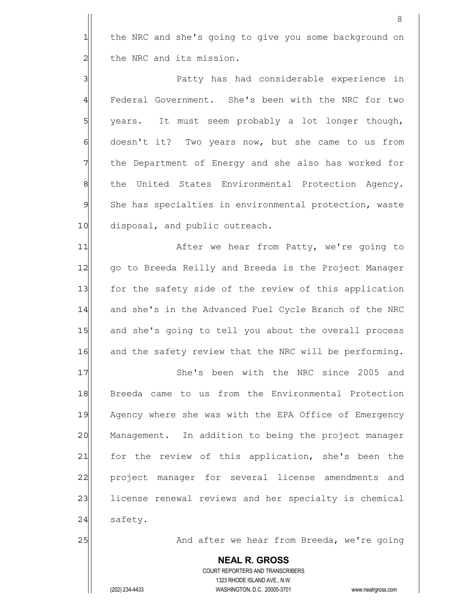1 the NRC and she's going to give you some background on 2 che NRC and its mission.

3 Patty has had considerable experience in 4 Federal Government. She's been with the NRC for two 5 | years. It must seem probably a lot longer though, 6 doesn't it? Two years now, but she came to us from 7 The Department of Energy and she also has worked for 8 8 the United States Environmental Protection Agency. 9 She has specialties in environmental protection, waste 10 disposal, and public outreach.

11 After we hear from Patty, we're going to 12 | go to Breeda Reilly and Breeda is the Project Manager 13 for the safety side of the review of this application 14 and she's in the Advanced Fuel Cycle Branch of the NRC 15 and she's going to tell you about the overall process 16 and the safety review that the NRC will be performing.

17 She's been with the NRC since 2005 and 18 Breeda came to us from the Environmental Protection 19| Agency where she was with the EPA Office of Emergency 20 Management. In addition to being the project manager 21 for the review of this application, she's been the 22 project manager for several license amendments and 23 license renewal reviews and her specialty is chemical 24 safety.

25 and after we hear from Breeda, we're going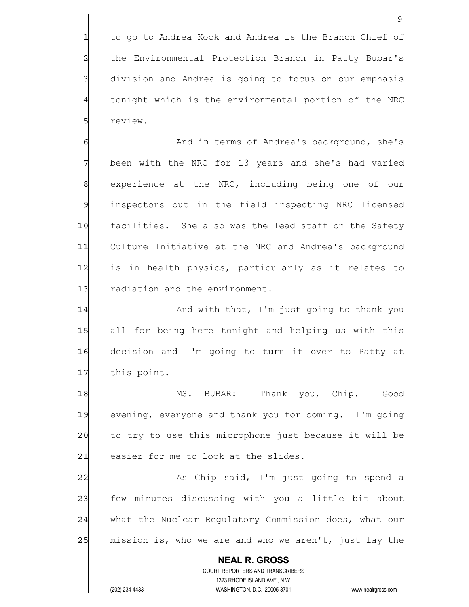1 to go to Andrea Kock and Andrea is the Branch Chief of 2 | the Environmental Protection Branch in Patty Bubar's 3 division and Andrea is going to focus on our emphasis 4 tonight which is the environmental portion of the NRC 5 **5** review.

6 6 And in terms of Andrea's background, she's 7 been with the NRC for 13 years and she's had varied 8 8 experience at the NRC, including being one of our 9 inspectors out in the field inspecting NRC licensed 10 facilities. She also was the lead staff on the Safety 11 Culture Initiative at the NRC and Andrea's background 12 is in health physics, particularly as it relates to 13 radiation and the environment.

14 And with that, I'm just going to thank you 15 all for being here tonight and helping us with this 16 decision and I'm going to turn it over to Patty at 17 this point.

18 MS. BUBAR: Thank you, Chip. Good 19 evening, everyone and thank you for coming. I'm going 20 to try to use this microphone just because it will be 21 easier for me to look at the slides.

22 As Chip said, I'm just going to spend a 23 few minutes discussing with you a little bit about 24 what the Nuclear Regulatory Commission does, what our 25 mission is, who we are and who we aren't, just lay the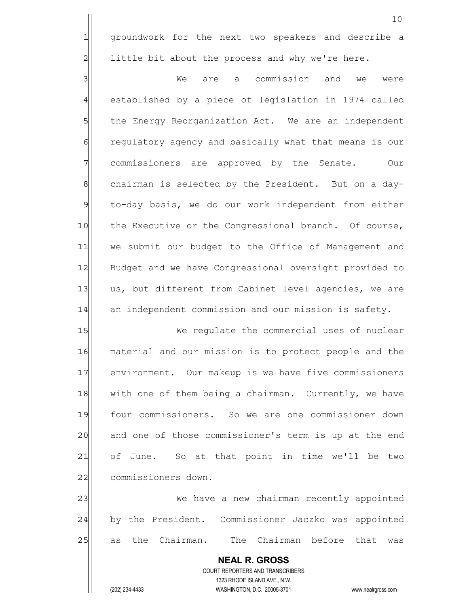1 groundwork for the next two speakers and describe a  $2$  little bit about the process and why we're here.

3 3 We are a commission and we were 4 established by a piece of legislation in 1974 called 5 5 5 bless Energy Reorganization Act. We are an independent 6 6 6 6 regulatory agency and basically what that means is our 7 T commissioners are approved by the Senate. Our 8 8 8 chairman is selected by the President. But on a day-9 to-day basis, we do our work independent from either 10 the Executive or the Congressional branch. Of course, 11 we submit our budget to the Office of Management and 12 Budget and we have Congressional oversight provided to 13 us, but different from Cabinet level agencies, we are 14 an independent commission and our mission is safety.

15 We requlate the commercial uses of nuclear 16 material and our mission is to protect people and the 17 environment. Our makeup is we have five commissioners 18 with one of them being a chairman. Currently, we have 19 four commissioners. So we are one commissioner down 20 and one of those commissioner's term is up at the end 21 of June. So at that point in time we'll be two 22 commissioners down.

23 | We have a new chairman recently appointed 24 by the President. Commissioner Jaczko was appointed 25 as the Chairman. The Chairman before that was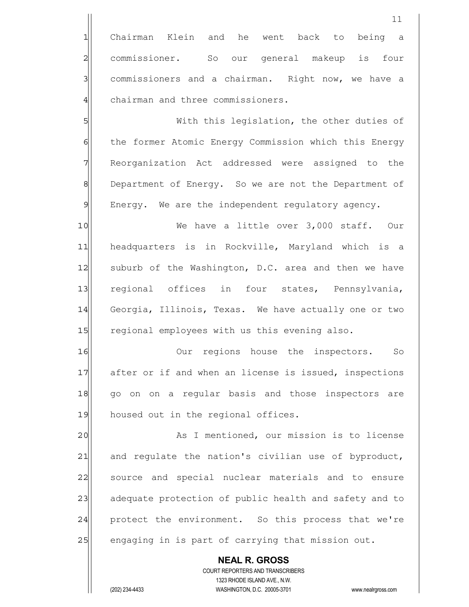1 Chairman Klein and he went back to being a 2 commissioner. So our general makeup is four 3 3 commissioners and a chairman. Right now, we have a 4 chairman and three commissioners.

5 S 6 6 the former Atomic Energy Commission which this Energy 7 Reorganization Act addressed were assigned to the 8 Department of Energy. So we are not the Department of 9 Energy. We are the independent regulatory agency.

10 We have a little over 3,000 staff. Our 11 headquarters is in Rockville, Maryland which is a 12 suburb of the Washington, D.C. area and then we have 13 regional offices in four states, Pennsylvania, 14 Georgia, Illinois, Texas. We have actually one or two 15 regional employees with us this evening also.

16 || Our regions house the inspectors. So 17 after or if and when an license is issued, inspections 18 go on on a regular basis and those inspectors are 19 housed out in the regional offices.

20 As I mentioned, our mission is to license  $21$  and regulate the nation's civilian use of byproduct, 22 source and special nuclear materials and to ensure 23 adequate protection of public health and safety and to 24 protect the environment. So this process that we're 25 engaging in is part of carrying that mission out.

 **NEAL R. GROSS** COURT REPORTERS AND TRANSCRIBERS 1323 RHODE ISLAND AVE., N.W. (202) 234-4433 WASHINGTON, D.C. 20005-3701 www.nealrgross.com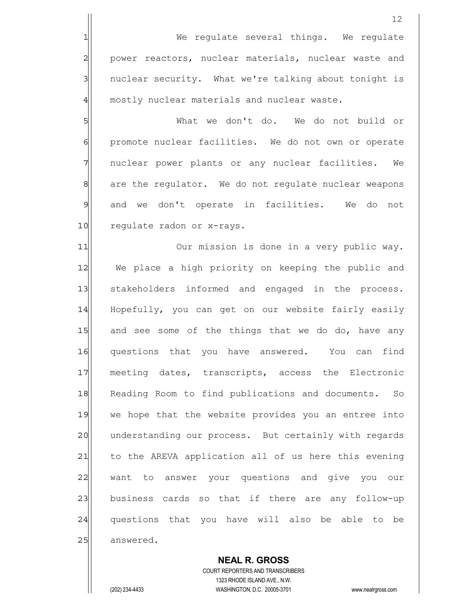12 1 We regulate several things. We regulate 2 power reactors, nuclear materials, nuclear waste and 3 3 | nuclear security. What we're talking about tonight is 4 mostly nuclear materials and nuclear waste. 5 Solution of the donest do. We do not build or 6 promote nuclear facilities. We do not own or operate 7 7 nuclear power plants or any nuclear facilities. We 8 8 are the regulator. We do not regulate nuclear weapons 9 and we don't operate in facilities. We do not 10 regulate radon or x-rays. 11| Our mission is done in a very public way. 12 We place a high priority on keeping the public and 13 stakeholders informed and engaged in the process. 14 Hopefully, you can get on our website fairly easily 15 and see some of the things that we do do, have any 16 questions that you have answered. You can find 17 meeting dates, transcripts, access the Electronic 18 Reading Room to find publications and documents. So 19 we hope that the website provides you an entree into 20 understanding our process. But certainly with regards 21 to the AREVA application all of us here this evening 22 want to answer your questions and give you our 23 business cards so that if there are any follow-up 24 questions that you have will also be able to be 25 answered.

 COURT REPORTERS AND TRANSCRIBERS 1323 RHODE ISLAND AVE., N.W. (202) 234-4433 WASHINGTON, D.C. 20005-3701 www.nealrgross.com

 **NEAL R. GROSS**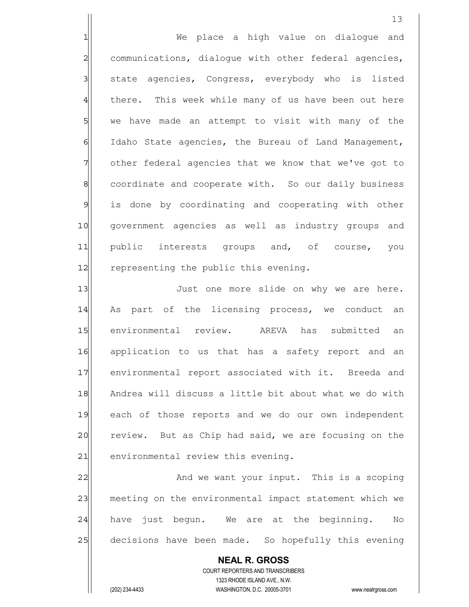1 We place a high value on dialogue and 2 communications, dialogue with other federal agencies, 3 state agencies, Congress, everybody who is listed 4 there. This week while many of us have been out here 5 we have made an attempt to visit with many of the 6 | Idaho State agencies, the Bureau of Land Management, 7 other federal agencies that we know that we've got to 8 8 8 coordinate and cooperate with. So our daily business 9 is done by coordinating and cooperating with other 10 government agencies as well as industry groups and 11 public interests groups and, of course, you 12 representing the public this evening.

13 Just one more slide on why we are here. 14 As part of the licensing process, we conduct an 15 environmental review. AREVA has submitted an 16 application to us that has a safety report and an 17 environmental report associated with it. Breeda and 18 Andrea will discuss a little bit about what we do with 19 each of those reports and we do our own independent 20 review. But as Chip had said, we are focusing on the 21 environmental review this evening.

22 and we want your input. This is a scoping 23 meeting on the environmental impact statement which we 24 have just begun. We are at the beginning. No 25 decisions have been made. So hopefully this evening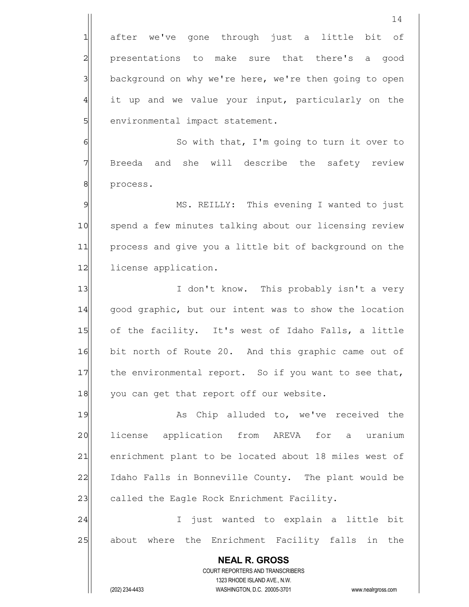**NEAL R. GROSS** COURT REPORTERS AND TRANSCRIBERS 1323 RHODE ISLAND AVE., N.W. (202) 234-4433 WASHINGTON, D.C. 20005-3701 www.nealrgross.com 1 after we've gone through just a little bit of 2 presentations to make sure that there's a good 3 background on why we're here, we're then going to open  $4$  it up and we value your input, particularly on the 5 | environmental impact statement. 6 6 So with that, I'm going to turn it over to 7 Breeda and she will describe the safety review 8 | process. 9 MS. REILLY: This evening I wanted to just 10 spend a few minutes talking about our licensing review 11 process and give you a little bit of background on the 12 license application. 13 I don't know. This probably isn't a very 14 good graphic, but our intent was to show the location 15 of the facility. It's west of Idaho Falls, a little 16 bit north of Route 20. And this graphic came out of  $17$  the environmental report. So if you want to see that, 18 you can get that report off our website. 19 As Chip alluded to, we've received the 20 license application from AREVA for a uranium 21 enrichment plant to be located about 18 miles west of 22 Idaho Falls in Bonneville County. The plant would be 23 called the Eagle Rock Enrichment Facility. 24 | I just wanted to explain a little bit 25 about where the Enrichment Facility falls in the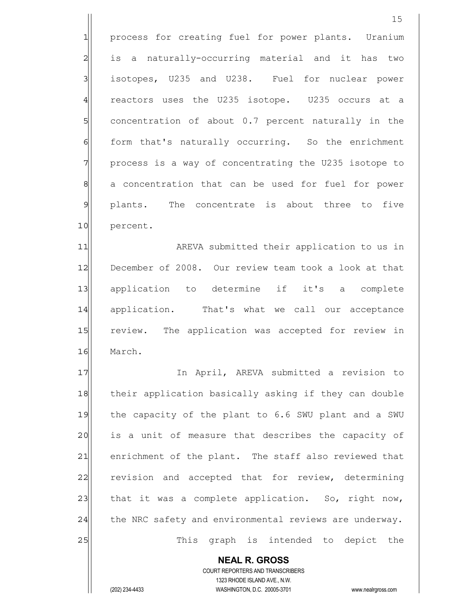1 process for creating fuel for power plants. Uranium 2| is a naturally-occurring material and it has two 3 isotopes, U235 and U238. Fuel for nuclear power 4 reactors uses the U235 isotope. U235 occurs at a 5 Solut concentration of about 0.7 percent naturally in the 6 form that's naturally occurring. So the enrichment 7 Process is a way of concentrating the U235 isotope to 8 a concentration that can be used for fuel for power 9 plants. The concentrate is about three to five 10 percent.

11 AREVA submitted their application to us in 12 December of 2008. Our review team took a look at that 13 application to determine if it's a complete 14 application. That's what we call our acceptance 15 review. The application was accepted for review in 16 March.

17 In April, AREVA submitted a revision to 18 their application basically asking if they can double 19 the capacity of the plant to 6.6 SWU plant and a SWU 20 is a unit of measure that describes the capacity of 21 enrichment of the plant. The staff also reviewed that 22 revision and accepted that for review, determining 23 that it was a complete application. So, right now, 24 the NRC safety and environmental reviews are underway. 25 This graph is intended to depict the

 **NEAL R. GROSS** COURT REPORTERS AND TRANSCRIBERS 1323 RHODE ISLAND AVE., N.W. (202) 234-4433 WASHINGTON, D.C. 20005-3701 www.nealrgross.com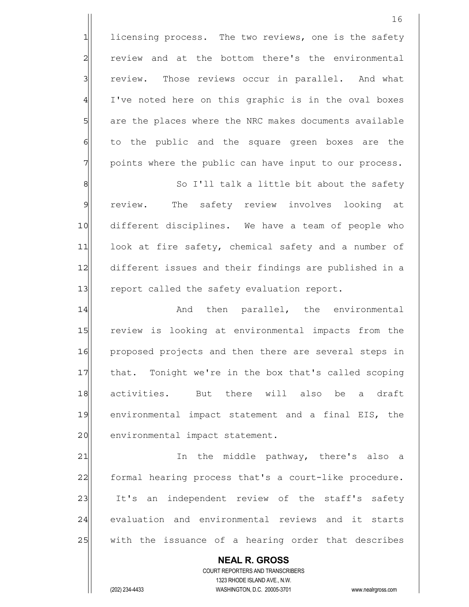**NEAL R. GROSS** COURT REPORTERS AND TRANSCRIBERS 1323 RHODE ISLAND AVE., N.W. 1 licensing process. The two reviews, one is the safety 2 review and at the bottom there's the environmental 3 3 review. Those reviews occur in parallel. And what 4 I've noted here on this graphic is in the oval boxes 5 5 5 5 are the places where the NRC makes documents available 6 6 6 fo the public and the square green boxes are the 7 points where the public can have input to our process. 8 8 So I'll talk a little bit about the safety 9 review. The safety review involves looking at 10 different disciplines. We have a team of people who 11 look at fire safety, chemical safety and a number of 12 different issues and their findings are published in a 13 report called the safety evaluation report. 14 and then parallel, the environmental 15 review is looking at environmental impacts from the 16 proposed projects and then there are several steps in 17 that. Tonight we're in the box that's called scoping 18 activities. But there will also be a draft 19 environmental impact statement and a final EIS, the 20 environmental impact statement. 21 | In the middle pathway, there's also a 22 formal hearing process that's a court-like procedure. 23 It's an independent review of the staff's safety 24 evaluation and environmental reviews and it starts 25 | with the issuance of a hearing order that describes

(202) 234-4433 WASHINGTON, D.C. 20005-3701 www.nealrgross.com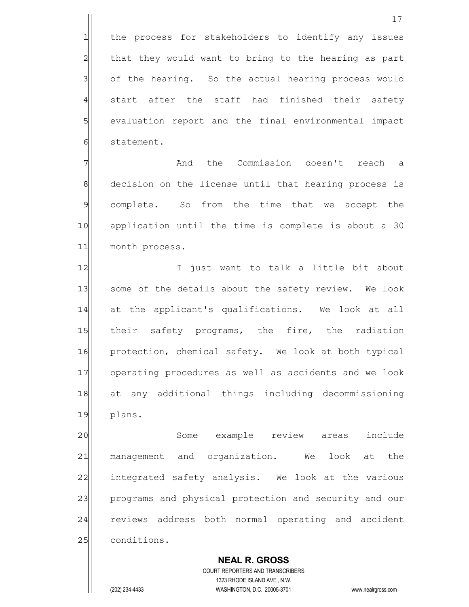17

4 start after the staff had finished their safety 5 | evaluation report and the final environmental impact 6 statement.

7 and the Commission doesn't reach a 8 8 decision on the license until that hearing process is 9 complete. So from the time that we accept the 10 application until the time is complete is about a 30 11 month process.

12 I just want to talk a little bit about 13 | some of the details about the safety review. We look 14 at the applicant's qualifications. We look at all 15 their safety programs, the fire, the radiation 16 protection, chemical safety. We look at both typical 17 operating procedures as well as accidents and we look 18 at any additional things including decommissioning 19 plans.

20 Some example review areas include 21 management and organization. We look at the 22 integrated safety analysis. We look at the various 23 programs and physical protection and security and our 24 reviews address both normal operating and accident 25 conditions.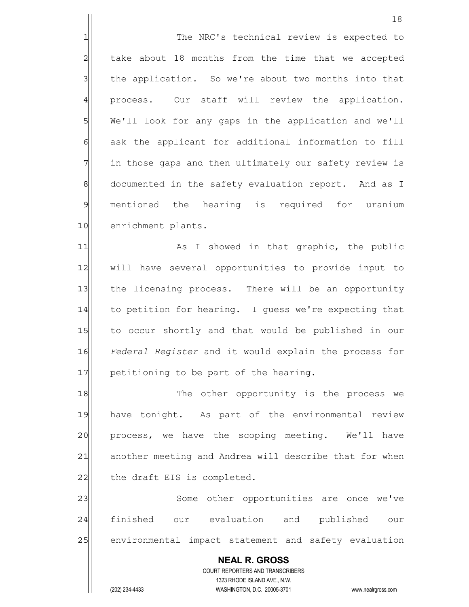1 The NRC's technical review is expected to  $2$  take about 18 months from the time that we accepted 3 1 the application. So we're about two months into that 4 process. Our staff will review the application. 5 We'll look for any gaps in the application and we'll 6 6 ask the applicant for additional information to fill 7 1 in those gaps and then ultimately our safety review is 8 documented in the safety evaluation report. And as I 9 mentioned the hearing is required for uranium 10 enrichment plants.

11 as I showed in that graphic, the public 12 | will have several opportunities to provide input to 13 the licensing process. There will be an opportunity 14 to petition for hearing. I quess we're expecting that 15 to occur shortly and that would be published in our 16 *Federal Register* and it would explain the process for  $17$  petitioning to be part of the hearing.

18 The other opportunity is the process we 19 have tonight. As part of the environmental review 20 process, we have the scoping meeting. We'll have 21 another meeting and Andrea will describe that for when  $22$  the draft EIS is completed.

23 | Some other opportunities are once we've 24 finished our evaluation and published our 25 environmental impact statement and safety evaluation

 **NEAL R. GROSS** COURT REPORTERS AND TRANSCRIBERS 1323 RHODE ISLAND AVE., N.W. (202) 234-4433 WASHINGTON, D.C. 20005-3701 www.nealrgross.com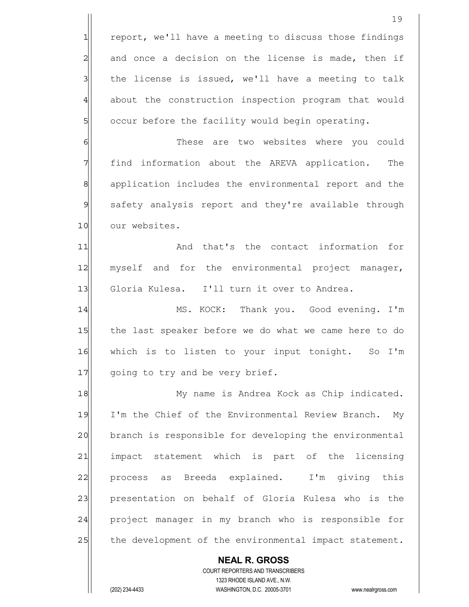|                | 19                                                                                                  |
|----------------|-----------------------------------------------------------------------------------------------------|
| $\mathbf{1}$   | report, we'll have a meeting to discuss those findings                                              |
| $\overline{c}$ | and once a decision on the license is made, then if                                                 |
| $\mathbf{3}$   | the license is issued, we'll have a meeting to talk                                                 |
| $\overline{4}$ | about the construction inspection program that would                                                |
| 5              | occur before the facility would begin operating.                                                    |
| 6              | These are two websites where you could                                                              |
| 7              | find information about the AREVA application.<br>The                                                |
| $\mathbf{8}$   | application includes the environmental report and the                                               |
| 9              | safety analysis report and they're available through                                                |
| 10             | our websites.                                                                                       |
| 11             | And that's the contact information<br>for                                                           |
| 12             | myself and for the environmental project manager,                                                   |
| 13             | Gloria Kulesa. I'll turn it over to Andrea.                                                         |
| 14             | MS. KOCK: Thank you. Good evening. I'm                                                              |
| 15             | the last speaker before we do what we came here to do                                               |
| 16             | which is to listen to your input tonight. So I'm                                                    |
| 17             | going to try and be very brief.                                                                     |
| 18             | My name is Andrea Kock as Chip indicated.                                                           |
| 19             | I'm the Chief of the Environmental Review Branch. My                                                |
| 20             | branch is responsible for developing the environmental                                              |
| 21             | impact statement which is part of the licensing                                                     |
| 22             | process as Breeda explained. I'm giving this                                                        |
| 23             | presentation on behalf of Gloria Kulesa who is the                                                  |
| 24             | project manager in my branch who is responsible for                                                 |
| 25             | the development of the environmental impact statement.                                              |
|                | <b>NEAL R. GROSS</b>                                                                                |
|                | COURT REPORTERS AND TRANSCRIBERS                                                                    |
|                | 1323 RHODE ISLAND AVE., N.W.<br>(202) 234-4433<br>WASHINGTON, D.C. 20005-3701<br>www.nealrgross.com |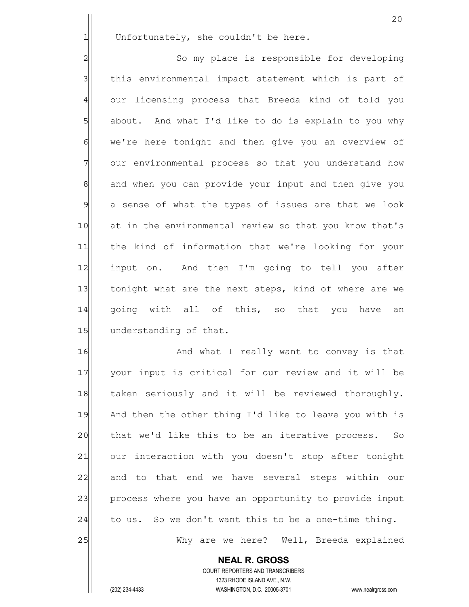$1$  Unfortunately, she couldn't be here.

2 So my place is responsible for developing 3 3 1 shis environmental impact statement which is part of 4 our licensing process that Breeda kind of told you 5 about. And what I'd like to do is explain to you why 6 we're here tonight and then give you an overview of 7 our environmental process so that you understand how 8 and when you can provide your input and then give you 9 a sense of what the types of issues are that we look 10 at in the environmental review so that you know that's 11 the kind of information that we're looking for your 12 input on. And then I'm going to tell you after 13 tonight what are the next steps, kind of where are we 14 qoing with all of this, so that you have an 15 understanding of that.

16 and what I really want to convey is that 17 Your input is critical for our review and it will be 18 taken seriously and it will be reviewed thoroughly. 19 And then the other thing I'd like to leave you with is 20 that we'd like this to be an iterative process. So 21 our interaction with you doesn't stop after tonight 22 and to that end we have several steps within our 23 process where you have an opportunity to provide input  $24$  to us. So we don't want this to be a one-time thing. 25 Why are we here? Well, Breeda explained

> **NEAL R. GROSS** COURT REPORTERS AND TRANSCRIBERS 1323 RHODE ISLAND AVE., N.W.

(202) 234-4433 WASHINGTON, D.C. 20005-3701 www.nealrgross.com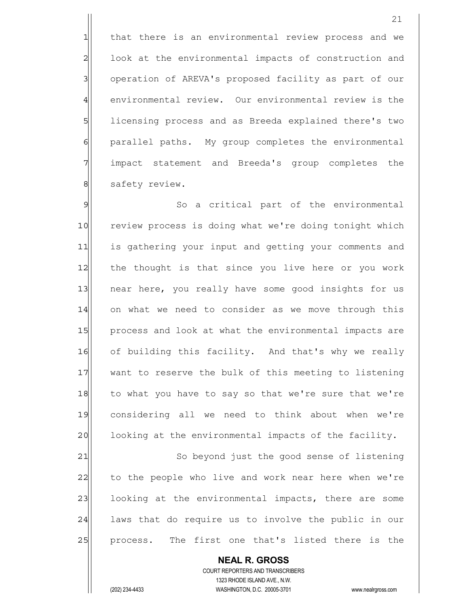1 that there is an environmental review process and we 2 look at the environmental impacts of construction and 3 3 operation of AREVA's proposed facility as part of our 4 environmental review. Our environmental review is the 5 | licensing process and as Breeda explained there's two 6 6 parallel paths. My group completes the environmental 7 impact statement and Breeda's group completes the 8 safety review.

9 So a critical part of the environmental 10 review process is doing what we're doing tonight which 11 is gathering your input and getting your comments and 12 the thought is that since you live here or you work 13 near here, you really have some good insights for us 14 on what we need to consider as we move through this 15 process and look at what the environmental impacts are 16 of building this facility. And that's why we really 17 want to reserve the bulk of this meeting to listening 18 to what you have to say so that we're sure that we're 19 considering all we need to think about when we're 20 cooking at the environmental impacts of the facility. 21 So beyond just the good sense of listening

22 to the people who live and work near here when we're 23 | looking at the environmental impacts, there are some 24 | laws that do require us to involve the public in our 25 process. The first one that's listed there is the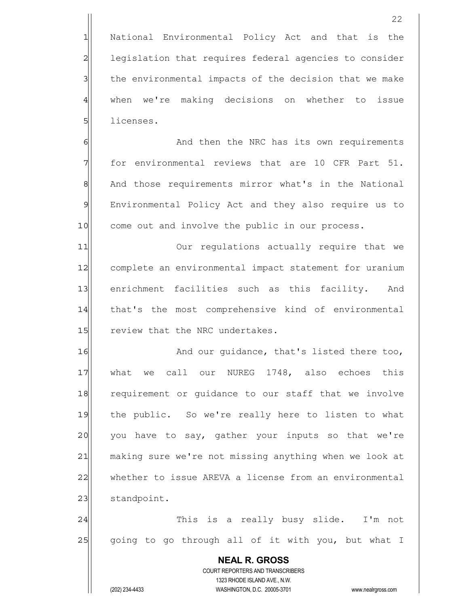1 National Environmental Policy Act and that is the 2 legislation that requires federal agencies to consider 3 1 the environmental impacts of the decision that we make 4 when we're making decisions on whether to issue 5 licenses.

6 6 And then the NRC has its own requirements  $7$  for environmental reviews that are 10 CFR Part 51. 8 | And those requirements mirror what's in the National 9 Environmental Policy Act and they also require us to 10 come out and involve the public in our process.

11| Our regulations actually require that we 12 complete an environmental impact statement for uranium 13 enrichment facilities such as this facility. And 14 that's the most comprehensive kind of environmental 15 review that the NRC undertakes.

16 And our quidance, that's listed there too, 17 What we call our NUREG 1748, also echoes this 18 requirement or quidance to our staff that we involve 19 the public. So we're really here to listen to what 20 you have to say, gather your inputs so that we're 21 making sure we're not missing anything when we look at 22 whether to issue AREVA a license from an environmental 23 standpoint.

24 This is a really busy slide. I'm not 25 going to go through all of it with you, but what I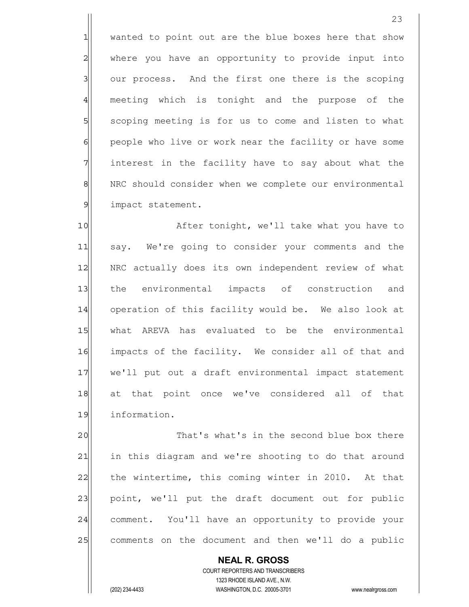1 wanted to point out are the blue boxes here that show 2 where you have an opportunity to provide input into 3 our process. And the first one there is the scoping 4 meeting which is tonight and the purpose of the 5 SI scoping meeting is for us to come and listen to what 6 6 people who live or work near the facility or have some 7 The interest in the facility have to say about what the 8 NRC should consider when we complete our environmental 9 impact statement.

10 After tonight, we'll take what you have to 11 say. We're going to consider your comments and the 12 | NRC actually does its own independent review of what 13 the environmental impacts of construction and 14 operation of this facility would be. We also look at 15 What AREVA has evaluated to be the environmental 16 impacts of the facility. We consider all of that and 17 we'll put out a draft environmental impact statement 18 at that point once we've considered all of that 19 information.

20 20 That's what's in the second blue box there 21 in this diagram and we're shooting to do that around 22 the wintertime, this coming winter in 2010. At that 23 point, we'll put the draft document out for public 24 comment. You'll have an opportunity to provide your 25 comments on the document and then we'll do a public

 **NEAL R. GROSS** COURT REPORTERS AND TRANSCRIBERS 1323 RHODE ISLAND AVE., N.W. (202) 234-4433 WASHINGTON, D.C. 20005-3701 www.nealrgross.com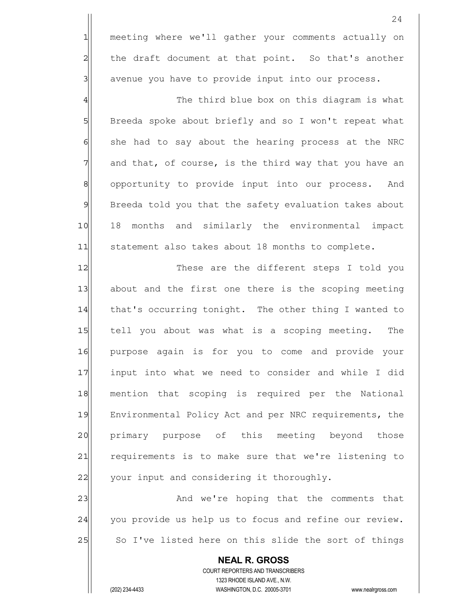1 meeting where we'll gather your comments actually on  $2$  the draft document at that point. So that's another  $3$  avenue you have to provide input into our process.

4  $\parallel$ 5 Breeda spoke about briefly and so I won't repeat what  $6$  she had to say about the hearing process at the NRC  $7$  and that, of course, is the third way that you have an 8 8| opportunity to provide input into our process. And 9 Breeda told you that the safety evaluation takes about 10 18 months and similarly the environmental impact 11 statement also takes about 18 months to complete.

12 These are the different steps I told you 13| about and the first one there is the scoping meeting 14 that's occurring tonight. The other thing I wanted to 15 15 tell you about was what is a scoping meeting. The 16 purpose again is for you to come and provide your 17 input into what we need to consider and while I did 18 mention that scoping is required per the National 19 Environmental Policy Act and per NRC requirements, the 20 primary purpose of this meeting beyond those 21 requirements is to make sure that we're listening to 22 your input and considering it thoroughly.

23 and we're hoping that the comments that 24 you provide us help us to focus and refine our review. 25 So I've listed here on this slide the sort of things

 **NEAL R. GROSS** COURT REPORTERS AND TRANSCRIBERS 1323 RHODE ISLAND AVE., N.W. (202) 234-4433 WASHINGTON, D.C. 20005-3701 www.nealrgross.com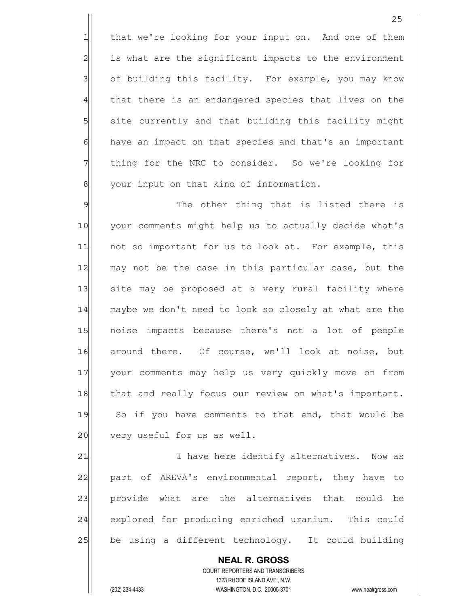1 that we're looking for your input on. And one of them  $2$  is what are the significant impacts to the environment 3 3 of building this facility. For example, you may know 4 that there is an endangered species that lives on the 5 | site currently and that building this facility might 6 6 have an impact on that species and that's an important 7 The interpoonup the NRC to consider. So we're looking for 8 | vour input on that kind of information.

9 9 The other thing that is listed there is 10 your comments might help us to actually decide what's 11 | not so important for us to look at. For example, this 12 may not be the case in this particular case, but the 13 site may be proposed at a very rural facility where 14 maybe we don't need to look so closely at what are the 15 noise impacts because there's not a lot of people 16 around there. Of course, we'll look at noise, but 17 your comments may help us very quickly move on from 18 that and really focus our review on what's important. 19 So if you have comments to that end, that would be 20 very useful for us as well.

21 I have here identify alternatives. Now as 22 part of AREVA's environmental report, they have to 23 provide what are the alternatives that could be 24 explored for producing enriched uranium. This could 25 be using a different technology. It could building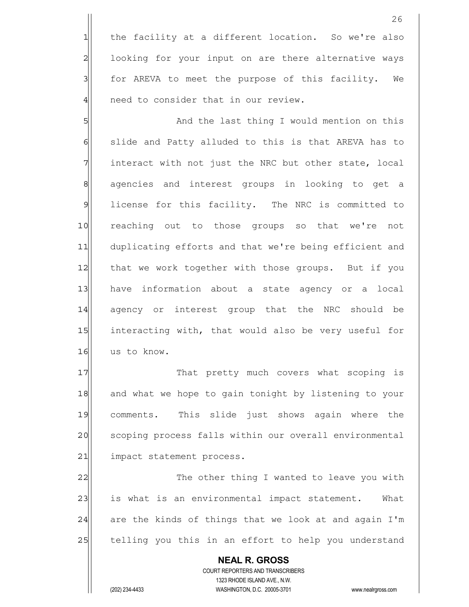1 the facility at a different location. So we're also 2 looking for your input on are there alternative ways 3 | for AREVA to meet the purpose of this facility. We 4 | need to consider that in our review.

5|| Solution on this and the last thing I would mention on this 6 6 slide and Patty alluded to this is that AREVA has to  $7$  interact with not just the NRC but other state, local 8 agencies and interest groups in looking to get a 9 license for this facility. The NRC is committed to 10 reaching out to those groups so that we're not 11 duplicating efforts and that we're being efficient and 12 that we work together with those groups. But if you 13 have information about a state agency or a local 14 agency or interest group that the NRC should be 15 interacting with, that would also be very useful for 16 us to know.

17 That pretty much covers what scoping is 18 and what we hope to gain tonight by listening to your 19 comments. This slide just shows again where the 20 scoping process falls within our overall environmental 21 impact statement process.

22 The other thing I wanted to leave you with 23 is what is an environmental impact statement. What  $24$  are the kinds of things that we look at and again I'm 25 telling you this in an effort to help you understand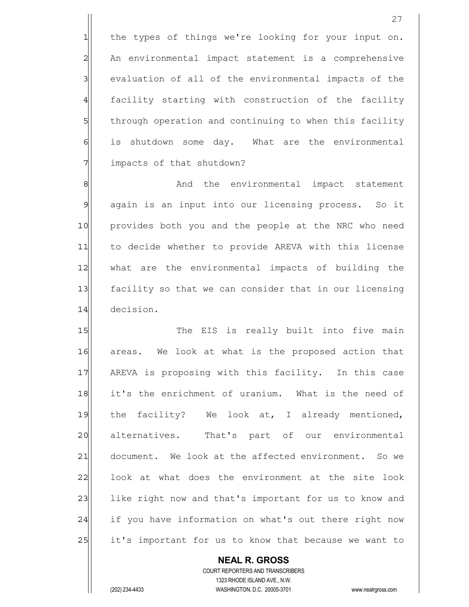1 the types of things we're looking for your input on. 2 An environmental impact statement is a comprehensive 3 3 | evaluation of all of the environmental impacts of the 4 facility starting with construction of the facility 5 5 5 5 through operation and continuing to when this facility 6 is shutdown some day. What are the environmental 7 impacts of that shutdown?

8 8 And the environmental impact statement 9 again is an input into our licensing process. So it 10 provides both you and the people at the NRC who need 11 to decide whether to provide AREVA with this license 12 what are the environmental impacts of building the 13 facility so that we can consider that in our licensing 14 decision.

15 The EIS is really built into five main 16 areas. We look at what is the proposed action that 17 AREVA is proposing with this facility. In this case 18 it's the enrichment of uranium. What is the need of 19 the facility? We look at, I already mentioned, 20 alternatives. That's part of our environmental 21 document. We look at the affected environment. So we 22 look at what does the environment at the site look 23 like right now and that's important for us to know and 24 if you have information on what's out there right now 25 it's important for us to know that because we want to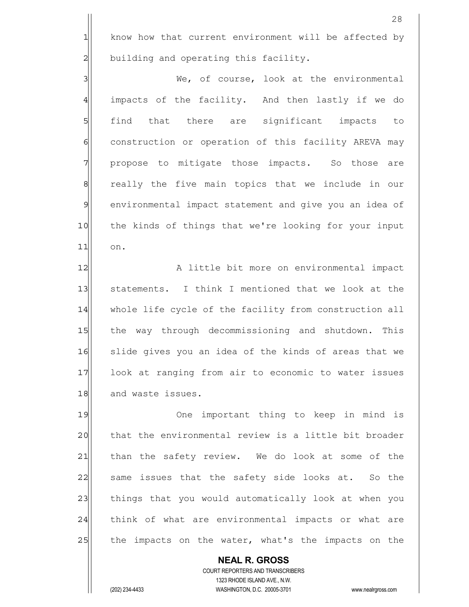1 know how that current environment will be affected by  $2$  building and operating this facility.

3|| We, of course, look at the environmental 4 impacts of the facility. And then lastly if we do 5 find that there are significant impacts to 6 6 6 construction or operation of this facility AREVA may 7 | propose to mitigate those impacts. So those are 8 8 8 really the five main topics that we include in our 9 environmental impact statement and give you an idea of 10 the kinds of things that we're looking for your input 11 on.

12 A little bit more on environmental impact 13 Statements. I think I mentioned that we look at the 14 whole life cycle of the facility from construction all 15 the way through decommissioning and shutdown. This 16 slide gives you an idea of the kinds of areas that we 17 look at ranging from air to economic to water issues 18 and waste issues.

19 One important thing to keep in mind is 20 that the environmental review is a little bit broader 21 than the safety review. We do look at some of the 22 same issues that the safety side looks at. So the 23 things that you would automatically look at when you 24 think of what are environmental impacts or what are 25 the impacts on the water, what's the impacts on the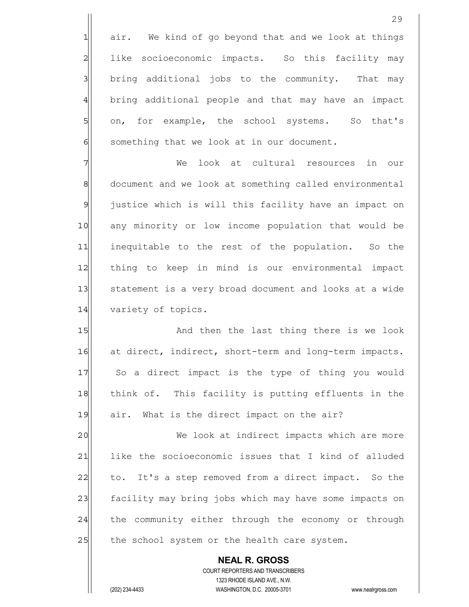$1$  air. We kind of go beyond that and we look at things 2 like socioeconomic impacts. So this facility may 3 3 bring additional jobs to the community. That may 4 bring additional people and that may have an impact 5 on, for example, the school systems. So that's  $6$  something that we look at in our document.

7 The Unit of the Look at cultural resources in our 8 8 8 document and we look at something called environmental 9 justice which is will this facility have an impact on 10 any minority or low income population that would be 11 inequitable to the rest of the population. So the 12 | thing to keep in mind is our environmental impact 13 Statement is a very broad document and looks at a wide 14 variety of topics.

15 And then the last thing there is we look 16 at direct, indirect, short-term and long-term impacts. 17 So a direct impact is the type of thing you would 18 think of. This facility is putting effluents in the 19 air. What is the direct impact on the air?

20 We look at indirect impacts which are more 21 like the socioeconomic issues that I kind of alluded 22 to. It's a step removed from a direct impact. So the 23 facility may bring jobs which may have some impacts on 24 the community either through the economy or through 25 the school system or the health care system.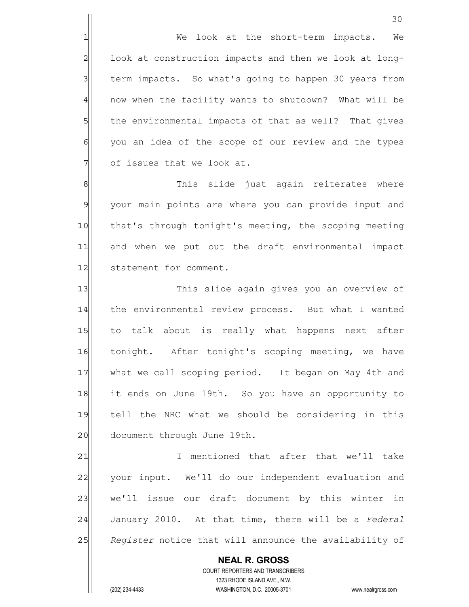1| We look at the short-term impacts. We 2 look at construction impacts and then we look at long-3 term impacts. So what's going to happen 30 years from 4 | now when the facility wants to shutdown? What will be 5 5 5 5 the environmental impacts of that as well? That gives 6 6 you an idea of the scope of our review and the types  $7$  of issues that we look at.

8 8 Metal of this slide just again reiterates where 9 your main points are where you can provide input and 10 that's through tonight's meeting, the scoping meeting 11 and when we put out the draft environmental impact 12 Statement for comment.

13 This slide again gives you an overview of 14 the environmental review process. But what I wanted 15 to talk about is really what happens next after 16 tonight. After tonight's scoping meeting, we have 17 what we call scoping period. It began on May 4th and 18 it ends on June 19th. So you have an opportunity to 19 tell the NRC what we should be considering in this 20 document through June 19th.

21 I mentioned that after that we'll take 22 your input. We'll do our independent evaluation and 23 we'll issue our draft document by this winter in 24 January 2010. At that time, there will be a *Federal* 25 *Register* notice that will announce the availability of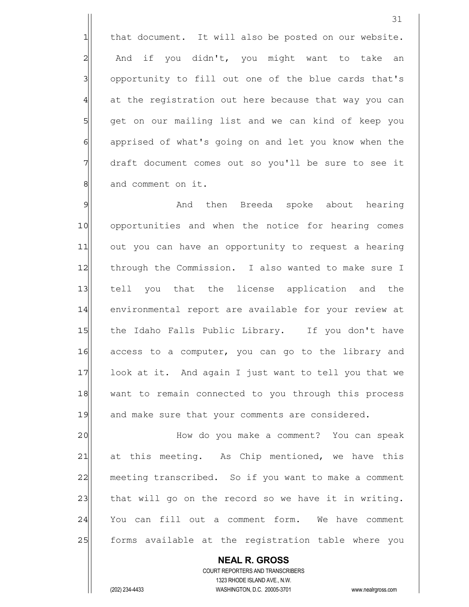1 that document. It will also be posted on our website. 2 And if you didn't, you might want to take an 3 3 opportunity to fill out one of the blue cards that's 4 at the registration out here because that way you can 5 get on our mailing list and we can kind of keep you 6 6 6 apprised of what's going on and let you know when the 7 draft document comes out so you'll be sure to see it 8 and comment on it.

9 Metamber 2018 And then Breeda spoke about hearing 10 opportunities and when the notice for hearing comes 11 out you can have an opportunity to request a hearing 12 through the Commission. I also wanted to make sure I 13 tell you that the license application and the 14 environmental report are available for your review at 15 | the Idaho Falls Public Library. If you don't have 16 access to a computer, you can go to the library and 17 look at it. And again I just want to tell you that we 18 want to remain connected to you through this process 19 and make sure that your comments are considered.

20 | How do you make a comment? You can speak 21| at this meeting. As Chip mentioned, we have this 22 meeting transcribed. So if you want to make a comment  $23$  that will go on the record so we have it in writing. 24 You can fill out a comment form. We have comment 25 forms available at the registration table where you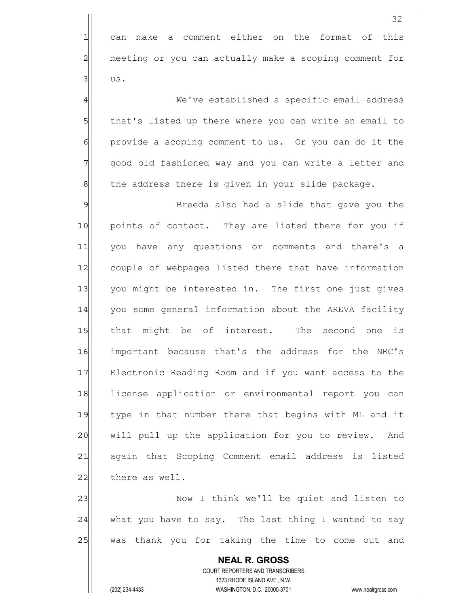32 1 can make a comment either on the format of this 2 meeting or you can actually make a scoping comment for  $3$  us. 4 We've established a specific email address 5 that's listed up there where you can write an email to 6 6 provide a scoping comment to us. Or you can do it the 7 qood old fashioned way and you can write a letter and 8 8 the address there is given in your slide package. 9 Breeda also had a slide that gave you the 10 | points of contact. They are listed there for you if 11 you have any questions or comments and there's a 12 couple of webpages listed there that have information 13 you might be interested in. The first one just gives 14 | you some general information about the AREVA facility 15 that might be of interest. The second one is 16 important because that's the address for the NRC's 17 Electronic Reading Room and if you want access to the 18 license application or environmental report you can 19 type in that number there that begins with ML and it 20 will pull up the application for you to review. And 21 again that Scoping Comment email address is listed 22 there as well. 23 | Now I think we'll be quiet and listen to  $24$  what you have to say. The last thing I wanted to say 25 was thank you for taking the time to come out and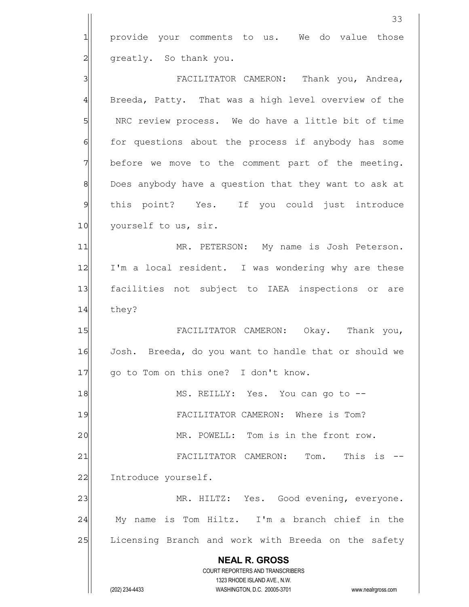|                | 33                                                                  |
|----------------|---------------------------------------------------------------------|
| $\mathbf{1}$   | provide your comments to us. We do value those                      |
| 2              | greatly. So thank you.                                              |
| 3              | FACILITATOR CAMERON: Thank you, Andrea,                             |
| $\overline{4}$ | Breeda, Patty. That was a high level overview of the                |
| 5              | NRC review process. We do have a little bit of time                 |
| $\epsilon$     | for questions about the process if anybody has some                 |
| 7              | before we move to the comment part of the meeting.                  |
| $\,8\,$        | Does anybody have a question that they want to ask at               |
| $\mathcal{P}$  | this point? Yes. If you could just introduce                        |
| 10             | yourself to us, sir.                                                |
| 11             | MR. PETERSON: My name is Josh Peterson.                             |
| 12             | I'm a local resident. I was wondering why are these                 |
| 13             | facilities not subject to IAEA inspections or are                   |
| 14             | they?                                                               |
| 15             | FACILITATOR CAMERON: Okay. Thank you,                               |
| 16             | Josh. Breeda, do you want to handle that or should we               |
| 17             | go to Tom on this one? I don't know.                                |
| 18             | MS. REILLY: Yes. You can go to --                                   |
| 19             | FACILITATOR CAMERON: Where is Tom?                                  |
| 20             | MR. POWELL: Tom is in the front row.                                |
| 21             | This is<br>FACILITATOR CAMERON:<br>Tom.                             |
| 22             | Introduce yourself.                                                 |
| 23             | MR. HILTZ: Yes. Good evening, everyone.                             |
| 24             | name is Tom Hiltz. I'm a branch chief in the<br>Мy                  |
| 25             | Licensing Branch and work with Breeda on the safety                 |
|                | <b>NEAL R. GROSS</b>                                                |
|                | <b>COURT REPORTERS AND TRANSCRIBERS</b>                             |
|                | 1323 RHODE ISLAND AVE., N.W.                                        |
|                | (202) 234-4433<br>WASHINGTON, D.C. 20005-3701<br>www.nealrgross.com |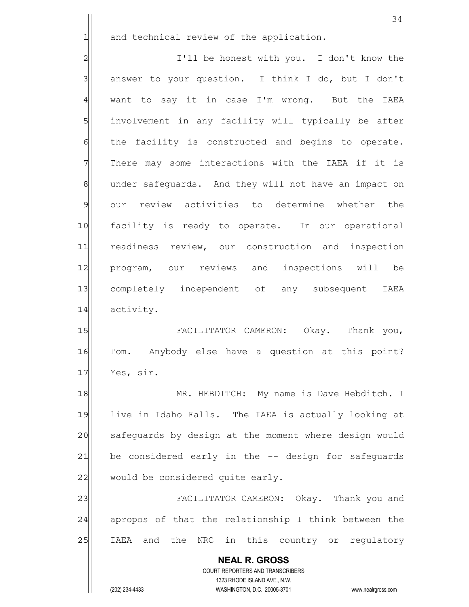$1$  and technical review of the application.

2 2 I'll be honest with you. I don't know the  $3$  answer to your question. I think I do, but I don't 4 want to say it in case I'm wrong. But the IAEA 5 | involvement in any facility will typically be after 6 6 facility is constructed and begins to operate.  $7$  There may some interactions with the IAEA if it is 8 8 ander safeguards. And they will not have an impact on 9 our review activities to determine whether the 10 facility is ready to operate. In our operational 11 readiness review, our construction and inspection 12 program, our reviews and inspections will be 13 completely independent of any subsequent IAEA 14 activity.

15 | FACILITATOR CAMERON: Okay. Thank you, 16 Tom. Anybody else have a question at this point? 17 Yes, sir.

18 MR. HEBDITCH: My name is Dave Hebditch. I 19 live in Idaho Falls. The IAEA is actually looking at 20 safequards by design at the moment where design would 21 be considered early in the -- design for safeguards  $22$  would be considered quite early.

23 FACILITATOR CAMERON: Okay. Thank you and  $24$  apropos of that the relationship I think between the 25 | IAEA and the NRC in this country or regulatory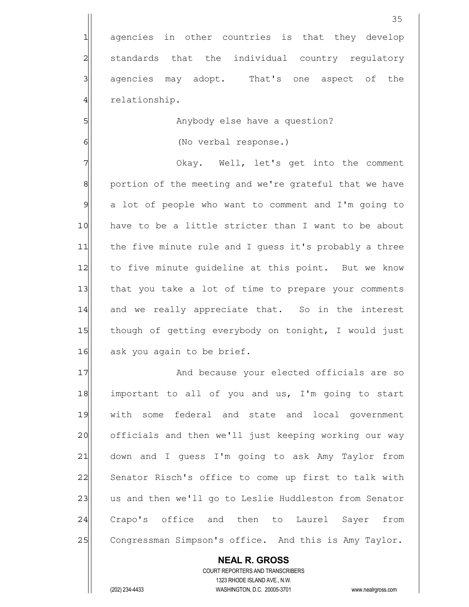1 agencies in other countries is that they develop 2 standards that the individual country regulatory 3 3 agencies may adopt. That's one aspect of the 4 relationship.

5| Manybody else have a question?

6 (No verbal response.)

7 Okay. Well, let's get into the comment 8 8 portion of the meeting and we're grateful that we have 9 a lot of people who want to comment and I'm going to 10 have to be a little stricter than I want to be about 11 the five minute rule and I guess it's probably a three 12 to five minute guideline at this point. But we know 13 that you take a lot of time to prepare your comments 14 and we really appreciate that. So in the interest 15 though of getting everybody on tonight, I would just 16 ask you again to be brief.

17 and because your elected officials are so  $18$  important to all of you and us, I'm going to start 19 with some federal and state and local government 20 officials and then we'll just keeping working our way 21 down and I guess I'm going to ask Amy Taylor from 22 Senator Risch's office to come up first to talk with 23 us and then we'll go to Leslie Huddleston from Senator 24 Crapo's office and then to Laurel Sayer from 25 Congressman Simpson's office. And this is Amy Taylor.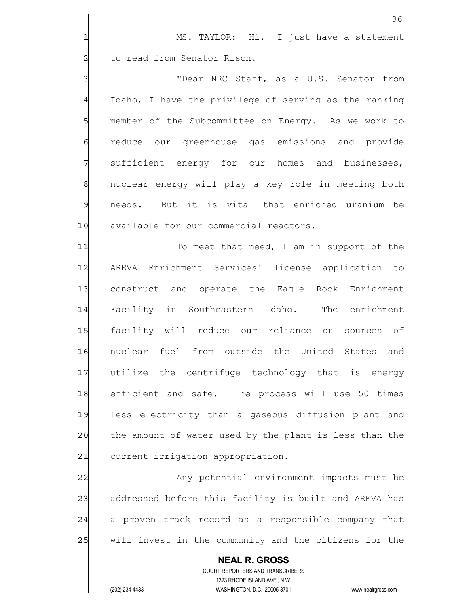|                | 36                                                                                                  |
|----------------|-----------------------------------------------------------------------------------------------------|
| 1              | MS. TAYLOR: Hi. I just have a statement                                                             |
| $\overline{c}$ | to read from Senator Risch.                                                                         |
| 3              | "Dear NRC Staff, as a U.S. Senator from                                                             |
| $\overline{4}$ | Idaho, I have the privilege of serving as the ranking                                               |
| 5              | member of the Subcommittee on Energy. As we work to                                                 |
| $\epsilon$     | reduce our greenhouse gas emissions and provide                                                     |
| 7              | sufficient energy for our homes and businesses,                                                     |
| $\mathbf 8$    | nuclear energy will play a key role in meeting both                                                 |
| $\mathsf{S}$   | needs. But it is vital that enriched uranium be                                                     |
| 10             | available for our commercial reactors.                                                              |
| 11             | To meet that need, I am in support of the                                                           |
| 12             | AREVA Enrichment Services' license application to                                                   |
| 13             | construct and operate the Eagle Rock Enrichment                                                     |
| 14             | Facility in Southeastern Idaho. The enrichment                                                      |
| 15             | facility will reduce our reliance on sources of                                                     |
| 16             | nuclear fuel from outside the United States and                                                     |
| 17             | utilize the centrifuge technology that is energy                                                    |
| 18             | efficient and safe. The process will use 50 times                                                   |
| 19             | less electricity than a gaseous diffusion plant and                                                 |
| 20             | the amount of water used by the plant is less than the                                              |
| 21             | current irrigation appropriation.                                                                   |
| 22             | Any potential environment impacts must be                                                           |
| 23             | addressed before this facility is built and AREVA has                                               |
| 24             | a proven track record as a responsible company that                                                 |
| 25             | will invest in the community and the citizens for the                                               |
|                | <b>NEAL R. GROSS</b>                                                                                |
|                | COURT REPORTERS AND TRANSCRIBERS                                                                    |
|                | 1323 RHODE ISLAND AVE., N.W.<br>(202) 234-4433<br>WASHINGTON, D.C. 20005-3701<br>www.nealrgross.com |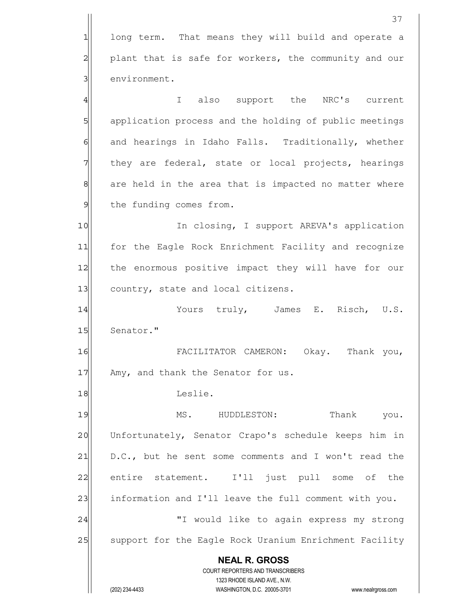**NEAL R. GROSS** COURT REPORTERS AND TRANSCRIBERS 1323 RHODE ISLAND AVE., N.W. (202) 234-4433 WASHINGTON, D.C. 20005-3701 www.nealrgross.com 1 long term. That means they will build and operate a 2 plant that is safe for workers, the community and our 3 environment. 4 all the NRC's current the NRC's current 5 5 5 5 application process and the holding of public meetings 6 6 and hearings in Idaho Falls. Traditionally, whether 7 They are federal, state or local projects, hearings 8 8 are held in the area that is impacted no matter where 9 the funding comes from. 10 In closing, I support AREVA's application 11 for the Eagle Rock Enrichment Facility and recognize 12 the enormous positive impact they will have for our 13 country, state and local citizens. 14 Yours truly, James E. Risch, U.S. 15 Senator." 16 FACILITATOR CAMERON: Okay. Thank you, 17 Amy, and thank the Senator for us. 18 Leslie. 19 MS. HUDDLESTON: Thank you. 20 Unfortunately, Senator Crapo's schedule keeps him in  $21$  D.C., but he sent some comments and I won't read the 22 entire statement. I'll just pull some of the 23 information and I'll leave the full comment with you. 24 | T would like to again express my strong 25 | support for the Eagle Rock Uranium Enrichment Facility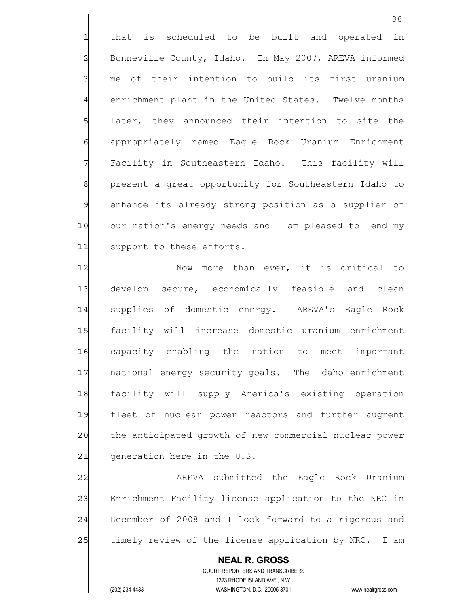1 that is scheduled to be built and operated in 2 Bonneville County, Idaho. In May 2007, AREVA informed 3 me of their intention to build its first uranium 4 enrichment plant in the United States. Twelve months 5 SI later, they announced their intention to site the 6 6 appropriately named Eagle Rock Uranium Enrichment 7 Facility in Southeastern Idaho. This facility will 8 || present a great opportunity for Southeastern Idaho to 9 enhance its already strong position as a supplier of 10 our nation's energy needs and I am pleased to lend my 11 support to these efforts.

12 Now more than ever, it is critical to 13 develop secure, economically feasible and clean 14 supplies of domestic energy. AREVA's Eagle Rock 15 facility will increase domestic uranium enrichment 16 capacity enabling the nation to meet important 17 | national energy security goals. The Idaho enrichment 18 facility will supply America's existing operation 19 | fleet of nuclear power reactors and further augment 20 the anticipated growth of new commercial nuclear power  $21$  generation here in the U.S.

22 AREVA submitted the Eagle Rock Uranium 23 Enrichment Facility license application to the NRC in 24 December of 2008 and I look forward to a rigorous and 25 timely review of the license application by NRC. I am

 **NEAL R. GROSS** COURT REPORTERS AND TRANSCRIBERS 1323 RHODE ISLAND AVE., N.W. (202) 234-4433 WASHINGTON, D.C. 20005-3701 www.nealrgross.com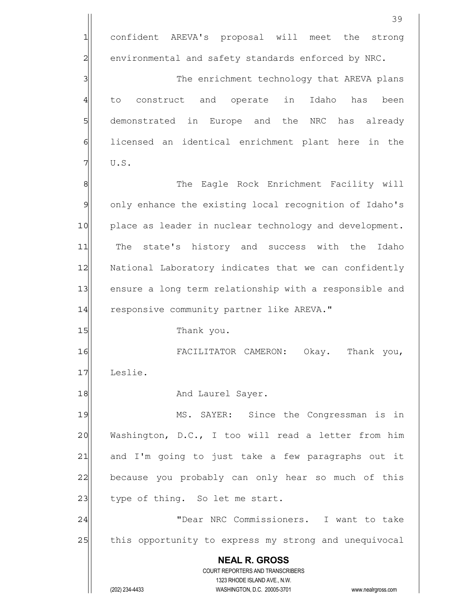|                | 39                                                                                                  |
|----------------|-----------------------------------------------------------------------------------------------------|
| 1              | confident AREVA's proposal will meet<br>the strong                                                  |
| $\overline{2}$ | environmental and safety standards enforced by NRC.                                                 |
| 3              | The enrichment technology that AREVA plans                                                          |
| $\overline{4}$ | to construct and operate in<br>Idaho<br>been<br>has                                                 |
| 5              | demonstrated in Europe and the NRC has already                                                      |
| 6              | licensed an identical enrichment plant here in the                                                  |
| 7              | U.S.                                                                                                |
| 8              | The Eagle Rock Enrichment Facility will                                                             |
| $\mathcal{Q}$  | only enhance the existing local recognition of Idaho's                                              |
| 10             | place as leader in nuclear technology and development.                                              |
| 11             | The state's history and success with the<br>Idaho                                                   |
| 12             | National Laboratory indicates that we can confidently                                               |
| 13             | ensure a long term relationship with a responsible and                                              |
| 14             | responsive community partner like AREVA."                                                           |
| 15             | Thank you.                                                                                          |
| 16             | FACILITATOR CAMERON: Okay.<br>Thank you,                                                            |
| 17             | Leslie.                                                                                             |
| 18             | And Laurel Sayer.                                                                                   |
| 19             | MS. SAYER: Since the Congressman is in                                                              |
| 20             | Washington, D.C., I too will read a letter from him                                                 |
| 21             | and I'm going to just take a few paragraphs out it                                                  |
| 22             | because you probably can only hear so much of this                                                  |
| 23             | type of thing. So let me start.                                                                     |
| 24             | "Dear NRC Commissioners. I want to take                                                             |
| 25             | this opportunity to express my strong and unequivocal                                               |
|                | <b>NEAL R. GROSS</b>                                                                                |
|                | COURT REPORTERS AND TRANSCRIBERS                                                                    |
|                | 1323 RHODE ISLAND AVE., N.W.<br>(202) 234-4433<br>WASHINGTON, D.C. 20005-3701<br>www.nealrgross.com |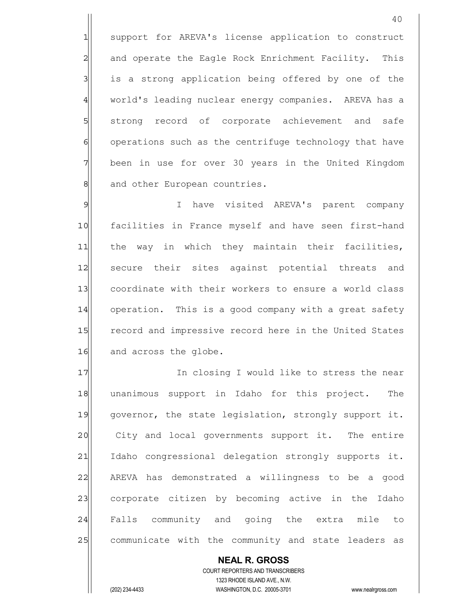1 support for AREVA's license application to construct 2 and operate the Eagle Rock Enrichment Facility. This 3 is a strong application being offered by one of the 4 world's leading nuclear energy companies. AREVA has a 5 strong record of corporate achievement and safe 6 operations such as the centrifuge technology that have 7 been in use for over 30 years in the United Kingdom 8 and other European countries.

9 I have visited AREVA's parent company 10 facilities in France myself and have seen first-hand 11 the way in which they maintain their facilities, 12 secure their sites against potential threats and 13 coordinate with their workers to ensure a world class 14 operation. This is a good company with a great safety 15 record and impressive record here in the United States 16 and across the globe.

17 In closing I would like to stress the near 18 unanimous support in Idaho for this project. The 19 qovernor, the state legislation, strongly support it. 20 City and local governments support it. The entire 21 Idaho congressional delegation strongly supports it. 22 AREVA has demonstrated a willingness to be a good 23 corporate citizen by becoming active in the Idaho 24 Falls community and going the extra mile to 25 communicate with the community and state leaders as

 COURT REPORTERS AND TRANSCRIBERS 1323 RHODE ISLAND AVE., N.W. (202) 234-4433 WASHINGTON, D.C. 20005-3701 www.nealrgross.com

 **NEAL R. GROSS**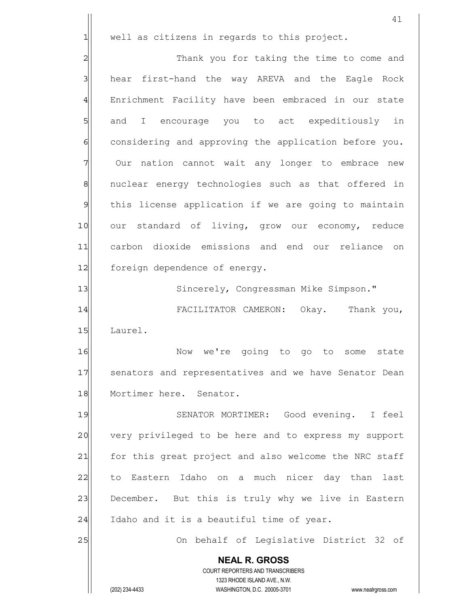|                | 41                                                                                                  |
|----------------|-----------------------------------------------------------------------------------------------------|
| 1              | well as citizens in regards to this project.                                                        |
| $\overline{c}$ | Thank you for taking the time to come and                                                           |
| 3              | hear first-hand the way AREVA and the Eagle Rock                                                    |
| $\overline{4}$ | Enrichment Facility have been embraced in our state                                                 |
| $\overline{5}$ | and I encourage you to act expeditiously in                                                         |
| $\epsilon$     | considering and approving the application before you.                                               |
| 7              | Our nation cannot wait any longer to embrace new                                                    |
| 8              | nuclear energy technologies such as that offered in                                                 |
| $\mathfrak{g}$ | this license application if we are going to maintain                                                |
| 10             | our standard of living, grow our economy, reduce                                                    |
| 11             | carbon dioxide emissions and end our reliance on                                                    |
| 12             | foreign dependence of energy.                                                                       |
| 13             | Sincerely, Congressman Mike Simpson."                                                               |
| 14             | FACILITATOR CAMERON: Okay. Thank you,                                                               |
| 15             | Laurel.                                                                                             |
| 16             | we're going to go to some<br>Now<br>state                                                           |
| 17             | senators and representatives and we have Senator Dean                                               |
| 18             | Mortimer here. Senator.                                                                             |
| 19             | SENATOR MORTIMER: Good evening. I feel                                                              |
| 20             | very privileged to be here and to express my support                                                |
| 21             | for this great project and also welcome the NRC staff                                               |
| 22             | to Eastern Idaho on a much nicer day than last                                                      |
| 23             | December. But this is truly why we live in Eastern                                                  |
| 24             | Idaho and it is a beautiful time of year.                                                           |
| 25             | On behalf of Legislative District 32 of                                                             |
|                | <b>NEAL R. GROSS</b>                                                                                |
|                | COURT REPORTERS AND TRANSCRIBERS                                                                    |
|                | 1323 RHODE ISLAND AVE., N.W.<br>(202) 234-4433<br>WASHINGTON, D.C. 20005-3701<br>www.nealrgross.com |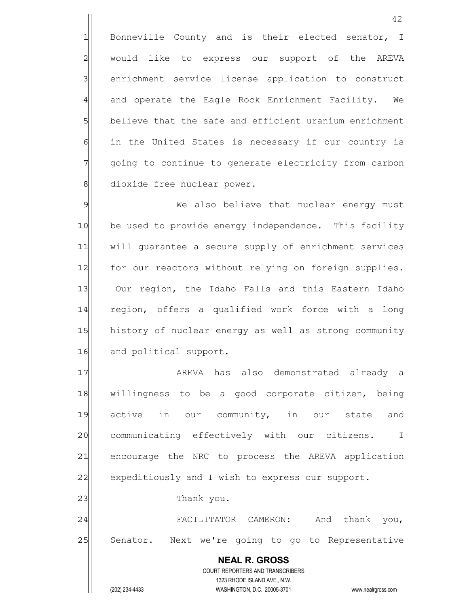1 Bonneville County and is their elected senator, I 2 would like to express our support of the AREVA 3 | enrichment service license application to construct 4 and operate the Eagle Rock Enrichment Facility. We 5 believe that the safe and efficient uranium enrichment 6 6 in the United States is necessary if our country is 7 going to continue to generate electricity from carbon 8 dioxide free nuclear power.

9 Me also believe that nuclear energy must 10 be used to provide energy independence. This facility 11 | will guarantee a secure supply of enrichment services 12 for our reactors without relying on foreign supplies. 13| Our region, the Idaho Falls and this Eastern Idaho 14 region, offers a qualified work force with a long 15 history of nuclear energy as well as strong community 16 and political support.

17 are also demonstrated already and the AREVA has also demonstrated already 18 willingness to be a good corporate citizen, being 19 active in our community, in our state and 20 communicating effectively with our citizens. I 21 encourage the NRC to process the AREVA application 22 expeditiously and I wish to express our support. 23 a Thank you.

24 FACILITATOR CAMERON: And thank you, 25 Senator. Next we're going to go to Representative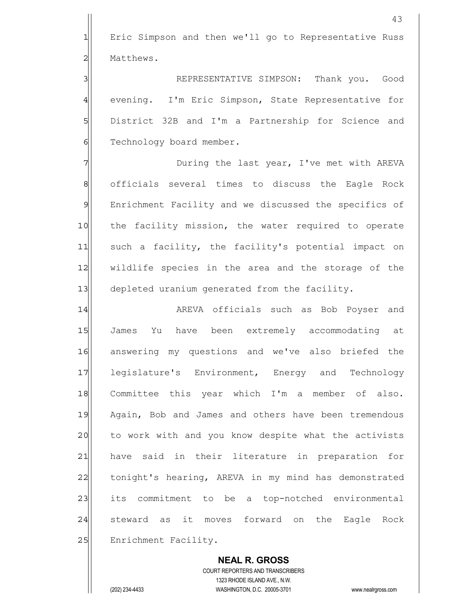1 Eric Simpson and then we'll go to Representative Russ 2 Matthews.

3 REPRESENTATIVE SIMPSON: Thank you. Good 4 evening. I'm Eric Simpson, State Representative for 5 District 32B and I'm a Partnership for Science and 6 Technology board member.

7 7 During the last year, I've met with AREVA 8 || officials several times to discuss the Eagle Rock 9 Enrichment Facility and we discussed the specifics of 10 the facility mission, the water required to operate 11 such a facility, the facility's potential impact on 12 | wildlife species in the area and the storage of the 13 depleted uranium generated from the facility.

14 | AREVA officials such as Bob Poyser and 15 James Yu have been extremely accommodating at 16 answering my questions and we've also briefed the 17 legislature's Environment, Energy and Technology 18 Committee this year which I'm a member of also. 19 Again, Bob and James and others have been tremendous 20 to work with and you know despite what the activists 21 have said in their literature in preparation for 22 tonight's hearing, AREVA in my mind has demonstrated 23 its commitment to be a top-notched environmental 24 steward as it moves forward on the Eagle Rock 25 | Enrichment Facility.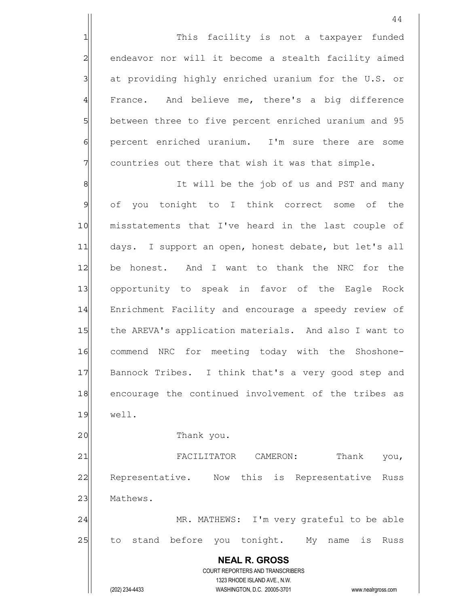1 This facility is not a taxpayer funded 2| endeavor nor will it become a stealth facility aimed 3 at providing highly enriched uranium for the U.S. or 4 France. And believe me, there's a big difference 5 between three to five percent enriched uranium and 95 6 percent enriched uranium. I'm sure there are some  $7$  countries out there that wish it was that simple.

8 8 It will be the job of us and PST and many 9 of you tonight to I think correct some of the 10 misstatements that I've heard in the last couple of 11 days. I support an open, honest debate, but let's all 12 be honest. And I want to thank the NRC for the 13 opportunity to speak in favor of the Eagle Rock 14 Enrichment Facility and encourage a speedy review of 15 the AREVA's application materials. And also I want to 16 commend NRC for meeting today with the Shoshone-17 Bannock Tribes. I think that's a very good step and 18 encourage the continued involvement of the tribes as 19 well.

20 | Thank you.

 **NEAL R. GROSS** COURT REPORTERS AND TRANSCRIBERS 1323 RHODE ISLAND AVE., N.W. 21 FACILITATOR CAMERON: Thank you, 22 Representative. Now this is Representative Russ 23 Mathews. 24 MR. MATHEWS: I'm very grateful to be able 25 to stand before you tonight. My name is Russ

(202) 234-4433 WASHINGTON, D.C. 20005-3701 www.nealrgross.com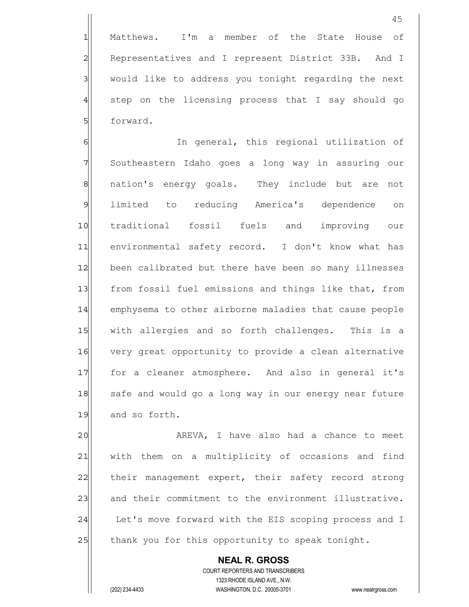1 Matthews. I'm a member of the State House of 2 Representatives and I represent District 33B. And I 3 | would like to address you tonight regarding the next  $4$  step on the licensing process that I say should go 5 **5** forward.

6 6 In general, this regional utilization of 7 Southeastern Idaho goes a long way in assuring our 8 | nation's energy goals. They include but are not 9 limited to reducing America's dependence on 10 traditional fossil fuels and improving our 11 environmental safety record. I don't know what has 12 been calibrated but there have been so many illnesses 13 from fossil fuel emissions and things like that, from 14 emphysema to other airborne maladies that cause people 15 | with allergies and so forth challenges. This is a 16 very great opportunity to provide a clean alternative 17 for a cleaner atmosphere. And also in general it's 18 safe and would go a long way in our energy near future 19 and so forth.

20 aREVA, I have also had a chance to meet 21 | with them on a multiplicity of occasions and find 22 | their management expert, their safety record strong 23 and their commitment to the environment illustrative. 24 Let's move forward with the EIS scoping process and I 25 thank you for this opportunity to speak tonight.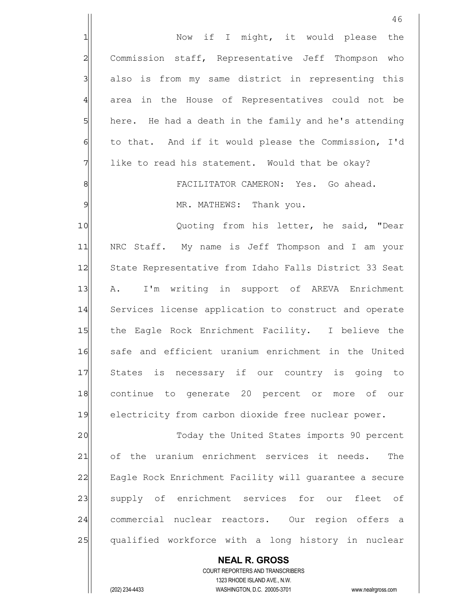|                 | 46                                                                                                  |
|-----------------|-----------------------------------------------------------------------------------------------------|
| 1               | Now if I might, it would please<br>the                                                              |
| $\overline{c}$  | Commission staff, Representative Jeff Thompson who                                                  |
| 3               | also is from my same district in representing this                                                  |
| $\overline{4}$  | area in the House of Representatives could not be                                                   |
| $5\overline{)}$ | here. He had a death in the family and he's attending                                               |
| $\epsilon$      | to that. And if it would please the Commission, I'd                                                 |
| 7               | like to read his statement. Would that be okay?                                                     |
| 8               | FACILITATOR CAMERON: Yes. Go ahead.                                                                 |
| $\mathfrak{S}$  | MR. MATHEWS: Thank you.                                                                             |
| 10              | Quoting from his letter, he said, "Dear                                                             |
| 11              | NRC Staff. My name is Jeff Thompson and I am your                                                   |
| 12              | State Representative from Idaho Falls District 33 Seat                                              |
| 13              | I'm writing in support of AREVA Enrichment<br>A.                                                    |
| 14              | Services license application to construct and operate                                               |
| 15              | the Eagle Rock Enrichment Facility. I believe the                                                   |
| 16              | safe and efficient uranium enrichment in the United                                                 |
| 17              | States is necessary if our country is going to                                                      |
| 18              | continue to generate 20 percent or more of our                                                      |
| 19              | electricity from carbon dioxide free nuclear power.                                                 |
| 20              | Today the United States imports 90 percent                                                          |
| 21              | of the uranium enrichment services it needs.<br>The                                                 |
| 22              | Eagle Rock Enrichment Facility will quarantee a secure                                              |
| 23              | supply of enrichment services for our fleet of                                                      |
| 24              | commercial nuclear reactors. Our region offers a                                                    |
| 25              | qualified workforce with a long history in nuclear                                                  |
|                 | <b>NEAL R. GROSS</b>                                                                                |
|                 | COURT REPORTERS AND TRANSCRIBERS                                                                    |
|                 | 1323 RHODE ISLAND AVE., N.W.<br>(202) 234-4433<br>WASHINGTON, D.C. 20005-3701<br>www.nealrgross.com |
|                 |                                                                                                     |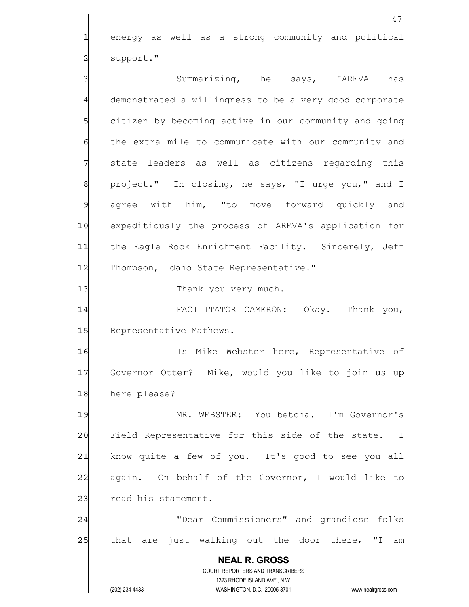47 1 energy as well as a strong community and political 2 | support." 3 3 Summarizing, he says, "AREVA has 4 demonstrated a willingness to be a very good corporate 5 5 5 citizen by becoming active in our community and going 6 6 fear the extra mile to communicate with our community and 7 state leaders as well as citizens regarding this 8 | project." In closing, he says, "I urge you," and I 9 agree with him, "to move forward quickly and 10 expeditiously the process of AREVA's application for 11| the Eagle Rock Enrichment Facility. Sincerely, Jeff 12 Thompson, Idaho State Representative." 13 and 13 Thank you very much. 14 FACILITATOR CAMERON: Okay. Thank you, 15 Representative Mathews. 16 Is Mike Webster here, Representative of 17 Governor Otter? Mike, would you like to join us up 18 here please? 19 MR. WEBSTER: You betcha. I'm Governor's 20 Field Representative for this side of the state. I 21 know quite a few of you. It's good to see you all 22 again. On behalf of the Governor, I would like to 23 read his statement. 24 | Thear Commissioners" and grandiose folks 25 that are just walking out the door there, "I am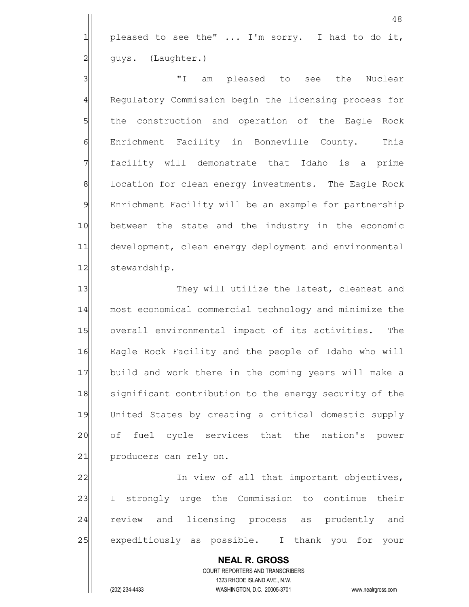$1$  pleased to see the" ... I'm sorry. I had to do it, 2 | guys. (Laughter.)

3 || I am pleased to see the Nuclear 4 Regulatory Commission begin the licensing process for 5 5 5 5 the construction and operation of the Eagle Rock 6 Enrichment Facility in Bonneville County. This 7 || facility will demonstrate that Idaho is a prime 8 8 location for clean energy investments. The Eagle Rock 9 Enrichment Facility will be an example for partnership 10 between the state and the industry in the economic 11 development, clean energy deployment and environmental 12 stewardship.

13 They will utilize the latest, cleanest and 14 most economical commercial technology and minimize the 15 overall environmental impact of its activities. The 16 Eagle Rock Facility and the people of Idaho who will 17 build and work there in the coming years will make a 18 significant contribution to the energy security of the 19 United States by creating a critical domestic supply 20 of fuel cycle services that the nation's power 21 producers can rely on.

22 In view of all that important objectives, 23 I strongly urge the Commission to continue their 24 review and licensing process as prudently and 25 | expeditiously as possible. I thank you for your

 **NEAL R. GROSS** COURT REPORTERS AND TRANSCRIBERS 1323 RHODE ISLAND AVE., N.W. (202) 234-4433 WASHINGTON, D.C. 20005-3701 www.nealrgross.com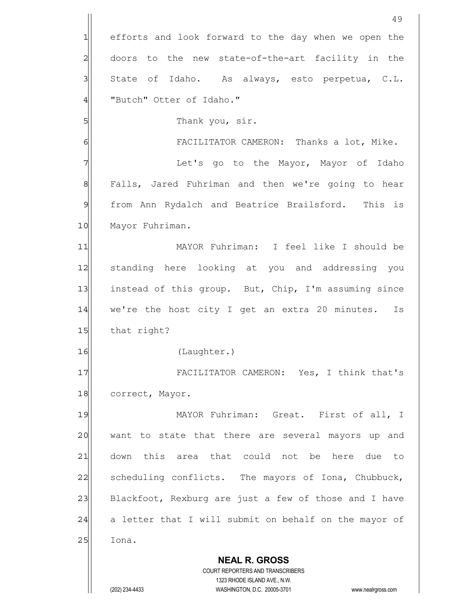**NEAL R. GROSS** COURT REPORTERS AND TRANSCRIBERS 1323 RHODE ISLAND AVE., N.W. 49 1 efforts and look forward to the day when we open the 2 doors to the new state-of-the-art facility in the 3 State of Idaho. As always, esto perpetua, C.L. 4 TButch" Otter of Idaho." 5 | Thank you, sir. 6 6 FACILITATOR CAMERON: Thanks a lot, Mike. 7 The Mayor, Mayor of Idaho 8 | Falls, Jared Fuhriman and then we're going to hear 9 from Ann Rydalch and Beatrice Brailsford. This is 10 Mayor Fuhriman. 11 MAYOR Fuhriman: I feel like I should be 12 standing here looking at you and addressing you 13 instead of this group. But, Chip, I'm assuming since 14 we're the host city I get an extra 20 minutes. Is 15 that right? 16 (Laughter.) 17 FACILITATOR CAMERON: Yes, I think that's 18 correct, Mayor. 19 MAYOR Fuhriman: Great. First of all, I 20 want to state that there are several mayors up and 21 down this area that could not be here due to 22 Scheduling conflicts. The mayors of Iona, Chubbuck, 23 Blackfoot, Rexburg are just a few of those and I have 24 a letter that I will submit on behalf on the mayor of 25 Iona.

(202) 234-4433 WASHINGTON, D.C. 20005-3701 www.nealrgross.com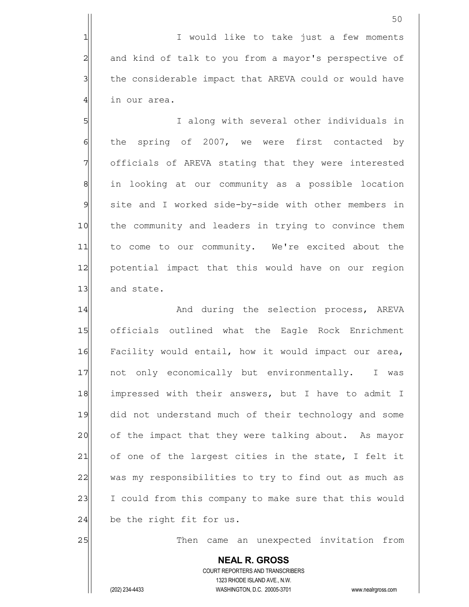1 1 I would like to take just a few moments 2 and kind of talk to you from a mayor's perspective of 3 1 the considerable impact that AREVA could or would have  $4$  in our area.

5 S  $\delta$  the spring of 2007, we were first contacted by 7 | officials of AREVA stating that they were interested 8 81 in looking at our community as a possible location 9 site and I worked side-by-side with other members in 10 the community and leaders in trying to convince them 11 to come to our community. We're excited about the 12 potential impact that this would have on our region 13 and state.

14|| Mand during the selection process, AREVA 15 officials outlined what the Eagle Rock Enrichment 16 Facility would entail, how it would impact our area, 17 | not only economically but environmentally. I was 18 impressed with their answers, but I have to admit I 19 did not understand much of their technology and some 20 of the impact that they were talking about. As mayor  $21$  of one of the largest cities in the state, I felt it 22 was my responsibilities to try to find out as much as 23 I could from this company to make sure that this would  $24$  be the right fit for us.

25 and 25 Then came an unexpected invitation from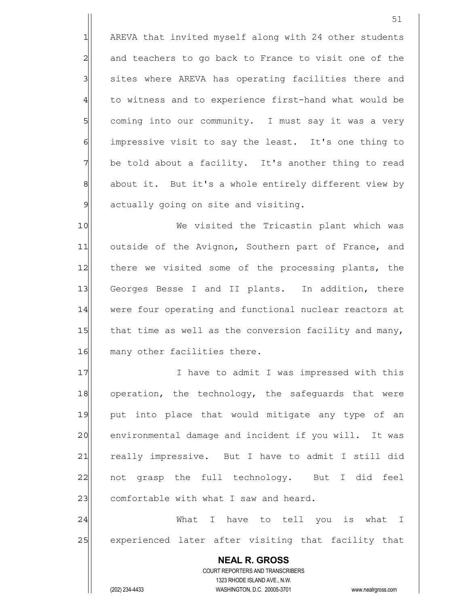1 AREVA that invited myself along with 24 other students 2 and teachers to go back to France to visit one of the 3 | sites where AREVA has operating facilities there and 4 to witness and to experience first-hand what would be 5 Soming into our community. I must say it was a very 6 6 impressive visit to say the least. It's one thing to 7 be told about a facility. It's another thing to read 8| about it. But it's a whole entirely different view by  $9$  actually going on site and visiting.

10|| We visited the Tricastin plant which was 11 outside of the Avignon, Southern part of France, and 12 there we visited some of the processing plants, the 13| Georges Besse I and II plants. In addition, there 14 were four operating and functional nuclear reactors at 15 $\vert$  that time as well as the conversion facility and many, 16 many other facilities there.

17 I have to admit I was impressed with this 18 operation, the technology, the safequards that were 19 put into place that would mitigate any type of an 20 environmental damage and incident if you will. It was 21 really impressive. But I have to admit I still did 22 | not grasp the full technology. But I did feel 23 comfortable with what I saw and heard.

24 | Nhat I have to tell you is what I 25 experienced later after visiting that facility that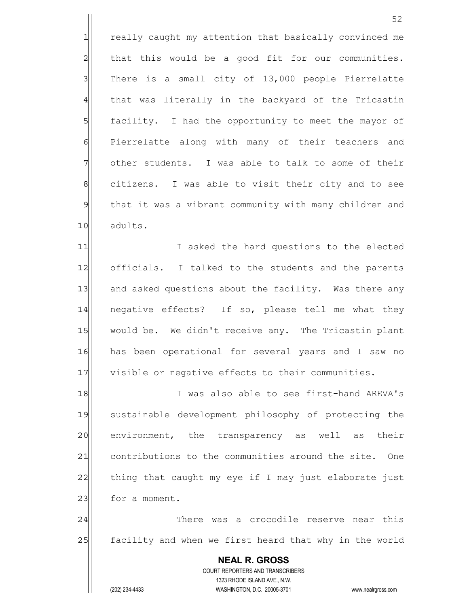1 really caught my attention that basically convinced me  $2$  that this would be a good fit for our communities.  $3$  There is a small city of 13,000 people Pierrelatte 4 that was literally in the backyard of the Tricastin 5 | facility. I had the opportunity to meet the mayor of 6 Pierrelatte along with many of their teachers and 7 other students. I was able to talk to some of their 8 8| citizens. I was able to visit their city and to see 9 that it was a vibrant community with many children and 10 adults.

11 I asked the hard questions to the elected 12 officials. I talked to the students and the parents 13 and asked questions about the facility. Was there any 14 negative effects? If so, please tell me what they 15 would be. We didn't receive any. The Tricastin plant 16 has been operational for several years and I saw no 17 visible or negative effects to their communities.

18 I was also able to see first-hand AREVA's 19 sustainable development philosophy of protecting the 20 environment, the transparency as well as their 21 contributions to the communities around the site. One  $22$  thing that caught my eye if I may just elaborate just 23 for a moment.

24 There was a crocodile reserve near this 25 facility and when we first heard that why in the world

 **NEAL R. GROSS** COURT REPORTERS AND TRANSCRIBERS 1323 RHODE ISLAND AVE., N.W. (202) 234-4433 WASHINGTON, D.C. 20005-3701 www.nealrgross.com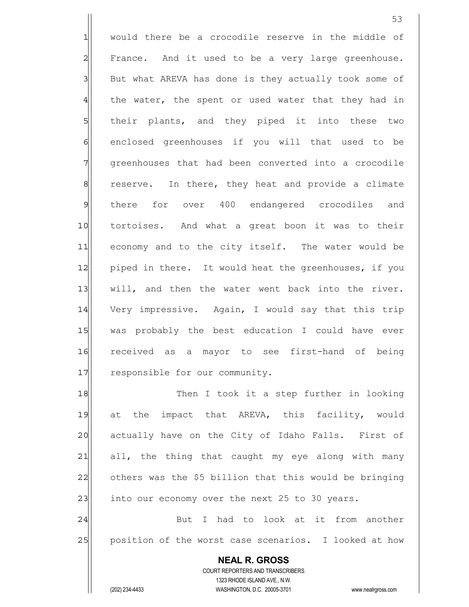1 would there be a crocodile reserve in the middle of 2 | France. And it used to be a very large greenhouse. 3 But what AREVA has done is they actually took some of  $4$  the water, the spent or used water that they had in 5 | their plants, and they piped it into these two 6 6 6 6 6 m enclosed greenhouses if you will that used to be 7 9 7 7 areenhouses that had been converted into a crocodile 8| reserve. In there, they heat and provide a climate 9 there for over 400 endangered crocodiles and 10 tortoises. And what a great boon it was to their 11 economy and to the city itself. The water would be 12 piped in there. It would heat the greenhouses, if you 13 will, and then the water went back into the river. 14 Very impressive. Again, I would say that this trip 15 was probably the best education I could have ever 16 received as a mayor to see first-hand of being 17 responsible for our community.

18 Then I took it a step further in looking 19 at the impact that AREVA, this facility, would 20 actually have on the City of Idaho Falls. First of 21 all, the thing that caught my eye along with many  $22$  others was the \$5 billion that this would be bringing  $23$  into our economy over the next 25 to 30 years.

24 But I had to look at it from another 25 position of the worst case scenarios. I looked at how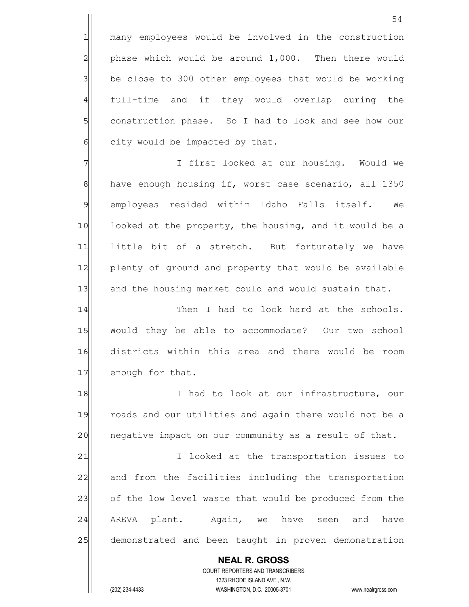1 many employees would be involved in the construction  $2$  phase which would be around  $1,000$ . Then there would  $3$  be close to 300 other employees that would be working 4 full-time and if they would overlap during the 5 Soll construction phase. So I had to look and see how our  $6$  city would be impacted by that.

7 | Thirst looked at our housing. Would we 8 have enough housing if, worst case scenario, all 1350 9 employees resided within Idaho Falls itself. We 10 looked at the property, the housing, and it would be a 11 little bit of a stretch. But fortunately we have 12 plenty of ground and property that would be available 13 and the housing market could and would sustain that.

14 Then I had to look hard at the schools. 15 Would they be able to accommodate? Our two school 16 districts within this area and there would be room 17 enough for that.

18 I had to look at our infrastructure, our 19 roads and our utilities and again there would not be a 20 | negative impact on our community as a result of that.

21 I looked at the transportation issues to 22 and from the facilities including the transportation 23 of the low level waste that would be produced from the 24  $\vert$  AREVA plant. Again, we have seen and have 25 demonstrated and been taught in proven demonstration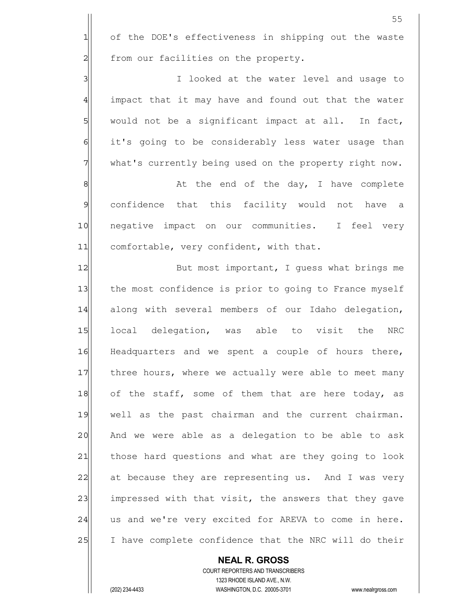|                | 55                                                       |
|----------------|----------------------------------------------------------|
| $\mathbf{1}$   | of the DOE's effectiveness in shipping out the waste     |
| $\overline{a}$ | from our facilities on the property.                     |
| $\overline{3}$ | I looked at the water level and usage to                 |
| $\overline{4}$ | impact that it may have and found out that the water     |
| 5              | would not be a significant impact at all. In fact,       |
| 6              | it's going to be considerably less water usage than      |
| 7              | what's currently being used on the property right now.   |
| $\,8\,$        | At the end of the day, I have complete                   |
| 9              | confidence that this facility would not have a           |
| 10             | negative impact on our communities. I feel very          |
| 11             | comfortable, very confident, with that.                  |
| 12             | But most important, I guess what brings me               |
| 13             | the most confidence is prior to going to France myself   |
| 14             | along with several members of our Idaho delegation,      |
| 15             | local delegation, was able to visit the<br>NRC           |
| 16             | Headquarters and we spent a couple of hours there,       |
| 17             | three hours, where we actually were able to meet many    |
| 18             | of the staff, some of them that are here today, as       |
| 19             | well as the past chairman and the current chairman.      |
| 20             | And we were able as a delegation to be able to ask       |
| 21             | those hard questions and what are they going to look     |
| 22             | at because they are representing us. And I was very      |
| 23             | impressed with that visit, the answers that they gave    |
| 24             | us and we're very excited for AREVA to come in here.     |
| 25             | I have complete confidence that the NRC will do their    |
|                | <b>NEAL R. GROSS</b><br>COURT REPORTERS AND TRANSCRIBERS |

1323 RHODE ISLAND AVE., N.W.

(202) 234-4433 WASHINGTON, D.C. 20005-3701 www.nealrgross.com

 $\prod$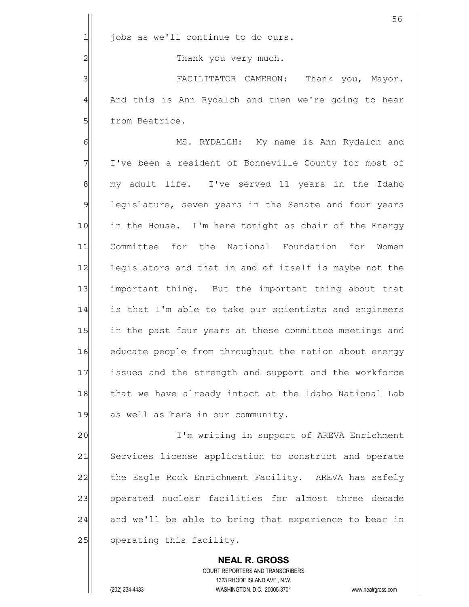|                | 56                                                     |
|----------------|--------------------------------------------------------|
| 1              | jobs as we'll continue to do ours.                     |
| $\overline{c}$ | Thank you very much.                                   |
| 3              | FACILITATOR CAMERON: Thank you, Mayor.                 |
| $\overline{4}$ | And this is Ann Rydalch and then we're going to hear   |
| 5              | from Beatrice.                                         |
| 6              | MS. RYDALCH: My name is Ann Rydalch and                |
| 7              | I've been a resident of Bonneville County for most of  |
| $\,8\,$        | my adult life. I've served 11 years in the Idaho       |
| $\mathcal{G}$  | legislature, seven years in the Senate and four years  |
| 10             | in the House. I'm here tonight as chair of the Energy  |
| 11             | Committee for the National Foundation for<br>Women     |
| 12             | Legislators and that in and of itself is maybe not the |
| 13             | important thing. But the important thing about that    |
| 14             | is that I'm able to take our scientists and engineers  |
| 15             | in the past four years at these committee meetings and |
| 16             | educate people from throughout the nation about energy |
| 17             | issues and the strength and support and the workforce  |
| 18             | that we have already intact at the Idaho National Lab  |
| 19             | as well as here in our community.                      |
| 20             | I'm writing in support of AREVA Enrichment             |
| 21             | Services license application to construct and operate  |
| 22             | the Eagle Rock Enrichment Facility. AREVA has safely   |
| 23             | operated nuclear facilities for almost three decade    |
| 24             | and we'll be able to bring that experience to bear in  |
| 25             | operating this facility.                               |
|                | <b>NEAL R. GROSS</b>                                   |

 COURT REPORTERS AND TRANSCRIBERS 1323 RHODE ISLAND AVE., N.W.

(202) 234-4433 WASHINGTON, D.C. 20005-3701 www.nealrgross.com

 $\mathbf{\mathsf{I}}$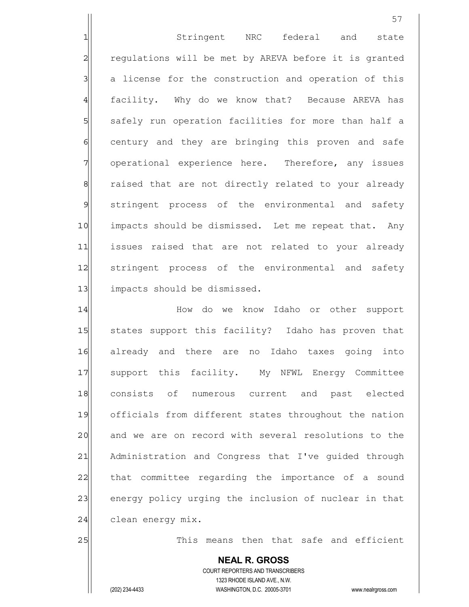1 Stringent NRC federal and state 2 regulations will be met by AREVA before it is granted 3 a license for the construction and operation of this 4 facility. Why do we know that? Because AREVA has 5 | safely run operation facilities for more than half a 6 6 6 century and they are bringing this proven and safe 7 operational experience here. Therefore, any issues 8 8 8 8 raised that are not directly related to your already 9 stringent process of the environmental and safety 10 impacts should be dismissed. Let me repeat that. Any 11 issues raised that are not related to your already 12 | stringent process of the environmental and safety 13 impacts should be dismissed.

14 How do we know Idaho or other support 15 States support this facility? Idaho has proven that 16 already and there are no Idaho taxes going into 17 Support this facility. My NFWL Energy Committee 18 consists of numerous current and past elected 19 officials from different states throughout the nation 20 and we are on record with several resolutions to the 21 Administration and Congress that I've quided through 22 that committee regarding the importance of a sound 23 energy policy urging the inclusion of nuclear in that 24 | clean energy mix.

25 and this means then that safe and efficient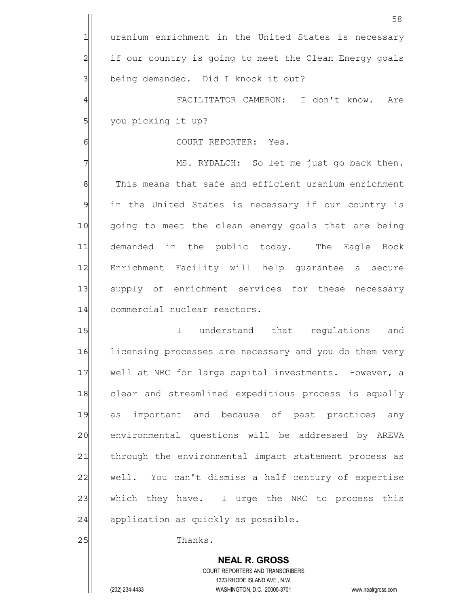**NEAL R. GROSS** COURT REPORTERS AND TRANSCRIBERS 1323 RHODE ISLAND AVE., N.W. (202) 234-4433 WASHINGTON, D.C. 20005-3701 www.nealrgross.com 58 1 uranium enrichment in the United States is necessary 2 1 if our country is going to meet the Clean Energy goals 3 | being demanded. Did I knock it out? 4 FACILITATOR CAMERON: I don't know. Are 5| you picking it up? 6 | COURT REPORTER: Yes. 7 MS. RYDALCH: So let me just go back then. 8 This means that safe and efficient uranium enrichment 9 in the United States is necessary if our country is 10 going to meet the clean energy goals that are being 11 demanded in the public today. The Eagle Rock 12 Enrichment Facility will help guarantee a secure 13 supply of enrichment services for these necessary 14 commercial nuclear reactors. 15 I understand that requlations and 16 licensing processes are necessary and you do them very 17 well at NRC for large capital investments. However, a 18 clear and streamlined expeditious process is equally 19 as important and because of past practices any 20 environmental questions will be addressed by AREVA 21 | through the environmental impact statement process as 22 well. You can't dismiss a half century of expertise 23 which they have. I urge the NRC to process this  $24$  application as quickly as possible. 25 a.m. Thanks.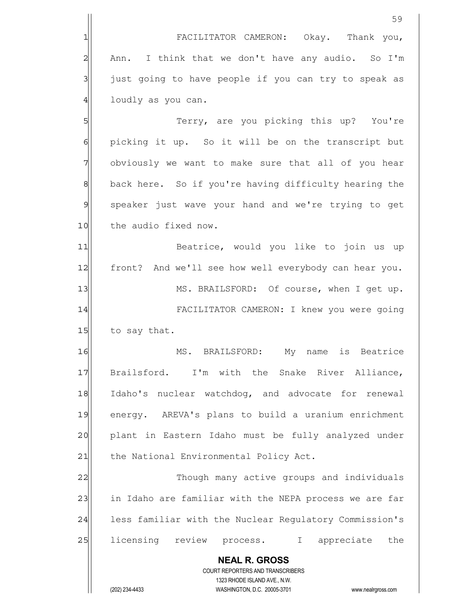|                | 59                                                                                                  |
|----------------|-----------------------------------------------------------------------------------------------------|
| 1              | FACILITATOR CAMERON: Okay. Thank you,                                                               |
| $\overline{c}$ | I think that we don't have any audio. So I'm<br>Ann.                                                |
| $\mathbf{3}$   | just going to have people if you can try to speak as                                                |
| $\overline{4}$ | loudly as you can.                                                                                  |
| 5              | Terry, are you picking this up? You're                                                              |
| $\epsilon$     | picking it up. So it will be on the transcript but                                                  |
| 7              | obviously we want to make sure that all of you hear                                                 |
| 8              | back here. So if you're having difficulty hearing the                                               |
| 9              | speaker just wave your hand and we're trying to get                                                 |
| 10             | the audio fixed now.                                                                                |
| 11             | Beatrice, would you like to join us up                                                              |
| 12             | front? And we'll see how well everybody can hear you.                                               |
| 13             | MS. BRAILSFORD: Of course, when I get up.                                                           |
| 14             | FACILITATOR CAMERON: I knew you were going                                                          |
| 15             | to say that.                                                                                        |
| 16             | My name is Beatrice<br>MS. BRAILSFORD:                                                              |
| 17             | Brailsford. I'm with the Snake River Alliance,                                                      |
| 18             | Idaho's nuclear watchdog, and advocate for renewal                                                  |
| 19             | energy. AREVA's plans to build a uranium enrichment                                                 |
| 20             | plant in Eastern Idaho must be fully analyzed under                                                 |
| 21             | the National Environmental Policy Act.                                                              |
| 22             | Though many active groups and individuals                                                           |
| 23             | in Idaho are familiar with the NEPA process we are far                                              |
| 24             | less familiar with the Nuclear Regulatory Commission's                                              |
| 25             | licensing review process. I appreciate<br>the                                                       |
|                | <b>NEAL R. GROSS</b>                                                                                |
|                | COURT REPORTERS AND TRANSCRIBERS                                                                    |
|                | 1323 RHODE ISLAND AVE., N.W.<br>(202) 234-4433<br>WASHINGTON, D.C. 20005-3701<br>www.nealrgross.com |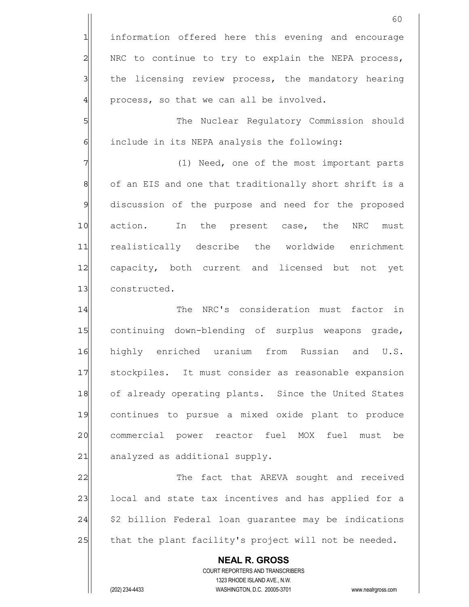**NEAL R. GROSS** 1 information offered here this evening and encourage 2 NRC to continue to try to explain the NEPA process, 3 1 the licensing review process, the mandatory hearing  $4$  process, so that we can all be involved. 5 S 6 6 6 include in its NEPA analysis the following: 7 (1) Need, one of the most important parts 8 of an EIS and one that traditionally short shrift is a 9 discussion of the purpose and need for the proposed 10 action. In the present case, the NRC must 11 realistically describe the worldwide enrichment 12 capacity, both current and licensed but not yet 13 constructed. 14 The NRC's consideration must factor in 15 continuing down-blending of surplus weapons grade, 16 highly enriched uranium from Russian and U.S. 17 Stockpiles. It must consider as reasonable expansion 18 of already operating plants. Since the United States 19 continues to pursue a mixed oxide plant to produce 20 commercial power reactor fuel MOX fuel must be 21 analyzed as additional supply. 22 The fact that AREVA sought and received 23 | local and state tax incentives and has applied for a  $24$   $|$  \$2 billion Federal loan guarantee may be indications 25 that the plant facility's project will not be needed.

> COURT REPORTERS AND TRANSCRIBERS 1323 RHODE ISLAND AVE., N.W.

(202) 234-4433 WASHINGTON, D.C. 20005-3701 www.nealrgross.com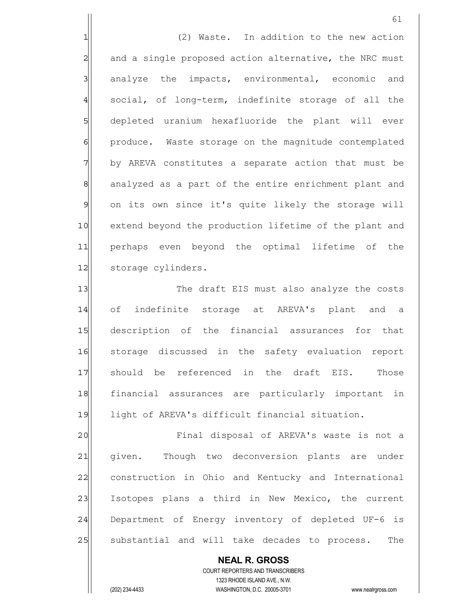**NEAL R. GROSS** 61 1 1 (2) Waste. In addition to the new action 2 and a single proposed action alternative, the NRC must  $3$  analyze the impacts, environmental, economic and 4 social, of long-term, indefinite storage of all the 5 5 5 depleted uranium hexafluoride the plant will ever 6 6 produce. Waste storage on the magnitude contemplated 7 7 by AREVA constitutes a separate action that must be 8| analyzed as a part of the entire enrichment plant and 9 on its own since it's quite likely the storage will 10 extend beyond the production lifetime of the plant and 11 perhaps even beyond the optimal lifetime of the 12 storage cylinders. 13 The draft EIS must also analyze the costs 14 of indefinite storage at AREVA's plant and a 15 description of the financial assurances for that 16 storage discussed in the safety evaluation report 17 should be referenced in the draft EIS. Those 18 financial assurances are particularly important in 19 light of AREVA's difficult financial situation. 20 | Tinal disposal of AREVA's waste is not a 21 given. Though two deconversion plants are under 22 construction in Ohio and Kentucky and International 23 Isotopes plans a third in New Mexico, the current 24 Department of Energy inventory of depleted UF-6 is 25 | substantial and will take decades to process. The

> COURT REPORTERS AND TRANSCRIBERS 1323 RHODE ISLAND AVE., N.W.

(202) 234-4433 WASHINGTON, D.C. 20005-3701 www.nealrgross.com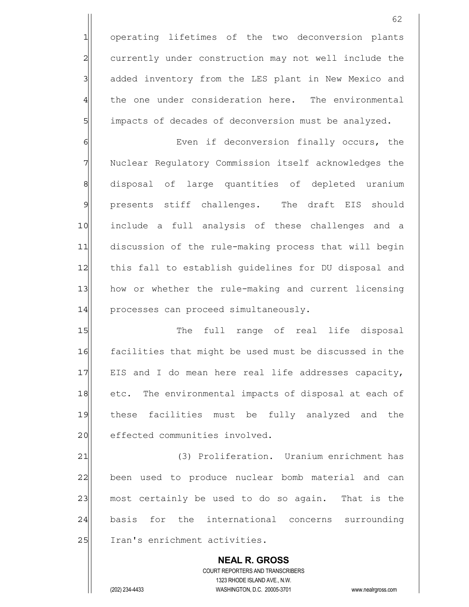1 operating lifetimes of the two deconversion plants 2 currently under construction may not well include the 3 3 added inventory from the LES plant in New Mexico and 4 the one under consideration here. The environmental 5 5 5 impacts of decades of deconversion must be analyzed.

6 6 Even if deconversion finally occurs, the 7 Nuclear Regulatory Commission itself acknowledges the 8 8 8 8 aisposal of large quantities of depleted uranium 9 | presents stiff challenges. The draft EIS should 10 | include a full analysis of these challenges and a 11 discussion of the rule-making process that will begin 12 this fall to establish guidelines for DU disposal and 13 how or whether the rule-making and current licensing 14 processes can proceed simultaneously.

15 The full range of real life disposal 16 facilities that might be used must be discussed in the 17 EIS and I do mean here real life addresses capacity, 18 etc. The environmental impacts of disposal at each of 19 these facilities must be fully analyzed and the 20 effected communities involved.

21 (3) Proliferation. Uranium enrichment has 22 been used to produce nuclear bomb material and can 23 most certainly be used to do so again. That is the 24 basis for the international concerns surrounding 25 Iran's enrichment activities.

 **NEAL R. GROSS** COURT REPORTERS AND TRANSCRIBERS 1323 RHODE ISLAND AVE., N.W. (202) 234-4433 WASHINGTON, D.C. 20005-3701 www.nealrgross.com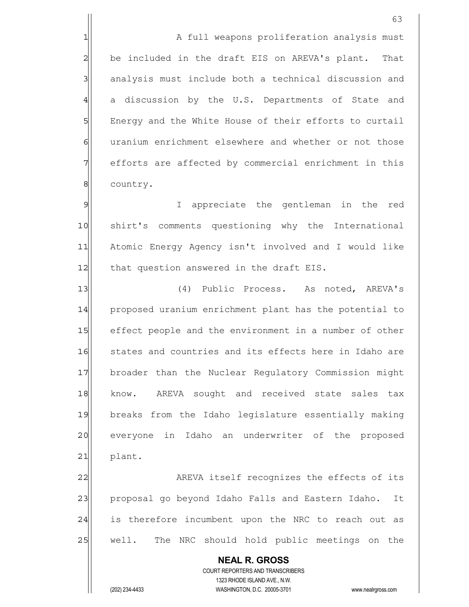1 1 A full weapons proliferation analysis must 2 be included in the draft EIS on AREVA's plant. That 3 analysis must include both a technical discussion and 4 a discussion by the U.S. Departments of State and 5 | Energy and the White House of their efforts to curtail 6 6 uranium enrichment elsewhere and whether or not those 7 | efforts are affected by commercial enrichment in this 8 country.

9 9 I appreciate the gentleman in the red 10|| shirt's comments questioning why the International 11 Atomic Energy Agency isn't involved and I would like 12 | that question answered in the draft EIS.

13 (4) Public Process. As noted, AREVA's 14 proposed uranium enrichment plant has the potential to 15 effect people and the environment in a number of other 16 states and countries and its effects here in Idaho are 17 broader than the Nuclear Regulatory Commission might 18 know. AREVA sought and received state sales tax 19 breaks from the Idaho legislature essentially making 20 everyone in Idaho an underwriter of the proposed  $21$  plant.

22 AREVA itself recognizes the effects of its 23 proposal go beyond Idaho Falls and Eastern Idaho. It 24 is therefore incumbent upon the NRC to reach out as 25 | well. The NRC should hold public meetings on the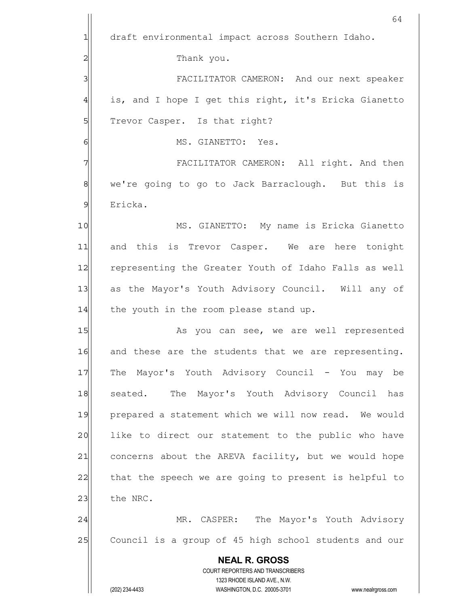|                | 64                                                                  |
|----------------|---------------------------------------------------------------------|
| 1              | draft environmental impact across Southern Idaho.                   |
| 2              | Thank you.                                                          |
| 3              | FACILITATOR CAMERON: And our next speaker                           |
| 4              | is, and I hope I get this right, it's Ericka Gianetto               |
| 5              | Trevor Casper. Is that right?                                       |
| 6              | MS. GIANETTO: Yes.                                                  |
| 7              | FACILITATOR CAMERON: All right. And then                            |
| 8              | we're going to go to Jack Barraclough. But this is                  |
| $\mathfrak{S}$ | Ericka.                                                             |
| 10             | MS. GIANETTO: My name is Ericka Gianetto                            |
| 11             | and this is Trevor Casper. We are here tonight                      |
| 12             | representing the Greater Youth of Idaho Falls as well               |
| 13             | as the Mayor's Youth Advisory Council. Will any of                  |
| 14             | the youth in the room please stand up.                              |
| 15             | As you can see, we are well represented                             |
| 16             | and these are the students that we are representing.                |
| 17             | The Mayor's Youth Advisory Council - You may be                     |
| 18             | seated. The Mayor's Youth Advisory Council has                      |
| 19             | prepared a statement which we will now read. We would               |
| 20             | like to direct our statement to the public who have                 |
| 21             | concerns about the AREVA facility, but we would hope                |
| 22             | that the speech we are going to present is helpful to               |
| 23             | the NRC.                                                            |
| 24             | MR. CASPER: The Mayor's Youth Advisory                              |
| 25             | Council is a group of 45 high school students and our               |
|                | <b>NEAL R. GROSS</b>                                                |
|                | COURT REPORTERS AND TRANSCRIBERS<br>1323 RHODE ISLAND AVE., N.W.    |
|                | (202) 234-4433<br>WASHINGTON, D.C. 20005-3701<br>www.nealrgross.com |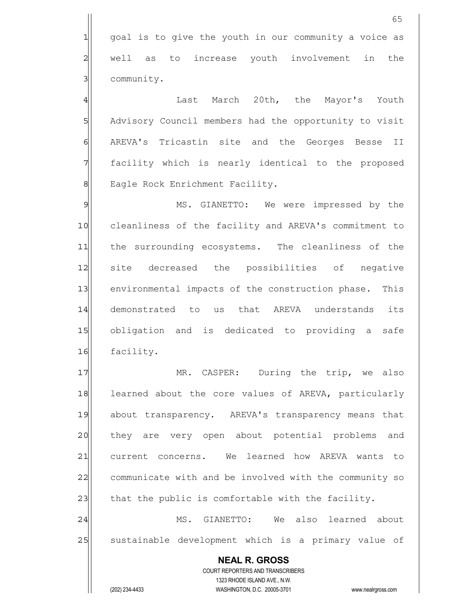**NEAL R. GROSS** COURT REPORTERS AND TRANSCRIBERS 1323 RHODE ISLAND AVE., N.W. (202) 234-4433 WASHINGTON, D.C. 20005-3701 www.nealrgross.com 65 1 qoal is to give the youth in our community a voice as 2 well as to increase youth involvement in the 3 community. 4 | Last March 20th, the Mayor's Youth 5 Advisory Council members had the opportunity to visit 6 AREVA's Tricastin site and the Georges Besse II 7 facility which is nearly identical to the proposed 8 || Eagle Rock Enrichment Facility. 9 MS. GIANETTO: We were impressed by the 10 cleanliness of the facility and AREVA's commitment to 11 the surrounding ecosystems. The cleanliness of the 12 site decreased the possibilities of negative 13 environmental impacts of the construction phase. This 14 demonstrated to us that AREVA understands its 15 obligation and is dedicated to providing a safe 16 facility. 17 MR. CASPER: During the trip, we also 18 learned about the core values of AREVA, particularly 19 about transparency. AREVA's transparency means that 20 they are very open about potential problems and 21 current concerns. We learned how AREVA wants to 22 communicate with and be involved with the community so 23 that the public is comfortable with the facility. 24 MS. GIANETTO: We also learned about 25 | sustainable development which is a primary value of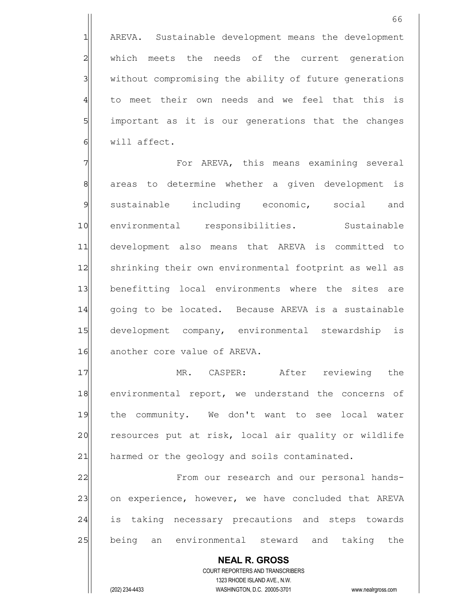1 AREVA. Sustainable development means the development 2 which meets the needs of the current generation 3 3 without compromising the ability of future generations 4 to meet their own needs and we feel that this is 5 5 5 important as it is our generations that the changes  $6$  will affect.

7 The South AREVA, this means examining several 8 areas to determine whether a given development is 9 sustainable including economic, social and 10 | environmental responsibilities. Sustainable 11 development also means that AREVA is committed to 12 Shrinking their own environmental footprint as well as 13 benefitting local environments where the sites are 14 qoing to be located. Because AREVA is a sustainable 15 development company, environmental stewardship is 16 another core value of AREVA.

17 MR. CASPER: After reviewing the 18 environmental report, we understand the concerns of 19 the community. We don't want to see local water 20 resources put at risk, local air quality or wildlife 21 harmed or the geology and soils contaminated.

22 | From our research and our personal hands-23 on experience, however, we have concluded that AREVA 24 is taking necessary precautions and steps towards 25 being an environmental steward and taking the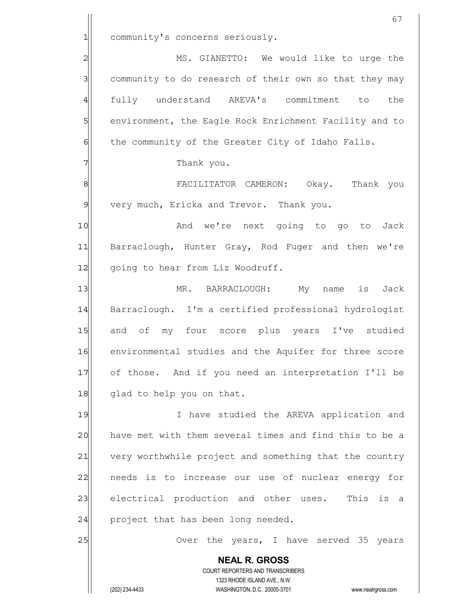|                | 67                                                                                                  |
|----------------|-----------------------------------------------------------------------------------------------------|
| $\mathbf{1}$   | community's concerns seriously.                                                                     |
| $\overline{c}$ | MS. GIANETTO: We would like to urge the                                                             |
| 3              | community to do research of their own so that they may                                              |
| $\overline{4}$ | fully understand AREVA's commitment to<br>the                                                       |
| 5              | environment, the Eagle Rock Enrichment Facility and to                                              |
| $\epsilon$     | the community of the Greater City of Idaho Falls.                                                   |
| 7              | Thank you.                                                                                          |
| 8              | FACILITATOR CAMERON: Okay. Thank you                                                                |
| $\mathfrak{g}$ | very much, Ericka and Trevor. Thank you.                                                            |
| 10             | And we're next going to go to Jack                                                                  |
| 11             | Barraclough, Hunter Gray, Rod Fuger and then we're                                                  |
| 12             | going to hear from Liz Woodruff.                                                                    |
| 13             | My name is Jack<br>MR. BARRACLOUGH:                                                                 |
| 14             | Barraclough. I'm a certified professional hydrologist                                               |
| 15             | and of my four score plus years I've studied                                                        |
| 16             | environmental studies and the Aquifer for three score                                               |
| 17             | of those. And if you need an interpretation I'll be                                                 |
| 18             | glad to help you on that.                                                                           |
| 19             | I have studied the AREVA application and                                                            |
| 20             | have met with them several times and find this to be a                                              |
| 21             | very worthwhile project and something that the country                                              |
| 22             | needs is to increase our use of nuclear energy for                                                  |
| 23             | electrical production and other uses. This is a                                                     |
| 24             | project that has been long needed.                                                                  |
| 25             | Over the years, I have served 35 years                                                              |
|                | <b>NEAL R. GROSS</b><br>COURT REPORTERS AND TRANSCRIBERS                                            |
|                | 1323 RHODE ISLAND AVE., N.W.<br>(202) 234-4433<br>WASHINGTON, D.C. 20005-3701<br>www.nealrgross.com |
|                |                                                                                                     |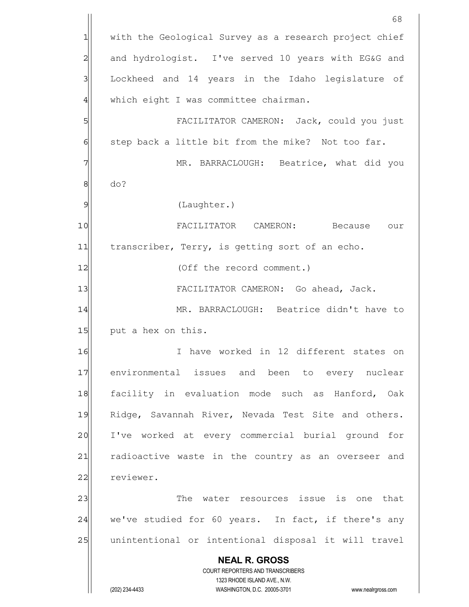**NEAL R. GROSS** COURT REPORTERS AND TRANSCRIBERS 1323 RHODE ISLAND AVE., N.W. (202) 234-4433 WASHINGTON, D.C. 20005-3701 www.nealrgross.com 68 1 with the Geological Survey as a research project chief 2 and hydrologist. I've served 10 years with EG&G and 3 3 Lockheed and 14 years in the Idaho legislature of  $4$  which eight I was committee chairman. 5 | Solution CAMERON: Jack, could you just  $6$  step back a little bit from the mike? Not too far. 7 MR. BARRACLOUGH: Beatrice, what did you 8 do? 9 (Laughter.) 10 | FACILITATOR CAMERON: Because our 11 transcriber, Terry, is getting sort of an echo. 12 (Off the record comment.) 13 | FACILITATOR CAMERON: Go ahead, Jack. 14 MR. BARRACLOUGH: Beatrice didn't have to 15 put a hex on this. 16 I have worked in 12 different states on 17 environmental issues and been to every nuclear 18 facility in evaluation mode such as Hanford, Oak 19 Ridge, Savannah River, Nevada Test Site and others. 20 I've worked at every commercial burial ground for 21 radioactive waste in the country as an overseer and 22 reviewer. 23 and 23 The water resources issue is one that  $24$  we've studied for 60 years. In fact, if there's any 25 | unintentional or intentional disposal it will travel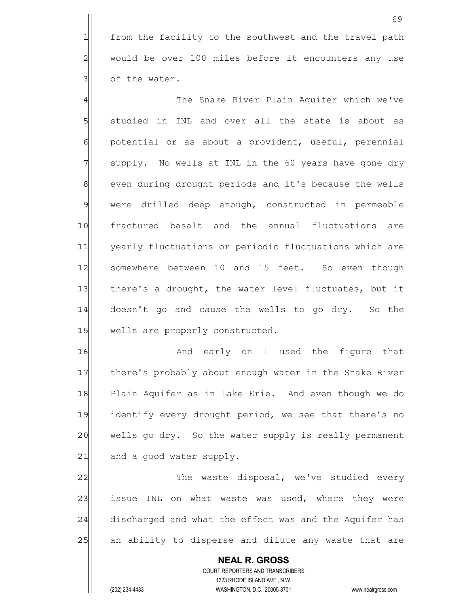1 from the facility to the southwest and the travel path 2 would be over 100 miles before it encounters any use  $3$  of the water.

4 The Snake River Plain Aquifer which we've 5 studied in INL and over all the state is about as 6 potential or as about a provident, useful, perennial 7 supply. No wells at INL in the 60 years have gone dry 8 8 even during drought periods and it's because the wells 9 were drilled deep enough, constructed in permeable 10 fractured basalt and the annual fluctuations are 11 yearly fluctuations or periodic fluctuations which are 12 somewhere between 10 and 15 feet. So even though 13 there's a drought, the water level fluctuates, but it 14 doesn't go and cause the wells to go dry. So the 15 wells are properly constructed.

16 and early on I used the figure that 17 there's probably about enough water in the Snake River 18 Plain Aquifer as in Lake Erie. And even though we do 19 identify every drought period, we see that there's no 20 wells go dry. So the water supply is really permanent 21 and a good water supply.

22 The waste disposal, we've studied every 23 issue INL on what waste was used, where they were 24 discharged and what the effect was and the Aquifer has 25 an ability to disperse and dilute any waste that are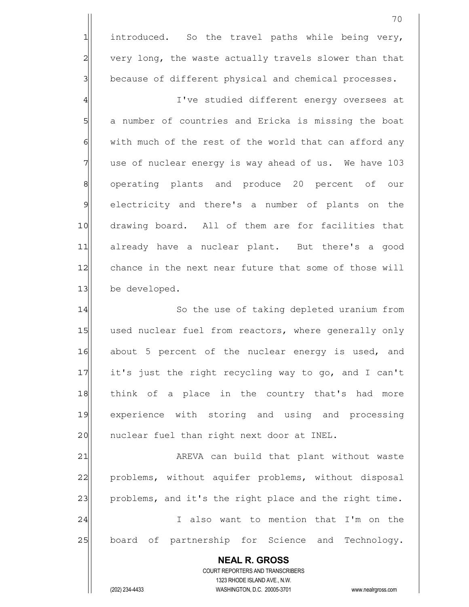1 introduced. So the travel paths while being very, 2 very long, the waste actually travels slower than that 3 because of different physical and chemical processes.

4 all interpretent energy oversees at 5 a number of countries and Ericka is missing the boat  $6$  with much of the rest of the world that can afford any  $7$  use of nuclear energy is way ahead of us. We have 103 8 8 operating plants and produce 20 percent of our 9 electricity and there's a number of plants on the 10 drawing board. All of them are for facilities that 11 already have a nuclear plant. But there's a good 12 chance in the next near future that some of those will 13 be developed.

14 So the use of taking depleted uranium from 15 used nuclear fuel from reactors, where generally only 16 about 5 percent of the nuclear energy is used, and 17 it's just the right recycling way to go, and I can't 18 think of a place in the country that's had more 19 experience with storing and using and processing 20 | nuclear fuel than right next door at INEL.

21 | AREVA can build that plant without waste 22 problems, without aquifer problems, without disposal 23 problems, and it's the right place and the right time. 24 and 1 I also want to mention that I'm on the 25 board of partnership for Science and Technology.

 **NEAL R. GROSS** COURT REPORTERS AND TRANSCRIBERS 1323 RHODE ISLAND AVE., N.W. (202) 234-4433 WASHINGTON, D.C. 20005-3701 www.nealrgross.com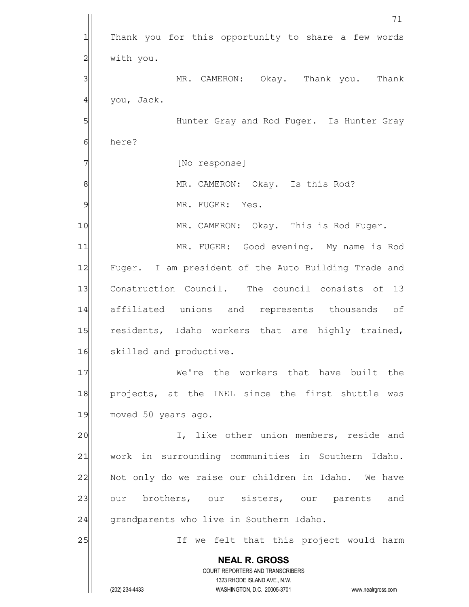**NEAL R. GROSS** COURT REPORTERS AND TRANSCRIBERS 1323 RHODE ISLAND AVE., N.W. (202) 234-4433 WASHINGTON, D.C. 20005-3701 www.nealrgross.com 71 1 Thank you for this opportunity to share a few words 2 | with you. 3 MR. CAMERON: Okay. Thank you. Thank  $4$  you, Jack. 5 | Solution Gray and Rod Fuger. Is Hunter Gray 6 here? 7 [No response] 8 MR. CAMERON: Okay. Is this Rod? 9 MR. FUGER: Yes. 10 MR. CAMERON: Okay. This is Rod Fuger. 11| MR. FUGER: Good evening. My name is Rod 12 Fuger. I am president of the Auto Building Trade and 13 Construction Council. The council consists of 13 14 affiliated unions and represents thousands of 15 residents, Idaho workers that are highly trained, 16 Skilled and productive. 17 and 17 We're the workers that have built the 18 projects, at the INEL since the first shuttle was 19 moved 50 years ago. 20 | I, like other union members, reside and 21 work in surrounding communities in Southern Idaho. 22 Not only do we raise our children in Idaho. We have 23 our brothers, our sisters, our parents and 24 grandparents who live in Southern Idaho. 25 and 11 If we felt that this project would harm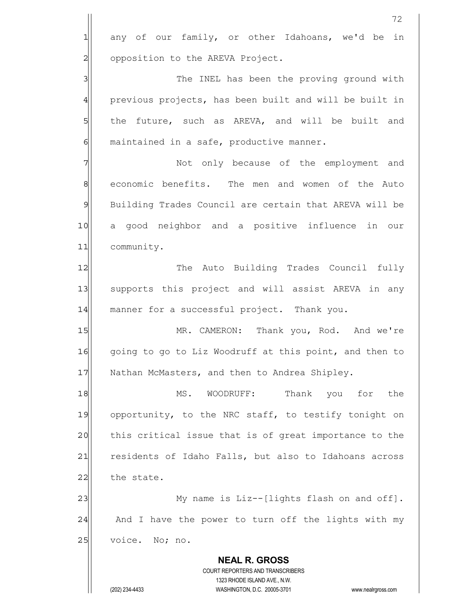|                | 72                                                       |
|----------------|----------------------------------------------------------|
| $\mathbf{1}$   | any of our family, or other Idahoans, we'd be in         |
| $\overline{c}$ | opposition to the AREVA Project.                         |
| 3              | The INEL has been the proving ground with                |
| $\overline{4}$ | previous projects, has been built and will be built in   |
| 5              | the future, such as AREVA, and will be built and         |
| 6              | maintained in a safe, productive manner.                 |
| 7              | Not only because of the employment and                   |
| 8              | economic benefits. The men and women of the Auto         |
| $\mathfrak{S}$ | Building Trades Council are certain that AREVA will be   |
| 10             | a good neighbor and a positive influence in our          |
| 11             | community.                                               |
| 12             | The Auto Building Trades Council fully                   |
| 13             | supports this project and will assist AREVA in any       |
| 14             | manner for a successful project. Thank you.              |
| 15             | MR. CAMERON: Thank you, Rod. And we're                   |
| 16             | going to go to Liz Woodruff at this point, and then to   |
| 17             | Nathan McMasters, and then to Andrea Shipley.            |
| 18             | Thank you<br>WOODRUFF:<br>the<br>MS.<br>for              |
| 19             | opportunity, to the NRC staff, to testify tonight on     |
| 20             | this critical issue that is of great importance to the   |
| 21             | residents of Idaho Falls, but also to Idahoans across    |
| 22             | the state.                                               |
| 23             | My name is Liz--[lights flash on and off].               |
| 24             | And I have the power to turn off the lights with my      |
| 25             | voice. No; no.                                           |
|                | <b>NEAL R. GROSS</b><br>COURT REPORTERS AND TRANSCRIBERS |

1323 RHODE ISLAND AVE., N.W.

 $\begin{array}{c} \hline \end{array}$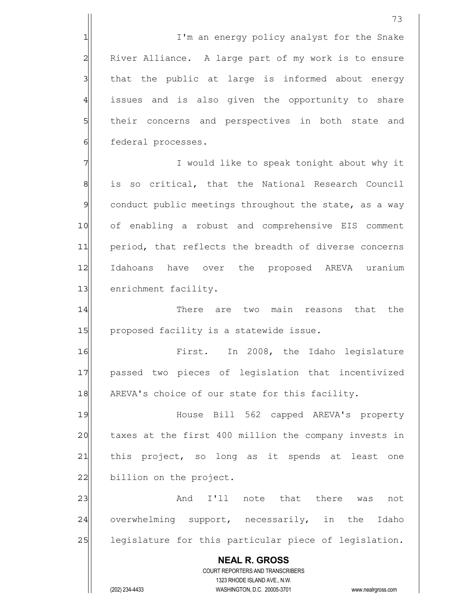1 I'm an energy policy analyst for the Snake 2 River Alliance. A large part of my work is to ensure 3 31 that the public at large is informed about energy 4 issues and is also given the opportunity to share 5 5 5 5 their concerns and perspectives in both state and 6 federal processes.

7 7 I would like to speak tonight about why it 8 is so critical, that the National Research Council 9 conduct public meetings throughout the state, as a way 10 of enabling a robust and comprehensive EIS comment 11 period, that reflects the breadth of diverse concerns 12 Idahoans have over the proposed AREVA uranium 13 enrichment facility.

14 There are two main reasons that the 15 proposed facility is a statewide issue.

16 First. In 2008, the Idaho legislature 17 | passed two pieces of legislation that incentivized 18 AREVA's choice of our state for this facility.

19 House Bill 562 capped AREVA's property 20 taxes at the first 400 million the company invests in 21 | this project, so long as it spends at least one 22 billion on the project.

23 and I'll note that there was not 24 overwhelming support, necessarily, in the Idaho 25 | legislature for this particular piece of legislation.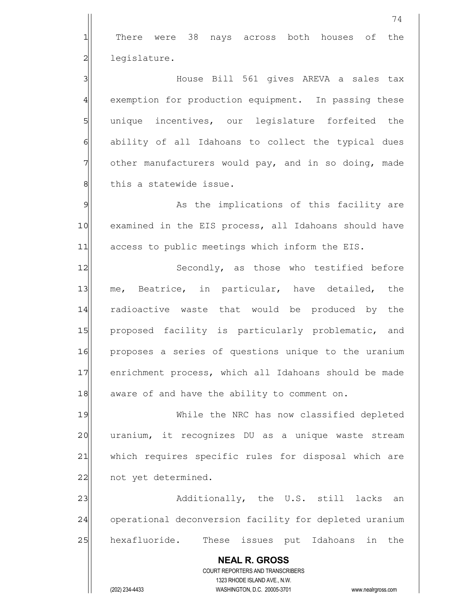**NEAL R. GROSS** COURT REPORTERS AND TRANSCRIBERS 1323 RHODE ISLAND AVE., N.W. (202) 234-4433 WASHINGTON, D.C. 20005-3701 www.nealrgross.com 74 1 There were 38 nays across both houses of the 2 legislature. 3 House Bill 561 gives AREVA a sales tax 4 exemption for production equipment. In passing these 5 s 5 b unique incentives, our legislature forfeited the 6 6 6 ability of all Idahoans to collect the typical dues 7 other manufacturers would pay, and in so doing, made 8 | this a statewide issue. 9 As the implications of this facility are 10 examined in the EIS process, all Idahoans should have 11 access to public meetings which inform the EIS. 12 Secondly, as those who testified before 13 me, Beatrice, in particular, have detailed, the 14 radioactive waste that would be produced by the 15 proposed facility is particularly problematic, and 16 proposes a series of questions unique to the uranium 17 enrichment process, which all Idahoans should be made 18 aware of and have the ability to comment on. 19 While the NRC has now classified depleted 20 uranium, it recognizes DU as a unique waste stream 21 | which requires specific rules for disposal which are 22 not yet determined. 23 additionally, the U.S. still lacks an 24 operational deconversion facility for depleted uranium 25 | hexafluoride. These issues put Idahoans in the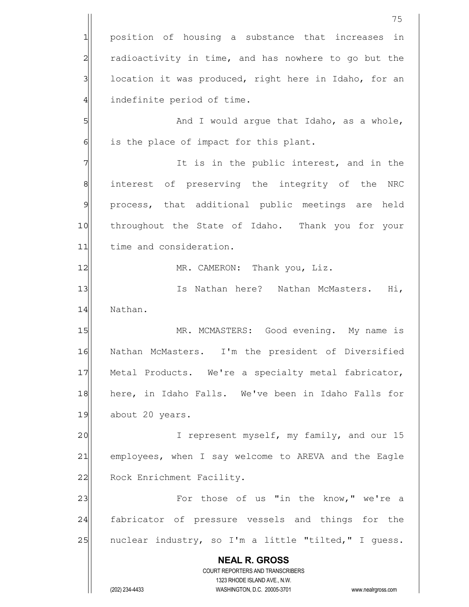**NEAL R. GROSS** COURT REPORTERS AND TRANSCRIBERS 1323 RHODE ISLAND AVE., N.W. (202) 234-4433 WASHINGTON, D.C. 20005-3701 www.nealrgross.com 75 1 position of housing a substance that increases in 2 radioactivity in time, and has nowhere to go but the  $3$  location it was produced, right here in Idaho, for an 4 indefinite period of time. 5 S  $6$  is the place of impact for this plant. 7 7 The is in the public interest, and in the 8 8 interest of preserving the integrity of the NRC 9 process, that additional public meetings are held 10 throughout the State of Idaho. Thank you for your 11 time and consideration. 12 MR. CAMERON: Thank you, Liz. 13 Is Nathan here? Nathan McMasters. Hi, 14 Nathan. 15 MR. MCMASTERS: Good evening. My name is 16 Nathan McMasters. I'm the president of Diversified 17 Metal Products. We're a specialty metal fabricator, 18 here, in Idaho Falls. We've been in Idaho Falls for 19 about 20 years. 20 I represent myself, my family, and our 15 21 employees, when I say welcome to AREVA and the Eagle 22 Rock Enrichment Facility. 23 | Tor those of us "in the know," we're a 24 fabricator of pressure vessels and things for the 25 | nuclear industry, so I'm a little "tilted," I guess.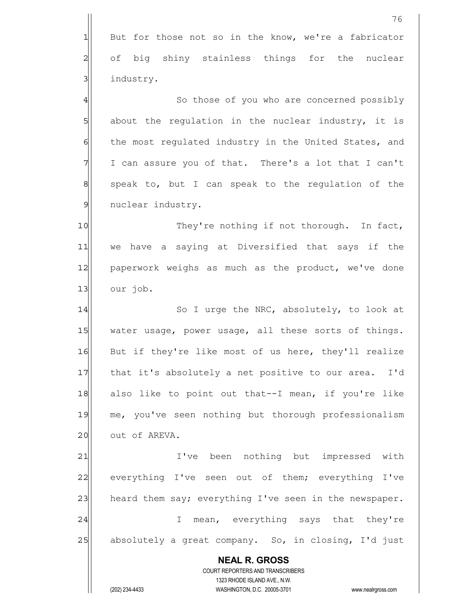|                | 76                                                                                                  |
|----------------|-----------------------------------------------------------------------------------------------------|
| $\mathbf{1}$   | But for those not so in the know, we're a fabricator                                                |
| $\overline{c}$ | of big shiny stainless things for the nuclear                                                       |
| $\mathbf{3}$   | industry.                                                                                           |
| $\overline{4}$ | So those of you who are concerned possibly                                                          |
| 5              | about the regulation in the nuclear industry, it is                                                 |
| 6              | the most regulated industry in the United States, and                                               |
| 7              | I can assure you of that. There's a lot that I can't                                                |
| $\,8\,$        | speak to, but I can speak to the regulation of the                                                  |
| $\mathsf{S}$   | nuclear industry.                                                                                   |
| 10             | They're nothing if not thorough. In fact,                                                           |
| 11             | we have a saying at Diversified that says if the                                                    |
| 12             | paperwork weighs as much as the product, we've done                                                 |
| 13             | our job.                                                                                            |
| 14             | So I urge the NRC, absolutely, to look at                                                           |
| 15             | water usage, power usage, all these sorts of things.                                                |
| 16             | But if they're like most of us here, they'll realize                                                |
| 17             | that it's absolutely a net positive to our area.<br>I'd                                             |
| 18             | also like to point out that--I mean, if you're like                                                 |
| 19             | me, you've seen nothing but thorough professionalism                                                |
| 20             | out of AREVA.                                                                                       |
| 21             | I've been nothing but impressed with                                                                |
| 22             | everything I've seen out of them; everything I've                                                   |
| 23             | heard them say; everything I've seen in the newspaper.                                              |
| 24             | mean, everything says that they're<br>I.                                                            |
| 25             | absolutely a great company. So, in closing, I'd just                                                |
|                | <b>NEAL R. GROSS</b>                                                                                |
|                | COURT REPORTERS AND TRANSCRIBERS                                                                    |
|                | 1323 RHODE ISLAND AVE., N.W.<br>(202) 234-4433<br>WASHINGTON, D.C. 20005-3701<br>www.nealrgross.com |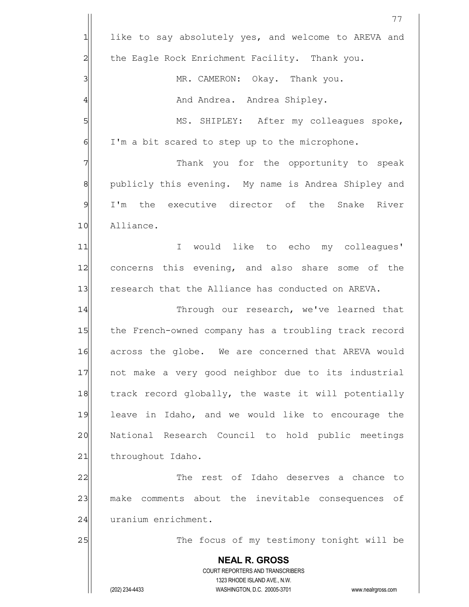|                | 77                                                                                                  |
|----------------|-----------------------------------------------------------------------------------------------------|
| $\mathbf{1}$   | like to say absolutely yes, and welcome to AREVA and                                                |
| $\overline{c}$ | the Eagle Rock Enrichment Facility. Thank you.                                                      |
| 3              | MR. CAMERON: Okay. Thank you.                                                                       |
| 4              | And Andrea. Andrea Shipley.                                                                         |
| 5              | MS. SHIPLEY: After my colleagues spoke,                                                             |
| 6              | I'm a bit scared to step up to the microphone.                                                      |
| 7              | Thank you for the opportunity to speak                                                              |
| $\,8\,$        | publicly this evening. My name is Andrea Shipley and                                                |
| $\mathfrak{S}$ | I'm the executive director of the Snake River                                                       |
| 10             | Alliance.                                                                                           |
| 11             | would like to echo my colleagues'<br>I.                                                             |
| 12             | concerns this evening, and also share some of the                                                   |
| 13             | research that the Alliance has conducted on AREVA.                                                  |
| 14             | Through our research, we've learned that                                                            |
| 15             | the French-owned company has a troubling track record                                               |
| 16             | across the globe. We are concerned that AREVA would                                                 |
| 17             | not make a very good neighbor due to its industrial                                                 |
| 18             | track record globally, the waste it will potentially                                                |
| 19             | leave in Idaho, and we would like to encourage the                                                  |
| 20             | National Research Council to hold public meetings                                                   |
| 21             | throughout Idaho.                                                                                   |
| 22             | The rest of Idaho deserves a chance to                                                              |
| 23             | make comments about the inevitable consequences of                                                  |
| 24             | uranium enrichment.                                                                                 |
| 25             | The focus of my testimony tonight will be                                                           |
|                | <b>NEAL R. GROSS</b>                                                                                |
|                | COURT REPORTERS AND TRANSCRIBERS                                                                    |
|                | 1323 RHODE ISLAND AVE., N.W.<br>(202) 234-4433<br>WASHINGTON, D.C. 20005-3701<br>www.nealrgross.com |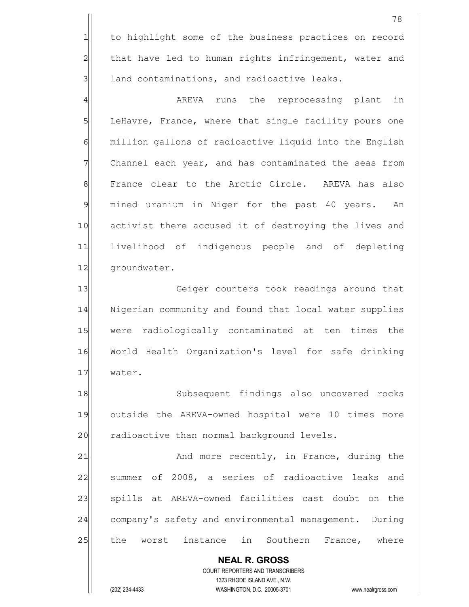1 to highlight some of the business practices on record 2 that have led to human rights infringement, water and  $3$  land contaminations, and radioactive leaks.

4|| AREVA runs the reprocessing plant in 5 LeHavre, France, where that single facility pours one 6 6 million gallons of radioactive liquid into the English 7 Channel each year, and has contaminated the seas from 8 | France clear to the Arctic Circle. AREVA has also 9 mined uranium in Niger for the past 40 years. An 10 activist there accused it of destroying the lives and 11 livelihood of indigenous people and of depleting 12 | groundwater.

13 Geiger counters took readings around that 14 Nigerian community and found that local water supplies 15 were radiologically contaminated at ten times the 16 World Health Organization's level for safe drinking 17 water.

18 Subsequent findings also uncovered rocks 19 outside the AREVA-owned hospital were 10 times more 20 radioactive than normal background levels.

21 and more recently, in France, during the 22 Summer of 2008, a series of radioactive leaks and 23 | spills at AREVA-owned facilities cast doubt on the 24 company's safety and environmental management. During 25 the worst instance in Southern France, where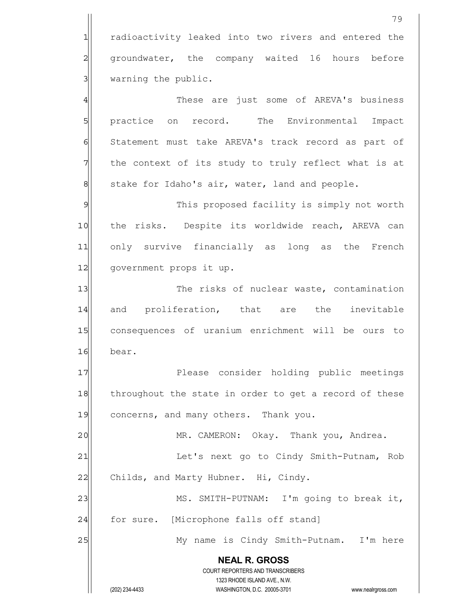1 radioactivity leaked into two rivers and entered the 2 groundwater, the company waited 16 hours before  $3$  warning the public.

4 and These are just some of AREVA's business 5 5 practice on record. The Environmental Impact 6 Statement must take AREVA's track record as part of  $7$  the context of its study to truly reflect what is at  $8$  stake for Idaho's air, water, land and people.

9 This proposed facility is simply not worth 10 the risks. Despite its worldwide reach, AREVA can 11 only survive financially as long as the French 12 government props it up.

13 The risks of nuclear waste, contamination 14 and proliferation, that are the inevitable 15 consequences of uranium enrichment will be ours to 16 bear.

17 Please consider holding public meetings 18 throughout the state in order to get a record of these 19 concerns, and many others. Thank you.

20 MR. CAMERON: Okay. Thank you, Andrea.

21 | Let's next go to Cindy Smith-Putnam, Rob 22 Childs, and Marty Hubner. Hi, Cindy.

23 MS. SMITH-PUTNAM: I'm going to break it,  $24$  for sure. [Microphone falls off stand]

25 My name is Cindy Smith-Putnam. I'm here

 **NEAL R. GROSS** COURT REPORTERS AND TRANSCRIBERS

1323 RHODE ISLAND AVE., N.W.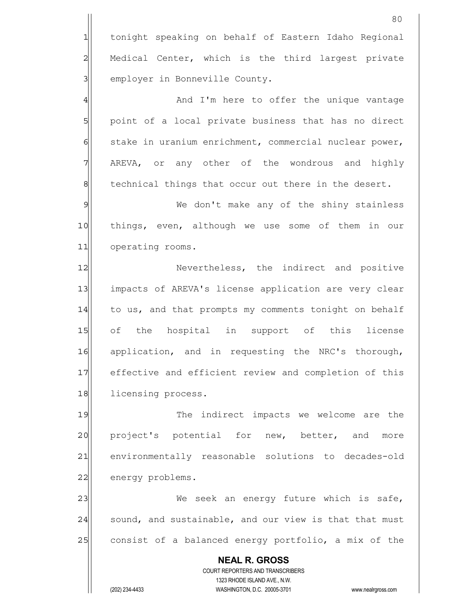|                | 80                                                                                                  |
|----------------|-----------------------------------------------------------------------------------------------------|
| $\mathbf 1$    | tonight speaking on behalf of Eastern Idaho Regional                                                |
| $\overline{a}$ | Medical Center, which is the third largest private                                                  |
| $\overline{3}$ | employer in Bonneville County.                                                                      |
| $\overline{4}$ | And I'm here to offer the unique vantage                                                            |
| $\overline{5}$ | point of a local private business that has no direct                                                |
| $\epsilon$     | stake in uranium enrichment, commercial nuclear power,                                              |
| 7              | AREVA, or any other of the wondrous and highly                                                      |
| $\mathbf 8$    | technical things that occur out there in the desert.                                                |
| $\mathfrak{S}$ | We don't make any of the shiny stainless                                                            |
| 10             | things, even, although we use some of them in our                                                   |
| 11             | operating rooms.                                                                                    |
| 12             | Nevertheless, the indirect and positive                                                             |
| 13             | impacts of AREVA's license application are very clear                                               |
| 14             | to us, and that prompts my comments tonight on behalf                                               |
| 15             | of the hospital in support of this license                                                          |
| 16             | application, and in requesting the NRC's thorough,                                                  |
| 17             | effective and efficient review and completion of this                                               |
| 18             | licensing process.                                                                                  |
| 19             | The indirect impacts we welcome are the                                                             |
| 20             | project's potential for new, better, and<br>more                                                    |
| 21             | environmentally reasonable solutions to decades-old                                                 |
| 22             | energy problems.                                                                                    |
| 23             | We seek an energy future which is safe,                                                             |
| 24             | sound, and sustainable, and our view is that that must                                              |
| 25             | consist of a balanced energy portfolio, a mix of the                                                |
|                | <b>NEAL R. GROSS</b>                                                                                |
|                | COURT REPORTERS AND TRANSCRIBERS                                                                    |
|                | 1323 RHODE ISLAND AVE., N.W.<br>(202) 234-4433<br>WASHINGTON, D.C. 20005-3701<br>www.nealrgross.com |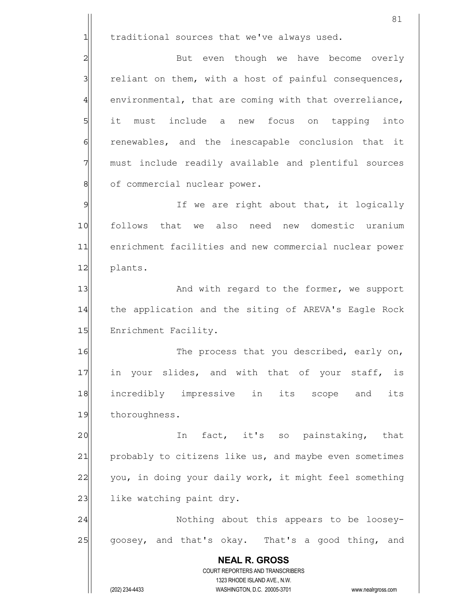$1$  traditional sources that we've always used.

2 But even though we have become overly  $3$  reliant on them, with a host of painful consequences,  $4$  environmental, that are coming with that overreliance, 5 it must include a new focus on tapping into 6 6 6 renewables, and the inescapable conclusion that it 7 must include readily available and plentiful sources 8 of commercial nuclear power.

9 9 If we are right about that, it logically 10 follows that we also need new domestic uranium 11 enrichment facilities and new commercial nuclear power 12 plants.

13 And with regard to the former, we support 14 the application and the siting of AREVA's Eagle Rock 15 Enrichment Facility.

16 The process that you described, early on, 17 in your slides, and with that of your staff, is 18 incredibly impressive in its scope and its 19 thoroughness.

20 In fact, it's so painstaking, that 21 probably to citizens like us, and maybe even sometimes 22 you, in doing your daily work, it might feel something 23 like watching paint dry.

24 | Nothing about this appears to be loosey-25 goosey, and that's okay. That's a good thing, and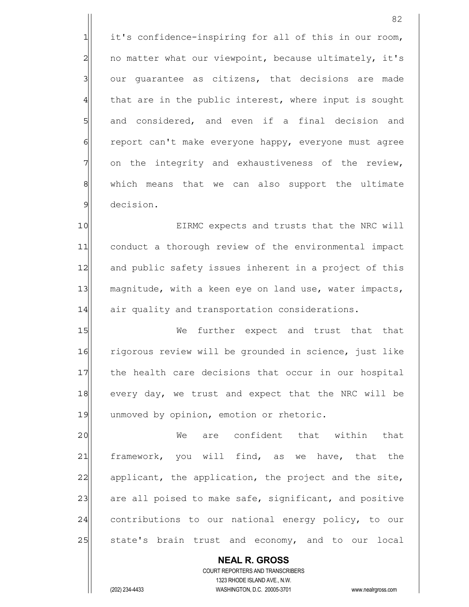1 it's confidence-inspiring for all of this in our room, 2 no matter what our viewpoint, because ultimately, it's 3 our guarantee as citizens, that decisions are made  $4$  that are in the public interest, where input is sought 5 and considered, and even if a final decision and 6 report can't make everyone happy, everyone must agree 7 on the integrity and exhaustiveness of the review, 8| which means that we can also support the ultimate 9 decision.

10 EIRMC expects and trusts that the NRC will 11 conduct a thorough review of the environmental impact 12 and public safety issues inherent in a project of this 13 magnitude, with a keen eye on land use, water impacts, 14 air quality and transportation considerations.

15 We further expect and trust that that 16 rigorous review will be grounded in science, just like 17 the health care decisions that occur in our hospital 18 every day, we trust and expect that the NRC will be 19 unmoved by opinion, emotion or rhetoric.

20 We are confident that within that 21 framework, you will find, as we have, that the 22 applicant, the application, the project and the site, 23 are all poised to make safe, significant, and positive 24 contributions to our national energy policy, to our 25 State's brain trust and economy, and to our local

 COURT REPORTERS AND TRANSCRIBERS 1323 RHODE ISLAND AVE., N.W. (202) 234-4433 WASHINGTON, D.C. 20005-3701 www.nealrgross.com

 **NEAL R. GROSS**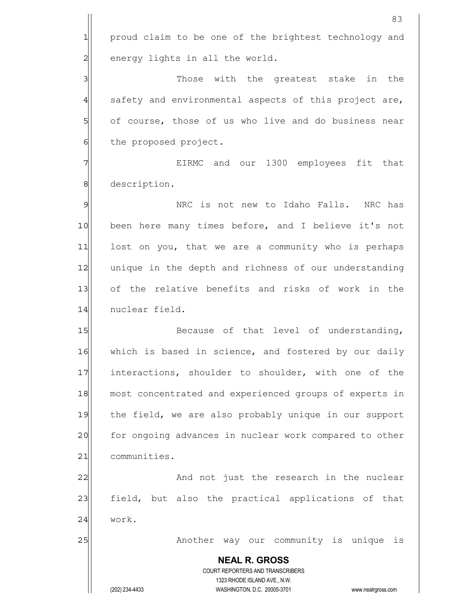**NEAL R. GROSS** COURT REPORTERS AND TRANSCRIBERS 1323 RHODE ISLAND AVE., N.W. (202) 234-4433 WASHINGTON, D.C. 20005-3701 www.nealrgross.com 1 proud claim to be one of the brightest technology and 2 energy lights in all the world. 3 3 3 Those with the greatest stake in the 4 safety and environmental aspects of this project are,  $\frac{1}{\sqrt{2}}$  of course, those of us who live and do business near 6 6 the proposed project. 7 TH EIRMC and our 1300 employees fit that 8 description. 9 9 NRC is not new to Idaho Falls. NRC has 10 been here many times before, and I believe it's not 11 lost on you, that we are a community who is perhaps 12 unique in the depth and richness of our understanding 13 of the relative benefits and risks of work in the 14 nuclear field. 15 Because of that level of understanding, 16 which is based in science, and fostered by our daily 17 interactions, shoulder to shoulder, with one of the 18 most concentrated and experienced groups of experts in 19 the field, we are also probably unique in our support 20 for ongoing advances in nuclear work compared to other 21 communities. 22 and not just the research in the nuclear 23 field, but also the practical applications of that 24 work. 25 | Another way our community is unique is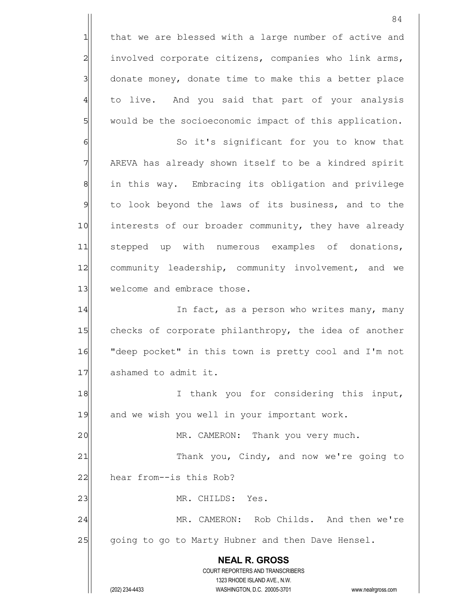84 1 that we are blessed with a large number of active and 2 involved corporate citizens, companies who link arms, 3 donate money, donate time to make this a better place 4 to live. And you said that part of your analysis 5 would be the socioeconomic impact of this application. 6 6 So it's significant for you to know that 7 AREVA has already shown itself to be a kindred spirit 8 8| in this way. Embracing its obligation and privilege 9 to look beyond the laws of its business, and to the 10 interests of our broader community, they have already 11 stepped up with numerous examples of donations, 12 community leadership, community involvement, and we 13 welcome and embrace those. 14 In fact, as a person who writes many, many

15 checks of corporate philanthropy, the idea of another 16 | "deep pocket" in this town is pretty cool and I'm not 17 ashamed to admit it.

18 I thank you for considering this input, 19 and we wish you well in your important work.

20 | MR. CAMERON: Thank you very much.

21 Thank you, Cindy, and now we're going to 22 hear from--is this Rob?

23 | MR. CHILDS: Yes.

24 MR. CAMERON: Rob Childs. And then we're 25 going to go to Marty Hubner and then Dave Hensel.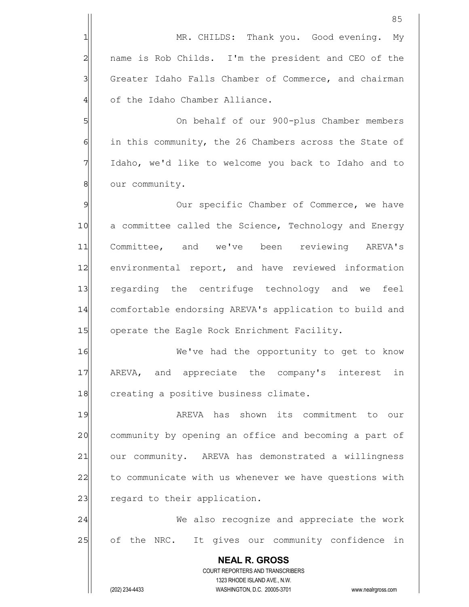|                | 85                                                                  |
|----------------|---------------------------------------------------------------------|
| 1              | MR. CHILDS: Thank you. Good evening. My                             |
| $\overline{c}$ | name is Rob Childs. I'm the president and CEO of the                |
| 3              | Greater Idaho Falls Chamber of Commerce, and chairman               |
| $\overline{4}$ | of the Idaho Chamber Alliance.                                      |
| 5              | On behalf of our 900-plus Chamber members                           |
| $\epsilon$     | in this community, the 26 Chambers across the State of              |
| 7              | Idaho, we'd like to welcome you back to Idaho and to                |
| $\,8\,$        | our community.                                                      |
| $\mathcal{P}$  | Our specific Chamber of Commerce, we have                           |
| 10             | a committee called the Science, Technology and Energy               |
| 11             | Committee, and we've been reviewing AREVA's                         |
| 12             | environmental report, and have reviewed information                 |
| 13             | regarding the centrifuge technology and we feel                     |
| 14             | comfortable endorsing AREVA's application to build and              |
| 15             | operate the Eagle Rock Enrichment Facility.                         |
| 16             | We've had the opportunity to get to know                            |
| 17             | AREVA, and appreciate the company's interest in                     |
| 18             | creating a positive business climate.                               |
| 19             | AREVA has shown its commitment to our                               |
| 20             | community by opening an office and becoming a part of               |
| 21             | our community. AREVA has demonstrated a willingness                 |
| 22             | to communicate with us whenever we have questions with              |
| 23             | regard to their application.                                        |
| 24             | We also recognize and appreciate the work                           |
| 25             | of the NRC. It gives our community confidence in                    |
|                | <b>NEAL R. GROSS</b>                                                |
|                | COURT REPORTERS AND TRANSCRIBERS<br>1323 RHODE ISLAND AVE., N.W.    |
|                | (202) 234-4433<br>WASHINGTON, D.C. 20005-3701<br>www.nealrgross.com |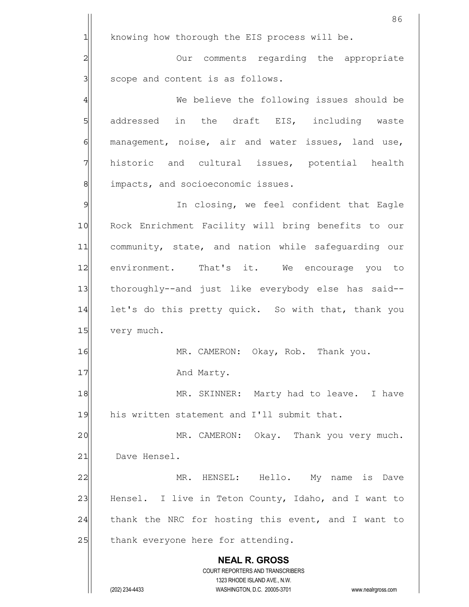|                | 86                                                                                                  |
|----------------|-----------------------------------------------------------------------------------------------------|
| $\mathbf{1}$   | knowing how thorough the EIS process will be.                                                       |
| $\overline{c}$ | Our comments regarding the appropriate                                                              |
| 3              | scope and content is as follows.                                                                    |
| 4              | We believe the following issues should be                                                           |
| 5              | addressed in the draft EIS, including waste                                                         |
| $\epsilon$     | management, noise, air and water issues, land use,                                                  |
| 7              | historic and cultural issues, potential health                                                      |
| $\,8\,$        | impacts, and socioeconomic issues.                                                                  |
| $\mathfrak{S}$ | In closing, we feel confident that Eagle                                                            |
| 10             | Rock Enrichment Facility will bring benefits to our                                                 |
| 11             | community, state, and nation while safeguarding our                                                 |
| 12             | environment. That's it. We encourage you to                                                         |
| 13             | thoroughly--and just like everybody else has said--                                                 |
| 14             | let's do this pretty quick. So with that, thank you                                                 |
| 15             | very much.                                                                                          |
| 16             | MR. CAMERON: Okay, Rob. Thank you.                                                                  |
| 17             | And Marty.                                                                                          |
| 18             | MR. SKINNER: Marty had to leave. I have                                                             |
| 19             | his written statement and I'll submit that.                                                         |
| 20             | MR. CAMERON: Okay. Thank you very much.                                                             |
| 21             | Dave Hensel.                                                                                        |
| 22             | MR. HENSEL: Hello. My name is Dave                                                                  |
| 23             | Hensel. I live in Teton County, Idaho, and I want to                                                |
| 24             | thank the NRC for hosting this event, and I want to                                                 |
| 25             | thank everyone here for attending.                                                                  |
|                | <b>NEAL R. GROSS</b><br>COURT REPORTERS AND TRANSCRIBERS                                            |
|                | 1323 RHODE ISLAND AVE., N.W.<br>(202) 234-4433<br>WASHINGTON, D.C. 20005-3701<br>www.nealrgross.com |
|                |                                                                                                     |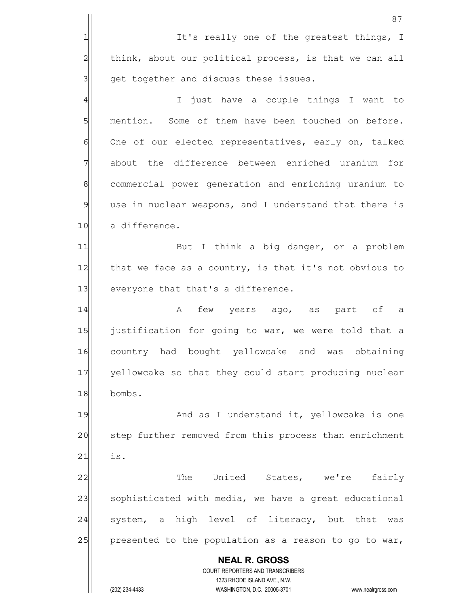|                | 87                                                                                                  |
|----------------|-----------------------------------------------------------------------------------------------------|
| 1              | It's really one of the greatest things, I                                                           |
| $\overline{a}$ | think, about our political process, is that we can all                                              |
| 3              | get together and discuss these issues.                                                              |
| $\overline{4}$ | I just have a couple things I want to                                                               |
| 5              | mention. Some of them have been touched on before.                                                  |
| 6              | One of our elected representatives, early on, talked                                                |
| 7              | about the difference between enriched uranium for                                                   |
| $\,8\,$        | commercial power generation and enriching uranium to                                                |
| $\mathfrak{S}$ | use in nuclear weapons, and I understand that there is                                              |
| 10             | a difference.                                                                                       |
| 11             | But I think a big danger, or a problem                                                              |
| 12             | that we face as a country, is that it's not obvious to                                              |
| 13             | everyone that that's a difference.                                                                  |
| 14             | few years ago, as part of a<br>A                                                                    |
| 15             | justification for going to war, we were told that a                                                 |
| 16             | country had bought yellowcake and was obtaining                                                     |
| 17             | yellowcake so that they could start producing nuclear                                               |
| 18             | bombs.                                                                                              |
| 19             | And as I understand it, yellowcake is one                                                           |
| 20             | step further removed from this process than enrichment                                              |
| 21             | is.                                                                                                 |
| 22             | The United States, we're fairly                                                                     |
| 23             | sophisticated with media, we have a great educational                                               |
| 24             | system, a high level of literacy, but that<br>was                                                   |
| 25             | presented to the population as a reason to go to war,                                               |
|                | <b>NEAL R. GROSS</b>                                                                                |
|                | COURT REPORTERS AND TRANSCRIBERS                                                                    |
|                | 1323 RHODE ISLAND AVE., N.W.<br>(202) 234-4433<br>WASHINGTON, D.C. 20005-3701<br>www.nealrgross.com |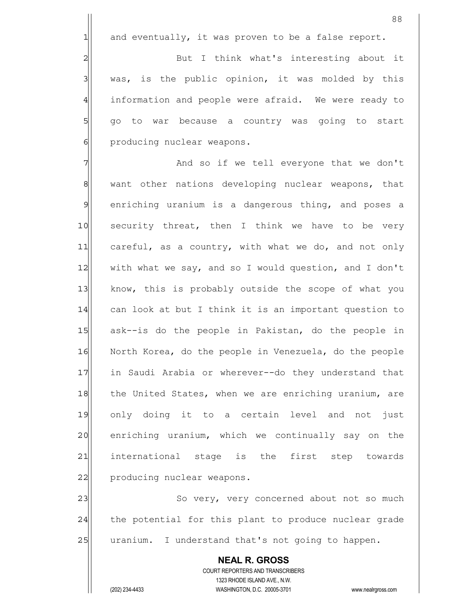$1$  and eventually, it was proven to be a false report.

2 But I think what's interesting about it  $3$  was, is the public opinion, it was molded by this 4 information and people were afraid. We were ready to 5| go to war because a country was going to start 6 6 producing nuclear weapons.

7 and so if we tell everyone that we don't 8 8 want other nations developing nuclear weapons, that 9 enriching uranium is a dangerous thing, and poses a 10 security threat, then I think we have to be very 11 careful, as a country, with what we do, and not only 12 with what we say, and so I would question, and I don't 13 know, this is probably outside the scope of what you 14 can look at but I think it is an important question to 15 ask--is do the people in Pakistan, do the people in 16 North Korea, do the people in Venezuela, do the people 17 in Saudi Arabia or wherever--do they understand that 18 the United States, when we are enriching uranium, are 19 only doing it to a certain level and not just 20 enriching uranium, which we continually say on the 21 international stage is the first step towards 22 producing nuclear weapons.

23 So very, very concerned about not so much 24 the potential for this plant to produce nuclear grade 25 uranium. I understand that's not going to happen.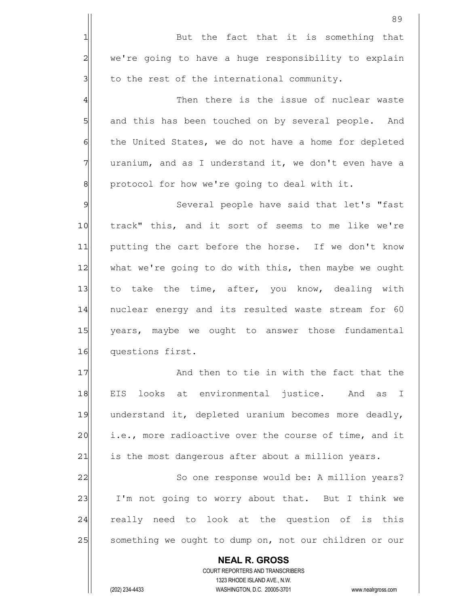**NEAL R. GROSS** COURT REPORTERS AND TRANSCRIBERS 1323 RHODE ISLAND AVE., N.W. 89 1 But the fact that it is something that 2 we're going to have a huge responsibility to explain  $3$  to the rest of the international community. 4 and then there is the issue of nuclear waste 5 5 5 5 and this has been touched on by several people. And 6 6 follow the United States, we do not have a home for depleted  $7$  uranium, and as I understand it, we don't even have a 8 | protocol for how we're going to deal with it. 9 Several people have said that let's "fast 10 track" this, and it sort of seems to me like we're 11 putting the cart before the horse. If we don't know 12 what we're going to do with this, then maybe we ought 13 to take the time, after, you know, dealing with 14 | nuclear energy and its resulted waste stream for 60 15 years, maybe we ought to answer those fundamental 16 questions first. 17 and then to tie in with the fact that the 18 EIS looks at environmental justice. And as I 19 understand it, depleted uranium becomes more deadly, 20 i.e., more radioactive over the course of time, and it 21 is the most dangerous after about a million years. 22 So one response would be: A million years? 23 I'm not going to worry about that. But I think we 24 really need to look at the question of is this 25 something we ought to dump on, not our children or our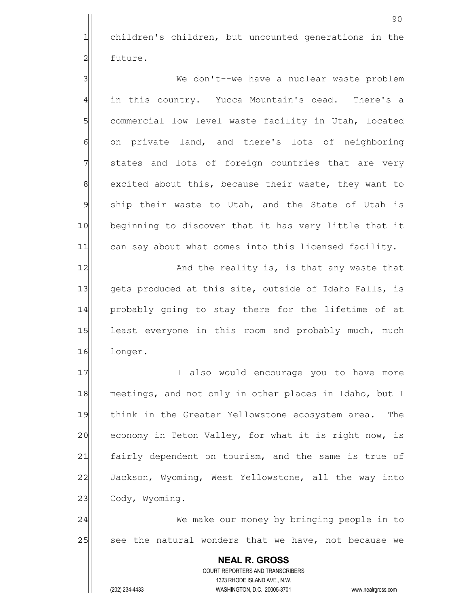1 children's children, but uncounted generations in the 2 future.

3 We don't--we have a nuclear waste problem 4| in this country. Yucca Mountain's dead. There's a 5 Sommercial low level waste facility in Utah, located 6 on private land, and there's lots of neighboring 7 states and lots of foreign countries that are very 8 8 excited about this, because their waste, they want to 9 ship their waste to Utah, and the State of Utah is 10 beginning to discover that it has very little that it 11 can say about what comes into this licensed facility.

12 and the reality is, is that any waste that 13| gets produced at this site, outside of Idaho Falls, is 14 probably going to stay there for the lifetime of at 15 least everyone in this room and probably much, much 16 longer.

17 I also would encourage you to have more 18 meetings, and not only in other places in Idaho, but I 19 think in the Greater Yellowstone ecosystem area. The 20 economy in Teton Valley, for what it is right now, is 21 fairly dependent on tourism, and the same is true of 22 Jackson, Wyoming, West Yellowstone, all the way into 23 Cody, Wyoming.

24 We make our money by bringing people in to 25 | see the natural wonders that we have, not because we

> **NEAL R. GROSS** COURT REPORTERS AND TRANSCRIBERS 1323 RHODE ISLAND AVE., N.W. (202) 234-4433 WASHINGTON, D.C. 20005-3701 www.nealrgross.com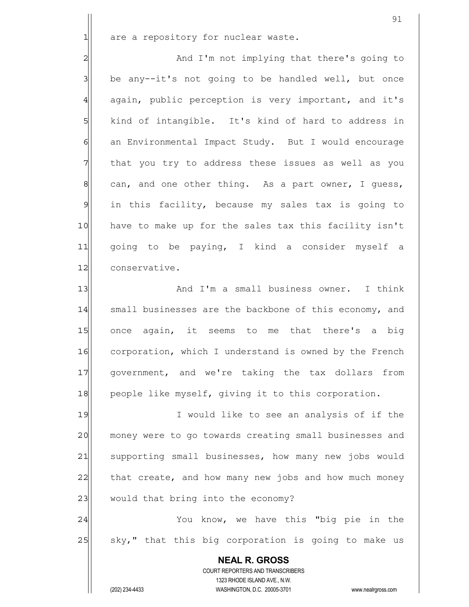$1$  are a repository for nuclear waste.

2| And I'm not implying that there's going to  $3$  be any--it's not going to be handled well, but once 4 again, public perception is very important, and it's 5| kind of intangible. It's kind of hard to address in 6 6 6 an Environmental Impact Study. But I would encourage  $7$  that you try to address these issues as well as you  $8$  can, and one other thing. As a part owner, I guess, 9 in this facility, because my sales tax is going to 10 have to make up for the sales tax this facility isn't 11 qoing to be paying, I kind a consider myself a 12 conservative.

13 and I'm a small business owner. I think 14 small businesses are the backbone of this economy, and 15 once again, it seems to me that there's a big 16 corporation, which I understand is owned by the French 17 government, and we're taking the tax dollars from 18 people like myself, giving it to this corporation.

19 I would like to see an analysis of if the 20 money were to go towards creating small businesses and 21 supporting small businesses, how many new jobs would  $22$  that create, and how many new jobs and how much money 23 would that bring into the economy?

24 You know, we have this "big pie in the 25 | sky," that this big corporation is going to make us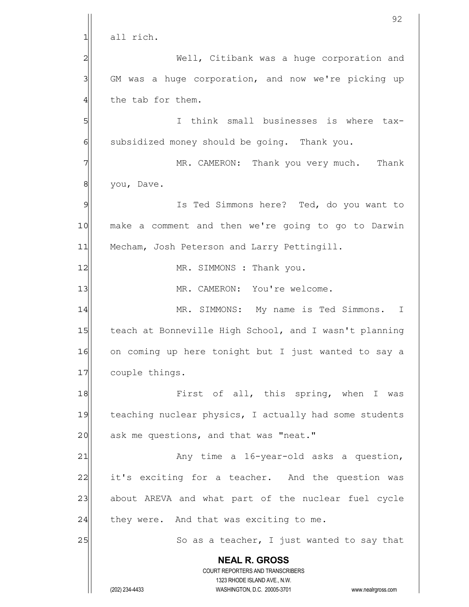|                | 92                                                                  |
|----------------|---------------------------------------------------------------------|
| $\mathbf{1}$   | all rich.                                                           |
| $\overline{c}$ | Well, Citibank was a huge corporation and                           |
| 3              | GM was a huge corporation, and now we're picking up                 |
| $\overline{4}$ | the tab for them.                                                   |
| 5              | think small businesses is where tax-<br>T.                          |
| 6              | subsidized money should be going. Thank you.                        |
| 7              | MR. CAMERON: Thank you very much. Thank                             |
| 8              | you, Dave.                                                          |
| $\mathcal{Q}$  | Is Ted Simmons here? Ted, do you want to                            |
| 10             | make a comment and then we're going to go to Darwin                 |
| 11             | Mecham, Josh Peterson and Larry Pettingill.                         |
| 12             | MR. SIMMONS : Thank you.                                            |
| 13             | MR. CAMERON: You're welcome.                                        |
| 14             | MR. SIMMONS: My name is Ted Simmons.<br>$\mathbb{I}$                |
| 15             | teach at Bonneville High School, and I wasn't planning              |
| 16             | on coming up here tonight but I just wanted to say a                |
| 17             | couple things.                                                      |
| 18             | First of all, this spring, when I was                               |
| 19             | teaching nuclear physics, I actually had some students              |
| 20             | ask me questions, and that was "neat."                              |
| 21             | Any time a 16-year-old asks a question,                             |
| 22             | it's exciting for a teacher. And the question was                   |
| 23             | about AREVA and what part of the nuclear fuel cycle                 |
| 24             | they were. And that was exciting to me.                             |
| 25             | So as a teacher, I just wanted to say that                          |
|                | <b>NEAL R. GROSS</b><br><b>COURT REPORTERS AND TRANSCRIBERS</b>     |
|                | 1323 RHODE ISLAND AVE., N.W.                                        |
|                | (202) 234-4433<br>WASHINGTON, D.C. 20005-3701<br>www.nealrgross.com |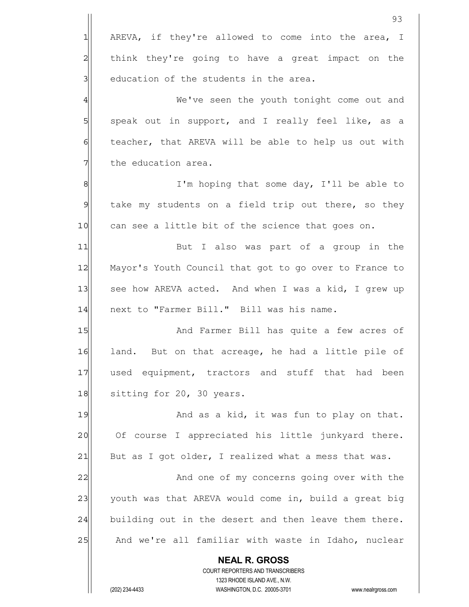|                | 93                                                                  |
|----------------|---------------------------------------------------------------------|
| $\mathbf{1}$   | AREVA, if they're allowed to come into the area, I                  |
| $\overline{c}$ | think they're going to have a great impact on the                   |
| 3              | education of the students in the area.                              |
| $\overline{4}$ | We've seen the youth tonight come out and                           |
| 5              | speak out in support, and I really feel like, as a                  |
| 6              | teacher, that AREVA will be able to help us out with                |
| 7              | the education area.                                                 |
| $\,8\,$        | I'm hoping that some day, I'll be able to                           |
| $\mathfrak{S}$ | take my students on a field trip out there, so they                 |
| 10             | can see a little bit of the science that goes on.                   |
| 11             | But I also was part of a group in the                               |
| 12             | Mayor's Youth Council that got to go over to France to              |
| 13             | see how AREVA acted. And when I was a kid, I grew up                |
| 14             | next to "Farmer Bill." Bill was his name.                           |
| 15             | And Farmer Bill has quite a few acres of                            |
| 16             | land. But on that acreage, he had a little pile of                  |
| 17             | used equipment, tractors and stuff that had been                    |
| 18             | sitting for 20, 30 years.                                           |
| 19             | And as a kid, it was fun to play on that.                           |
| 20             | Of course I appreciated his little junkyard there.                  |
| 21             | But as I got older, I realized what a mess that was.                |
| 22             | And one of my concerns going over with the                          |
| 23             | youth was that AREVA would come in, build a great big               |
| 24             | building out in the desert and then leave them there.               |
| 25             | And we're all familiar with waste in Idaho, nuclear                 |
|                | <b>NEAL R. GROSS</b><br>COURT REPORTERS AND TRANSCRIBERS            |
|                | 1323 RHODE ISLAND AVE., N.W.                                        |
|                | (202) 234-4433<br>WASHINGTON, D.C. 20005-3701<br>www.nealrgross.com |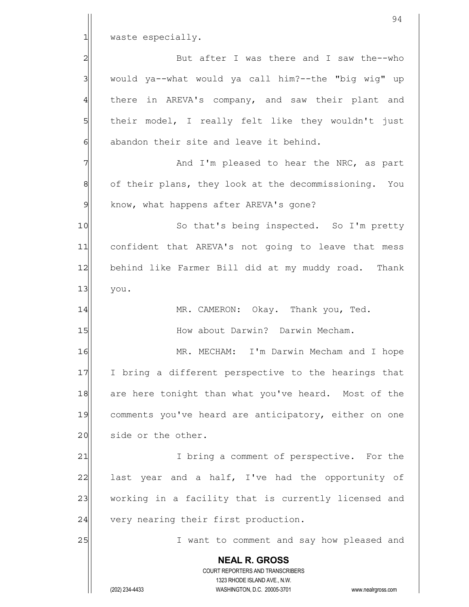|                | 94                                                                                                  |
|----------------|-----------------------------------------------------------------------------------------------------|
| 1              | waste especially.                                                                                   |
| $\overline{c}$ | But after I was there and I saw the--who                                                            |
| 3              | would ya--what would ya call him?--the "big wig" up                                                 |
| $\overline{4}$ | there in AREVA's company, and saw their plant and                                                   |
| 5              | their model, I really felt like they wouldn't just                                                  |
| 6              | abandon their site and leave it behind.                                                             |
| 7              | And I'm pleased to hear the NRC, as part                                                            |
| 8              | of their plans, they look at the decommissioning. You                                               |
| $\mathcal{Q}$  | know, what happens after AREVA's gone?                                                              |
| 10             | So that's being inspected. So I'm pretty                                                            |
| 11             | confident that AREVA's not going to leave that mess                                                 |
| 12             | behind like Farmer Bill did at my muddy road. Thank                                                 |
| 13             | you.                                                                                                |
| 14             | MR. CAMERON: Okay. Thank you, Ted.                                                                  |
| 15             | How about Darwin? Darwin Mecham.                                                                    |
| 16             | I'm Darwin Mecham and I hope<br>MR. MECHAM:                                                         |
| 17             | I bring a different perspective to the hearings that                                                |
| 18             | are here tonight than what you've heard. Most of the                                                |
| 19             | comments you've heard are anticipatory, either on one                                               |
| 20             | side or the other.                                                                                  |
| 21             | I bring a comment of perspective. For the                                                           |
| 22             | last year and a half, I've had the opportunity of                                                   |
| 23             | working in a facility that is currently licensed and                                                |
| 24             | very nearing their first production.                                                                |
| 25             | I want to comment and say how pleased and                                                           |
|                | <b>NEAL R. GROSS</b>                                                                                |
|                | COURT REPORTERS AND TRANSCRIBERS                                                                    |
|                | 1323 RHODE ISLAND AVE., N.W.<br>(202) 234-4433<br>WASHINGTON, D.C. 20005-3701<br>www.nealrgross.com |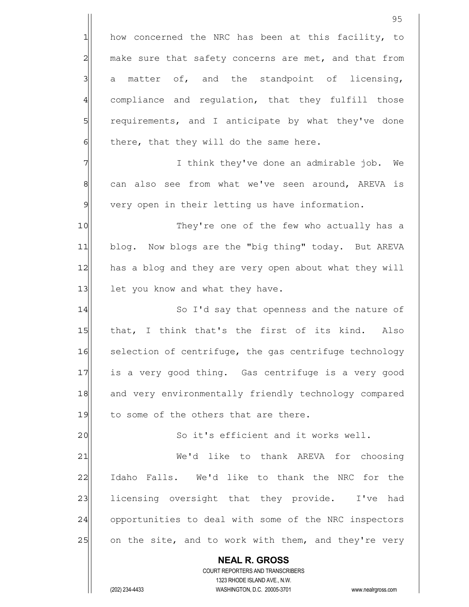**NEAL R. GROSS** COURT REPORTERS AND TRANSCRIBERS 1323 RHODE ISLAND AVE., N.W. 1 how concerned the NRC has been at this facility, to 2 make sure that safety concerns are met, and that from  $3$  a matter of, and the standpoint of licensing, 4 compliance and regulation, that they fulfill those 5 5 5 5 requirements, and I anticipate by what they've done  $6$  there, that they will do the same here. 7 | Think they've done an admirable job. We 8 can also see from what we've seen around, AREVA is  $9$  very open in their letting us have information. 10 They're one of the few who actually has a 11 blog. Now blogs are the "big thing" today. But AREVA 12 has a blog and they are very open about what they will 13 let you know and what they have. 14 So I'd say that openness and the nature of 15 that, I think that's the first of its kind. Also 16 selection of centrifuge, the gas centrifuge technology 17 is a very good thing. Gas centrifuge is a very good 18 and very environmentally friendly technology compared 19 to some of the others that are there. 20 So it's efficient and it works well. 21 We'd like to thank AREVA for choosing 22 Idaho Falls. We'd like to thank the NRC for the 23 licensing oversight that they provide. I've had 24 opportunities to deal with some of the NRC inspectors 25 on the site, and to work with them, and they're very

(202) 234-4433 WASHINGTON, D.C. 20005-3701 www.nealrgross.com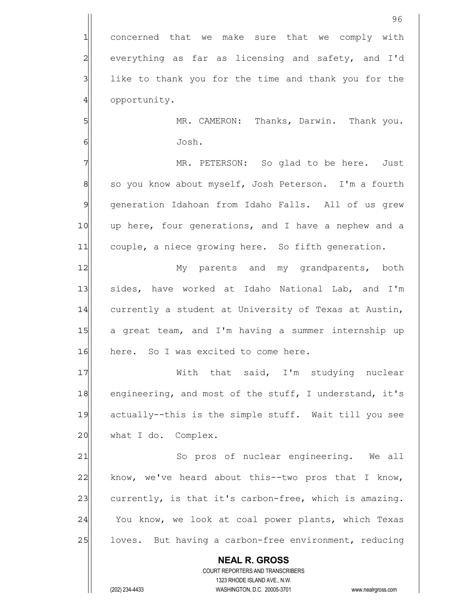1 concerned that we make sure that we comply with 2 everything as far as licensing and safety, and I'd 3 1 like to thank you for the time and thank you for the 4 opportunity.

5 | MR. CAMERON: Thanks, Darwin. Thank you. 6 Josh.

96

7 MR. PETERSON: So glad to be here. Just 8 so you know about myself, Josh Peterson. I'm a fourth 9 generation Idahoan from Idaho Falls. All of us grew 10 | up here, four generations, and I have a nephew and a 11 couple, a niece growing here. So fifth generation.

12 My parents and my grandparents, both 13 sides, have worked at Idaho National Lab, and I'm 14 currently a student at University of Texas at Austin, 15 a great team, and I'm having a summer internship up 16 here. So I was excited to come here.

17 With that said, I'm studying nuclear 18 engineering, and most of the stuff, I understand, it's 19 actually--this is the simple stuff. Wait till you see  $20$  what I do. Complex.

21 So pros of nuclear engineering. We all  $22$  know, we've heard about this--two pros that I know, 23 currently, is that it's carbon-free, which is amazing. 24 You know, we look at coal power plants, which Texas 25 loves. But having a carbon-free environment, reducing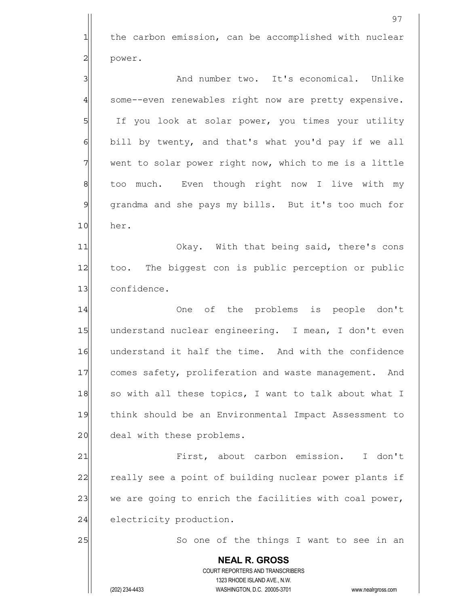**NEAL R. GROSS** COURT REPORTERS AND TRANSCRIBERS 1323 RHODE ISLAND AVE., N.W. 97 1 the carbon emission, can be accomplished with nuclear 2 power. 3 and number two. It's economical. Unlike 4 some--even renewables right now are pretty expensive. 5 If you look at solar power, you times your utility 6 bill by twenty, and that's what you'd pay if we all  $7$  went to solar power right now, which to me is a little 8 | too much. Even though right now I live with my 9 grandma and she pays my bills. But it's too much for 10 her. 11| Okay. With that being said, there's cons 12 too. The biggest con is public perception or public 13 confidence. 14 One of the problems is people don't 15 understand nuclear engineering. I mean, I don't even 16 understand it half the time. And with the confidence 17 comes safety, proliferation and waste management. And 18 so with all these topics, I want to talk about what I 19 think should be an Environmental Impact Assessment to 20 deal with these problems. 21 | First, about carbon emission. I don't 22 really see a point of building nuclear power plants if 23 we are going to enrich the facilities with coal power, 24 electricity production. 25 | So one of the things I want to see in an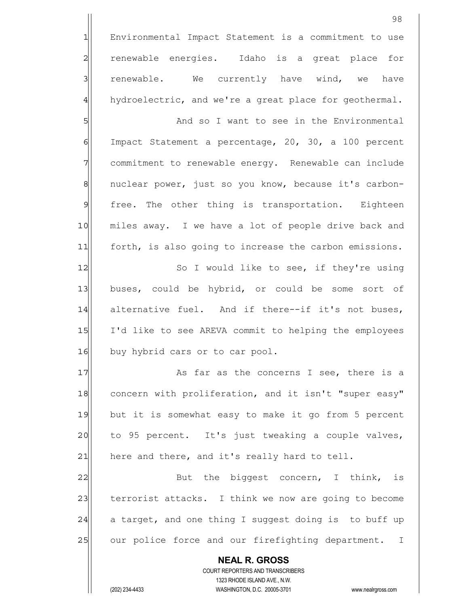1 Environmental Impact Statement is a commitment to use 2 renewable energies. Idaho is a great place for 3 3 renewable. We currently have wind, we have 4 hydroelectric, and we're a great place for geothermal.

5 S 6 Impact Statement a percentage, 20, 30, a 100 percent 7 commitment to renewable energy. Renewable can include 8 | nuclear power, just so you know, because it's carbon-9 free. The other thing is transportation. Eighteen 10 miles away. I we have a lot of people drive back and 11 forth, is also going to increase the carbon emissions.

12 So I would like to see, if they're using 13 buses, could be hybrid, or could be some sort of 14 alternative fuel. And if there--if it's not buses, 15 I'd like to see AREVA commit to helping the employees 16 buy hybrid cars or to car pool.

17 and 17 As far as the concerns I see, there is a 18 concern with proliferation, and it isn't "super easy" 19 but it is somewhat easy to make it go from 5 percent  $20$  to 95 percent. It's just tweaking a couple valves,  $21$  here and there, and it's really hard to tell.

22 But the biggest concern, I think, is 23 terrorist attacks. I think we now are going to become  $24$  a target, and one thing I suggest doing is to buff up 25 our police force and our firefighting department. I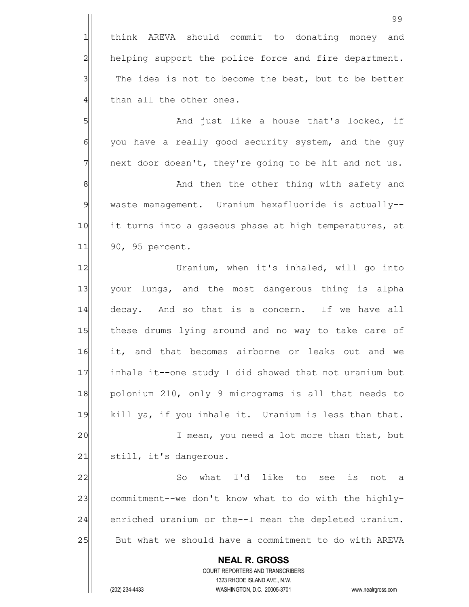**NEAL R. GROSS** COURT REPORTERS AND TRANSCRIBERS 1323 RHODE ISLAND AVE., N.W. 99 1 think AREVA should commit to donating money and 2 helping support the police force and fire department.  $3$  The idea is not to become the best, but to be better 4 than all the other ones. 5 Solution and just like a house that's locked, if 6 6 you have a really good security system, and the guy  $7$  next door doesn't, they're going to be hit and not us. 8|| And then the other thing with safety and 9 waste management. Uranium hexafluoride is actually--10 it turns into a gaseous phase at high temperatures, at 11 90, 95 percent. 12 Vranium, when it's inhaled, will go into 13 your lungs, and the most dangerous thing is alpha 14 decay. And so that is a concern. If we have all 15 these drums lying around and no way to take care of 16 it, and that becomes airborne or leaks out and we 17 inhale it--one study I did showed that not uranium but 18 polonium 210, only 9 micrograms is all that needs to 19 kill ya, if you inhale it. Uranium is less than that. 20 I mean, you need a lot more than that, but 21 still, it's dangerous. 22 So what I'd like to see is not a 23 commitment--we don't know what to do with the highly-24 enriched uranium or the--I mean the depleted uranium. 25 But what we should have a commitment to do with AREVA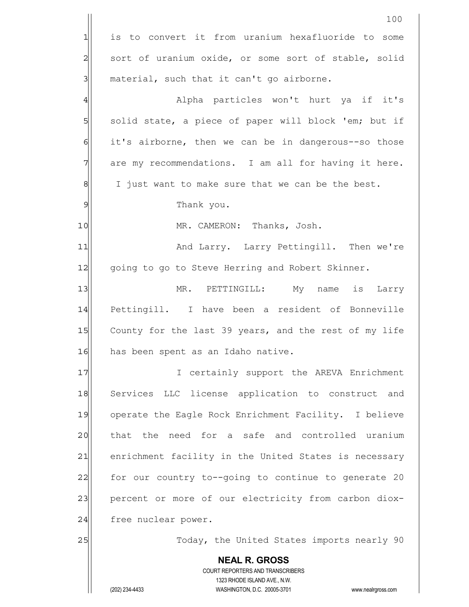|                | 100                                                                 |
|----------------|---------------------------------------------------------------------|
| 긔              | is to convert it from uranium hexafluoride to some                  |
| $\overline{a}$ | sort of uranium oxide, or some sort of stable, solid                |
| 3              | material, such that it can't go airborne.                           |
| $\overline{4}$ | Alpha particles won't hurt ya if it's                               |
| $\overline{5}$ | solid state, a piece of paper will block 'em; but if                |
| $\epsilon$     | it's airborne, then we can be in dangerous--so those                |
| 7              | are my recommendations. I am all for having it here.                |
| 8              | I just want to make sure that we can be the best.                   |
| $\overline{9}$ | Thank you.                                                          |
| 10             | MR. CAMERON: Thanks, Josh.                                          |
| 11             | And Larry. Larry Pettingill. Then we're                             |
| 12             | going to go to Steve Herring and Robert Skinner.                    |
| 13             | MR. PETTINGILL: My name is Larry                                    |
| 14             | Pettingill. I have been a resident of Bonneville                    |
| 15             | County for the last 39 years, and the rest of my life               |
| 16             | has been spent as an Idaho native.                                  |
| 17             | I certainly support the AREVA Enrichment                            |
| 18             | Services LLC license application to construct and                   |
| 19             | operate the Eagle Rock Enrichment Facility. I believe               |
| 20             | that the need for a safe and controlled uranium                     |
| 21             | enrichment facility in the United States is necessary               |
| 22             | for our country to--going to continue to generate 20                |
| 23             | percent or more of our electricity from carbon diox-                |
| 24             | free nuclear power.                                                 |
| 25             | Today, the United States imports nearly 90                          |
|                | <b>NEAL R. GROSS</b>                                                |
|                | COURT REPORTERS AND TRANSCRIBERS<br>1323 RHODE ISLAND AVE., N.W.    |
|                | (202) 234-4433<br>WASHINGTON, D.C. 20005-3701<br>www.nealrgross.com |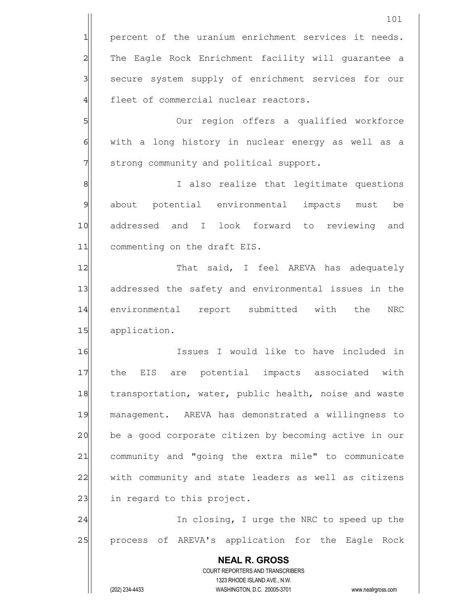**NEAL R. GROSS** COURT REPORTERS AND TRANSCRIBERS 1323 RHODE ISLAND AVE., N.W. (202) 234-4433 WASHINGTON, D.C. 20005-3701 www.nealrgross.com 101 1 percent of the uranium enrichment services it needs. 2 The Eagle Rock Enrichment facility will guarantee a 3 | secure system supply of enrichment services for our 4 fleet of commercial nuclear reactors. 5 Solut region offers a qualified workforce 6 6 6 with a long history in nuclear energy as well as a 7 31 71 strong community and political support. 8 8 8 I also realize that legitimate questions 9 about potential environmental impacts must be 10 addressed and I look forward to reviewing and 11 commenting on the draft EIS. 12 That said, I feel AREVA has adequately 13 addressed the safety and environmental issues in the 14 environmental report submitted with the NRC 15 application. 16 Issues I would like to have included in 17 | the EIS are potential impacts associated with 18 transportation, water, public health, noise and waste 19 management. AREVA has demonstrated a willingness to 20 be a good corporate citizen by becoming active in our 21 community and "going the extra mile" to communicate 22 with community and state leaders as well as citizens 23 in regard to this project. 24 and In closing, I urge the NRC to speed up the 25 | process of AREVA's application for the Eagle Rock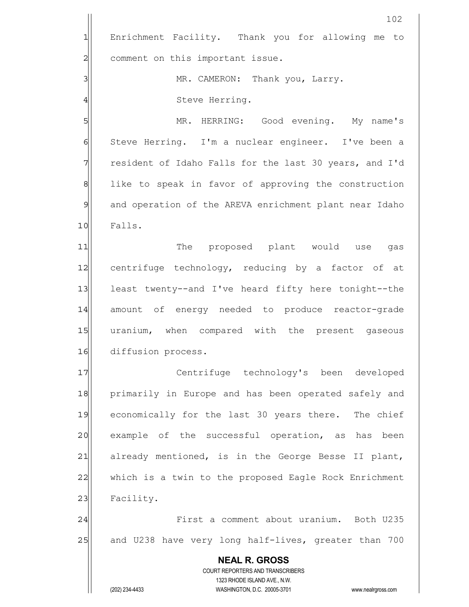|                | 102                                                                 |
|----------------|---------------------------------------------------------------------|
| $\mathbf 1$    | Enrichment Facility. Thank you for allowing me to                   |
| $\overline{c}$ | comment on this important issue.                                    |
| 3              | MR. CAMERON: Thank you, Larry.                                      |
| 4              | Steve Herring.                                                      |
| 5              | MR. HERRING: Good evening. My name's                                |
| $\epsilon$     | Steve Herring. I'm a nuclear engineer. I've been a                  |
| 7              | resident of Idaho Falls for the last 30 years, and I'd              |
| 8              | like to speak in favor of approving the construction                |
| $\overline{9}$ | and operation of the AREVA enrichment plant near Idaho              |
| 10             | Falls.                                                              |
| 11             | The proposed plant would use<br>gas                                 |
| 12             | centrifuge technology, reducing by a factor of at                   |
| 13             | least twenty--and I've heard fifty here tonight--the                |
| 14             | amount of energy needed to produce reactor-grade                    |
| 15             | uranium, when compared with the present gaseous                     |
| 16             | diffusion process.                                                  |
| 17             | Centrifuge technology's been developed                              |
| 18             | primarily in Europe and has been operated safely and                |
| 19             | economically for the last 30 years there. The chief                 |
| 20             | example of the successful operation, as has been                    |
| 21             | already mentioned, is in the George Besse II plant,                 |
| 22             | which is a twin to the proposed Eagle Rock Enrichment               |
| 23             | Facility.                                                           |
| 24             | First a comment about uranium. Both U235                            |
| 25             | and U238 have very long half-lives, greater than 700                |
|                | <b>NEAL R. GROSS</b>                                                |
|                | COURT REPORTERS AND TRANSCRIBERS<br>1323 RHODE ISLAND AVE., N.W.    |
|                | (202) 234-4433<br>WASHINGTON, D.C. 20005-3701<br>www.nealrgross.com |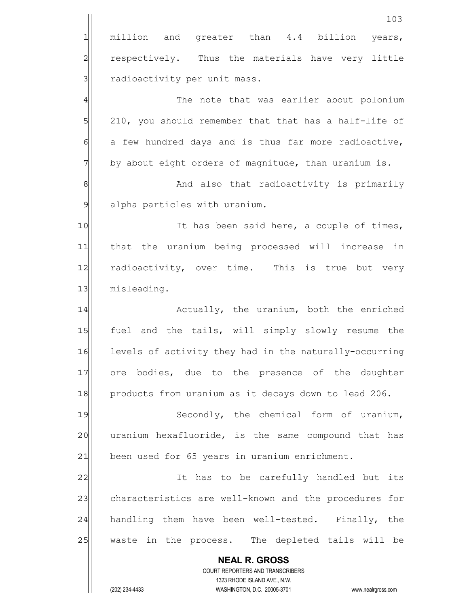|                | 103                                                                                                 |
|----------------|-----------------------------------------------------------------------------------------------------|
| $\mathbf{1}$   | million and greater than 4.4 billion<br>years,                                                      |
| $\overline{c}$ | respectively. Thus the materials have very little                                                   |
| 3              | radioactivity per unit mass.                                                                        |
| $\overline{4}$ | The note that was earlier about polonium                                                            |
| 5              | 210, you should remember that that has a half-life of                                               |
| 6              | a few hundred days and is thus far more radioactive,                                                |
| 7              | by about eight orders of magnitude, than uranium is.                                                |
| 8              | And also that radioactivity is primarily                                                            |
| $\overline{9}$ | alpha particles with uranium.                                                                       |
| 10             | It has been said here, a couple of times,                                                           |
| 11             | that the uranium being processed will increase in                                                   |
| 12             | radioactivity, over time. This is true but very                                                     |
| 13             | misleading.                                                                                         |
| 14             | Actually, the uranium, both the enriched                                                            |
| 15             | fuel and the tails, will simply slowly resume the                                                   |
| 16             | levels of activity they had in the naturally-occurring                                              |
| 17             | ore bodies, due to the presence of the daughter                                                     |
| 18             | products from uranium as it decays down to lead 206.                                                |
| 19             | Secondly, the chemical form of uranium,                                                             |
| 20             | uranium hexafluoride, is the same compound that has                                                 |
| 21             | been used for 65 years in uranium enrichment.                                                       |
| 22             | It has to be carefully handled but its                                                              |
| 23             | characteristics are well-known and the procedures for                                               |
| 24             | handling them have been well-tested. Finally, the                                                   |
| 25             | waste in the process. The depleted tails will be                                                    |
|                | <b>NEAL R. GROSS</b>                                                                                |
|                | COURT REPORTERS AND TRANSCRIBERS                                                                    |
|                | 1323 RHODE ISLAND AVE., N.W.<br>(202) 234-4433<br>WASHINGTON, D.C. 20005-3701<br>www.nealrgross.com |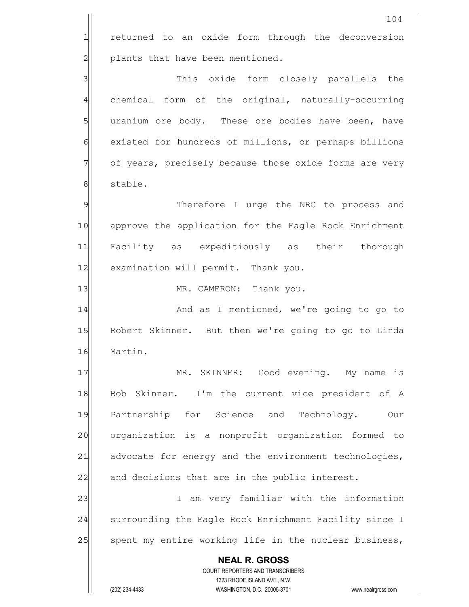**NEAL R. GROSS** COURT REPORTERS AND TRANSCRIBERS 1323 RHODE ISLAND AVE., N.W. (202) 234-4433 WASHINGTON, D.C. 20005-3701 www.nealrgross.com 104 1 returned to an oxide form through the deconversion 2 plants that have been mentioned. 3 3 3 This oxide form closely parallels the 4 chemical form of the original, naturally-occurring 5 s 5 b uranium ore body. These ore bodies have been, have 6 6 existed for hundreds of millions, or perhaps billions 7 of years, precisely because those oxide forms are very 8 stable. 9 9 Therefore I urge the NRC to process and 10 approve the application for the Eagle Rock Enrichment 11 Facility as expeditiously as their thorough 12 examination will permit. Thank you. 13 | MR. CAMERON: Thank you. 14 and as I mentioned, we're going to go to 15 Robert Skinner. But then we're going to go to Linda 16 Martin. 17 MR. SKINNER: Good evening. My name is 18 Bob Skinner. I'm the current vice president of A 19 Partnership for Science and Technology. Our 20 | organization is a nonprofit organization formed to 21| advocate for energy and the environment technologies, 22 and decisions that are in the public interest. 23 am very familiar with the information 24 surrounding the Eagle Rock Enrichment Facility since I 25 | spent my entire working life in the nuclear business,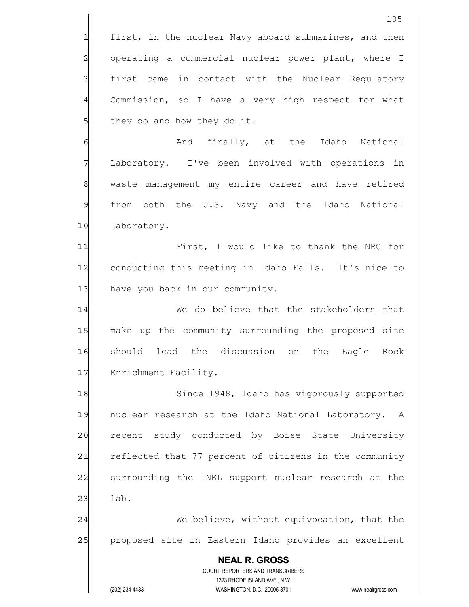**NEAL R. GROSS** COURT REPORTERS AND TRANSCRIBERS 1323 RHODE ISLAND AVE., N.W. 1 first, in the nuclear Navy aboard submarines, and then 2 operating a commercial nuclear power plant, where I 3 | first came in contact with the Nuclear Regulatory 4 Commission, so I have a very high respect for what  $5$  they do and how they do it. 6 And finally, at the Idaho National 7 Laboratory. I've been involved with operations in 8| waste management my entire career and have retired 9 from both the U.S. Navy and the Idaho National 10 Laboratory. 11 First, I would like to thank the NRC for 12 conducting this meeting in Idaho Falls. It's nice to 13 have you back in our community. 14 We do believe that the stakeholders that 15 make up the community surrounding the proposed site 16 should lead the discussion on the Eagle Rock 17 Enrichment Facility. 18 Since 1948, Idaho has vigorously supported 19 | nuclear research at the Idaho National Laboratory. A 20 recent study conducted by Boise State University 21 reflected that 77 percent of citizens in the community 22 surrounding the INEL support nuclear research at the  $23$  lab. 24 We believe, without equivocation, that the 25 proposed site in Eastern Idaho provides an excellent

(202) 234-4433 WASHINGTON, D.C. 20005-3701 www.nealrgross.com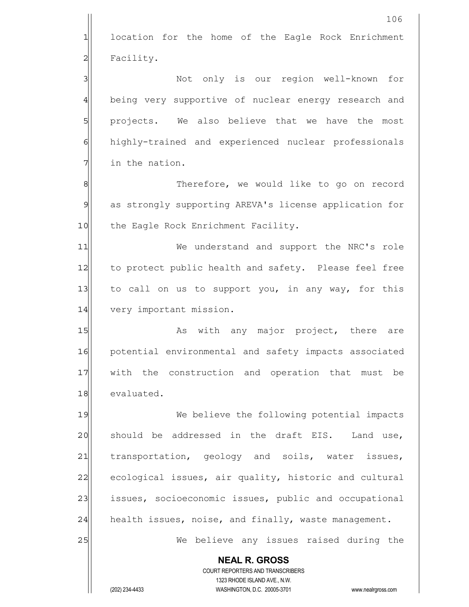|                | 106                                                                 |
|----------------|---------------------------------------------------------------------|
| 1              | location for the home of the Eagle Rock Enrichment                  |
| $\overline{c}$ | Facility.                                                           |
| 3              | Not only is our region well-known<br>for                            |
| $\overline{4}$ | being very supportive of nuclear energy research and                |
| 5              | projects. We also believe that we have the most                     |
| 6              | highly-trained and experienced nuclear professionals                |
| 7              | in the nation.                                                      |
| 8              | Therefore, we would like to go on record                            |
| 9              | as strongly supporting AREVA's license application for              |
| 10             | the Eagle Rock Enrichment Facility.                                 |
| 11             | We understand and support the NRC's role                            |
| 12             | to protect public health and safety. Please feel free               |
| 13             | to call on us to support you, in any way, for this                  |
| 14             | very important mission.                                             |
| 15             | As with any major project, there<br>are                             |
| 16             | potential environmental and safety impacts associated               |
| 17             | with the construction and operation that must be                    |
| 18             | evaluated.                                                          |
| 19             | We believe the following potential impacts                          |
| 20             | should be addressed in the draft EIS. Land use,                     |
| 21             | transportation, geology and soils, water issues,                    |
| 22             | ecological issues, air quality, historic and cultural               |
| 23             | issues, socioeconomic issues, public and occupational               |
| 24             | health issues, noise, and finally, waste management.                |
| 25             | We believe any issues raised during the                             |
|                | <b>NEAL R. GROSS</b>                                                |
|                | COURT REPORTERS AND TRANSCRIBERS<br>1323 RHODE ISLAND AVE., N.W.    |
|                | (202) 234-4433<br>WASHINGTON, D.C. 20005-3701<br>www.nealrgross.com |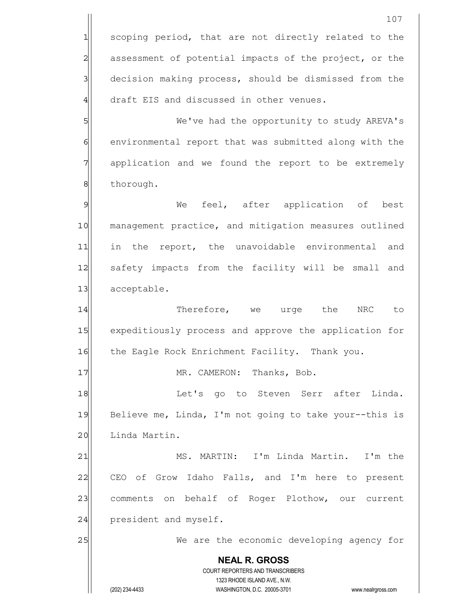**NEAL R. GROSS** COURT REPORTERS AND TRANSCRIBERS 1323 RHODE ISLAND AVE., N.W. (202) 234-4433 WASHINGTON, D.C. 20005-3701 www.nealrgross.com 107 1 scoping period, that are not directly related to the 2 assessment of potential impacts of the project, or the 3 decision making process, should be dismissed from the 4 draft EIS and discussed in other venues. 5 We've had the opportunity to study AREVA's 6 6 6 6 environmental report that was submitted along with the 7 application and we found the report to be extremely 8 | thorough. 9 We feel, after application of best 10 management practice, and mitigation measures outlined 11 in the report, the unavoidable environmental and 12 safety impacts from the facility will be small and 13 acceptable. 14 Therefore, we urge the NRC to 15 expeditiously process and approve the application for 16 the Eagle Rock Enrichment Facility. Thank you. 17 MR. CAMERON: Thanks, Bob. 18 and Let's go to Steven Serr after Linda. 19 Believe me, Linda, I'm not going to take your--this is 20 Linda Martin. 21 MS. MARTIN: I'm Linda Martin. I'm the 22 CEO of Grow Idaho Falls, and I'm here to present 23 comments on behalf of Roger Plothow, our current  $24$  president and myself. 25 We are the economic developing agency for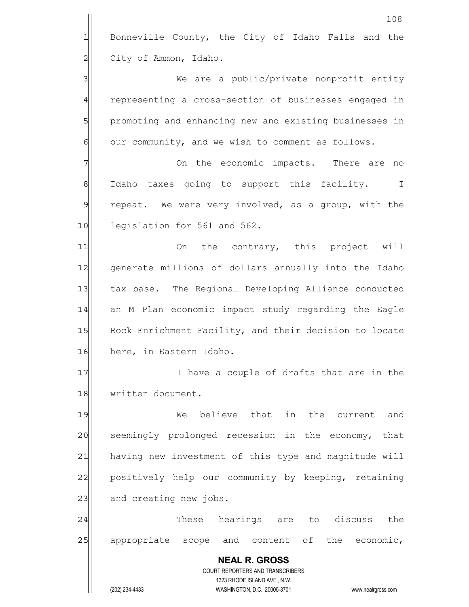**NEAL R. GROSS** COURT REPORTERS AND TRANSCRIBERS 1323 RHODE ISLAND AVE., N.W. (202) 234-4433 WASHINGTON, D.C. 20005-3701 www.nealrgross.com 108 1 Bonneville County, the City of Idaho Falls and the 2 City of Ammon, Idaho. 3 We are a public/private nonprofit entity 4 representing a cross-section of businesses engaged in 5 promoting and enhancing new and existing businesses in  $6$  our community, and we wish to comment as follows. 7 7 On the economic impacts. There are no 8 Idaho taxes going to support this facility. I  $9$  repeat. We were very involved, as a group, with the 10 legislation for 561 and 562. 11 On the contrary, this project will 12 generate millions of dollars annually into the Idaho 13 tax base. The Regional Developing Alliance conducted 14 an M Plan economic impact study regarding the Eagle 15 Rock Enrichment Facility, and their decision to locate 16 here, in Eastern Idaho. 17 I have a couple of drafts that are in the 18 written document. 19 We believe that in the current and 20 seemingly prolonged recession in the economy, that 21 having new investment of this type and magnitude will 22 positively help our community by keeping, retaining 23 and creating new jobs. 24 and these hearings are to discuss the 25 appropriate scope and content of the economic,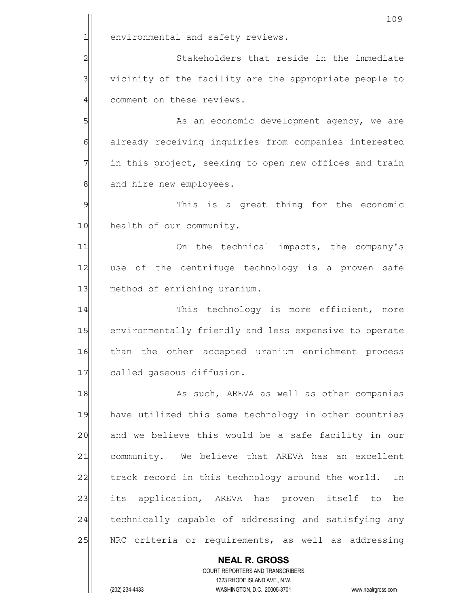|              | 109                                                                 |
|--------------|---------------------------------------------------------------------|
| 1            | environmental and safety reviews.                                   |
| 2            | Stakeholders that reside in the immediate                           |
| 3            | vicinity of the facility are the appropriate people to              |
| 4            | comment on these reviews.                                           |
| 5            | As an economic development agency, we are                           |
| 6            | already receiving inquiries from companies interested               |
| 7            | in this project, seeking to open new offices and train              |
| 8            | and hire new employees.                                             |
| $\mathsf{S}$ | This is a great thing for the economic                              |
| 10           | health of our community.                                            |
| 11           | On the technical impacts, the company's                             |
| 12           | use of the centrifuge technology is a proven safe                   |
| 13           | method of enriching uranium.                                        |
| 14           | This technology is more efficient, more                             |
| 15           | environmentally friendly and less expensive to operate              |
| 16           | than the other accepted uranium enrichment process                  |
| 17           | called gaseous diffusion.                                           |
| 18           | As such, AREVA as well as other companies                           |
| 19           | have utilized this same technology in other countries               |
| 20           | and we believe this would be a safe facility in our                 |
| 21           | community. We believe that AREVA has an excellent                   |
| 22           | track record in this technology around the world.<br>In             |
| 23           | its application, AREVA has proven itself to be                      |
| 24           | technically capable of addressing and satisfying any                |
| 25           | NRC criteria or requirements, as well as addressing                 |
|              | <b>NEAL R. GROSS</b>                                                |
|              | COURT REPORTERS AND TRANSCRIBERS<br>1323 RHODE ISLAND AVE., N.W.    |
|              | (202) 234-4433<br>WASHINGTON, D.C. 20005-3701<br>www.nealrgross.com |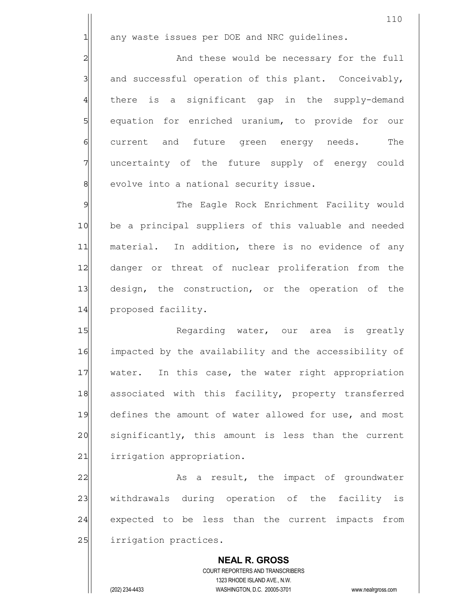$1$  any waste issues per DOE and NRC quidelines.

2 and these would be necessary for the full  $3$  and successful operation of this plant. Conceivably, 4 there is a significant gap in the supply-demand 5 | equation for enriched uranium, to provide for our 6 current and future green energy needs. The 7 7 uncertainty of the future supply of energy could 8 evolve into a national security issue.

9 Solution The Eagle Rock Enrichment Facility would 10| be a principal suppliers of this valuable and needed 11 material. In addition, there is no evidence of any 12 danger or threat of nuclear proliferation from the 13 design, the construction, or the operation of the 14 proposed facility.

15 Regarding water, our area is greatly 16 impacted by the availability and the accessibility of 17 water. In this case, the water right appropriation 18 associated with this facility, property transferred 19 defines the amount of water allowed for use, and most 20 significantly, this amount is less than the current 21 irrigation appropriation.

22 As a result, the impact of groundwater 23 | withdrawals during operation of the facility is 24 expected to be less than the current impacts from 25 irrigation practices.

 **NEAL R. GROSS** COURT REPORTERS AND TRANSCRIBERS 1323 RHODE ISLAND AVE., N.W. (202) 234-4433 WASHINGTON, D.C. 20005-3701 www.nealrgross.com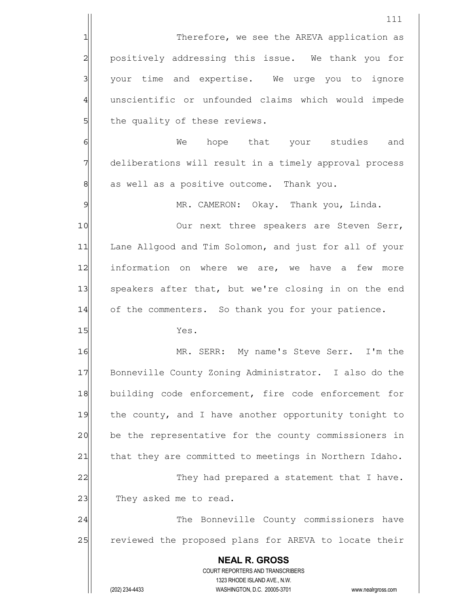|                | 111                                                                 |
|----------------|---------------------------------------------------------------------|
| 1              | Therefore, we see the AREVA application as                          |
| $\overline{c}$ | positively addressing this issue. We thank you for                  |
| $\mathbf{3}$   | your time and expertise. We urge you to ignore                      |
| $\overline{4}$ | unscientific or unfounded claims which would impede                 |
| 5              | the quality of these reviews.                                       |
| 6              | hope that your studies<br>We<br>and                                 |
| 7              | deliberations will result in a timely approval process              |
| 8              | as well as a positive outcome. Thank you.                           |
| $\overline{9}$ | MR. CAMERON: Okay. Thank you, Linda.                                |
| 10             | Our next three speakers are Steven Serr,                            |
| 11             | Lane Allgood and Tim Solomon, and just for all of your              |
| 12             | information on where we are, we have a few<br>more                  |
| 13             | speakers after that, but we're closing in on the end                |
| 14             | of the commenters. So thank you for your patience.                  |
| 15             | Yes.                                                                |
| 16             | MR. SERR: My name's Steve Serr. I'm the                             |
| 17             | Bonneville County Zoning Administrator. I also do the               |
| 18             | building code enforcement, fire code enforcement for                |
| 19             | the county, and I have another opportunity tonight to               |
| 20             | be the representative for the county commissioners in               |
| 21             | that they are committed to meetings in Northern Idaho.              |
| 22             | They had prepared a statement that I have.                          |
| 23             | They asked me to read.                                              |
| 24             | The Bonneville County commissioners have                            |
| 25             | reviewed the proposed plans for AREVA to locate their               |
|                | <b>NEAL R. GROSS</b>                                                |
|                | COURT REPORTERS AND TRANSCRIBERS<br>1323 RHODE ISLAND AVE., N.W.    |
|                | (202) 234-4433<br>WASHINGTON, D.C. 20005-3701<br>www.nealrgross.com |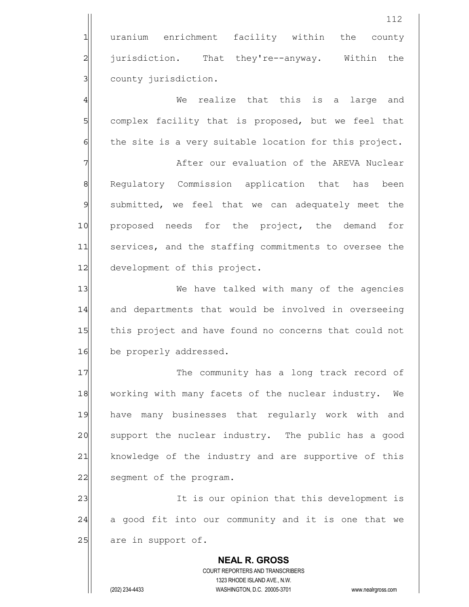1 uranium enrichment facility within the county 2 <sup>jurisdiction.</sup> That they're--anyway. Within the 3 | county jurisdiction.

4 and the mealize that this is a large and 5 Somplex facility that is proposed, but we feel that 6 the site is a very suitable location for this project.

7 The Contraction of the AREVA Nuclear 8 Regulatory Commission application that has been 9 submitted, we feel that we can adequately meet the 10 proposed needs for the project, the demand for 11 services, and the staffing commitments to oversee the 12 development of this project.

13 We have talked with many of the agencies 14 and departments that would be involved in overseeing 15 this project and have found no concerns that could not 16 be properly addressed.

17 The community has a long track record of 18 working with many facets of the nuclear industry. We 19 have many businesses that reqularly work with and 20 support the nuclear industry. The public has a good 21 | knowledge of the industry and are supportive of this 22 seqment of the program.

23 and 1 It is our opinion that this development is 24 a good fit into our community and it is one that we  $25$  are in support of.

 **NEAL R. GROSS** COURT REPORTERS AND TRANSCRIBERS 1323 RHODE ISLAND AVE., N.W. (202) 234-4433 WASHINGTON, D.C. 20005-3701 www.nealrgross.com

112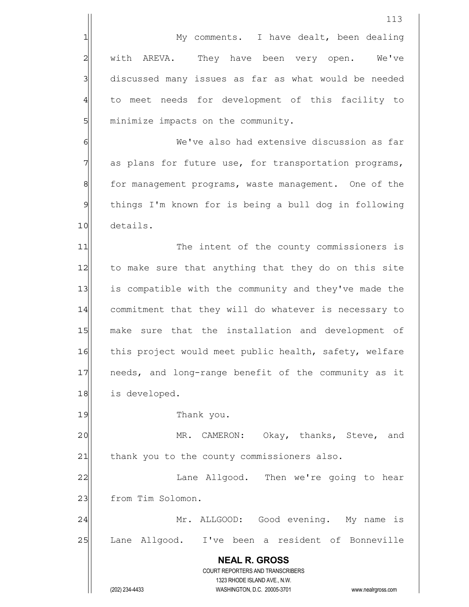|                                                                                                                                                                                                                                                                                                                                                                                                                                                          | 113                                                                                                 |
|----------------------------------------------------------------------------------------------------------------------------------------------------------------------------------------------------------------------------------------------------------------------------------------------------------------------------------------------------------------------------------------------------------------------------------------------------------|-----------------------------------------------------------------------------------------------------|
| 1                                                                                                                                                                                                                                                                                                                                                                                                                                                        | My comments. I have dealt, been dealing                                                             |
| $\overline{c}$                                                                                                                                                                                                                                                                                                                                                                                                                                           | AREVA. They have been very open. We've<br>with                                                      |
| 3                                                                                                                                                                                                                                                                                                                                                                                                                                                        | discussed many issues as far as what would be needed                                                |
| $\frac{4}{3}$                                                                                                                                                                                                                                                                                                                                                                                                                                            | to meet needs for development of this facility to                                                   |
| $5\overline{)}$                                                                                                                                                                                                                                                                                                                                                                                                                                          | minimize impacts on the community.                                                                  |
| $\epsilon$                                                                                                                                                                                                                                                                                                                                                                                                                                               | We've also had extensive discussion as far                                                          |
| 7                                                                                                                                                                                                                                                                                                                                                                                                                                                        | as plans for future use, for transportation programs,                                               |
| 8                                                                                                                                                                                                                                                                                                                                                                                                                                                        | for management programs, waste management. One of the                                               |
| $\mathsf{S}% _{T}=\mathsf{S}_{T}\!\left( a,b\right) ,\mathsf{S}_{T}=\mathsf{S}_{T}\!\left( a,b\right) ,\mathsf{S}_{T}=\mathsf{S}_{T}\!\left( a,b\right) ,\mathsf{S}_{T}=\mathsf{S}_{T}\!\left( a,b\right) ,\mathsf{S}_{T}=\mathsf{S}_{T}\!\left( a,b\right) ,\mathsf{S}_{T}=\mathsf{S}_{T}\!\left( a,b\right) ,\mathsf{S}_{T}=\mathsf{S}_{T}\!\left( a,b\right) ,\mathsf{S}_{T}=\mathsf{S}_{T}\!\left( a,b\right) ,\mathsf{S}_{T}=\mathsf{S}_{T}\!\left$ | things I'm known for is being a bull dog in following                                               |
| 10                                                                                                                                                                                                                                                                                                                                                                                                                                                       | details.                                                                                            |
| 11                                                                                                                                                                                                                                                                                                                                                                                                                                                       | The intent of the county commissioners is                                                           |
| 12                                                                                                                                                                                                                                                                                                                                                                                                                                                       | to make sure that anything that they do on this site                                                |
| 13                                                                                                                                                                                                                                                                                                                                                                                                                                                       | is compatible with the community and they've made the                                               |
| 14                                                                                                                                                                                                                                                                                                                                                                                                                                                       | commitment that they will do whatever is necessary to                                               |
| 15                                                                                                                                                                                                                                                                                                                                                                                                                                                       | make sure that the installation and development of                                                  |
| 16                                                                                                                                                                                                                                                                                                                                                                                                                                                       | this project would meet public health, safety, welfare                                              |
| 17                                                                                                                                                                                                                                                                                                                                                                                                                                                       | needs, and long-range benefit of the community as it                                                |
| 18                                                                                                                                                                                                                                                                                                                                                                                                                                                       | is developed.                                                                                       |
| 19                                                                                                                                                                                                                                                                                                                                                                                                                                                       | Thank you.                                                                                          |
| 20                                                                                                                                                                                                                                                                                                                                                                                                                                                       | MR. CAMERON: Okay, thanks, Steve, and                                                               |
| 21                                                                                                                                                                                                                                                                                                                                                                                                                                                       | thank you to the county commissioners also.                                                         |
| 22                                                                                                                                                                                                                                                                                                                                                                                                                                                       | Lane Allgood. Then we're going to hear                                                              |
| 23                                                                                                                                                                                                                                                                                                                                                                                                                                                       | from Tim Solomon.                                                                                   |
| 24                                                                                                                                                                                                                                                                                                                                                                                                                                                       | Mr. ALLGOOD: Good evening. My name is                                                               |
| 25                                                                                                                                                                                                                                                                                                                                                                                                                                                       | Lane Allgood. I've been a resident of Bonneville                                                    |
|                                                                                                                                                                                                                                                                                                                                                                                                                                                          | <b>NEAL R. GROSS</b>                                                                                |
|                                                                                                                                                                                                                                                                                                                                                                                                                                                          | COURT REPORTERS AND TRANSCRIBERS                                                                    |
|                                                                                                                                                                                                                                                                                                                                                                                                                                                          | 1323 RHODE ISLAND AVE., N.W.<br>(202) 234-4433<br>WASHINGTON, D.C. 20005-3701<br>www.nealrgross.com |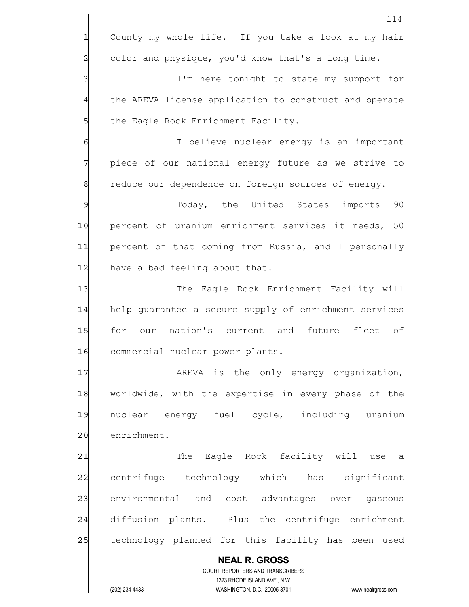|                | 114                                                                 |
|----------------|---------------------------------------------------------------------|
| $\mathbf 1$    | County my whole life. If you take a look at my hair                 |
| $\overline{c}$ | color and physique, you'd know that's a long time.                  |
| 3              | I'm here tonight to state my support for                            |
| 4              | the AREVA license application to construct and operate              |
| 5              | the Eagle Rock Enrichment Facility.                                 |
| 6              | I believe nuclear energy is an important                            |
| 7              | piece of our national energy future as we strive to                 |
| $\mathbf 8$    | reduce our dependence on foreign sources of energy.                 |
| $\mathfrak{S}$ | Today, the United States<br>imports 90                              |
| 10             | percent of uranium enrichment services it needs, 50                 |
| 11             | percent of that coming from Russia, and I personally                |
| 12             | have a bad feeling about that.                                      |
| 13             | The Eagle Rock Enrichment Facility will                             |
| 14             | help guarantee a secure supply of enrichment services               |
| 15             | our nation's current and<br>for<br>future<br>fleet of               |
| 16             | commercial nuclear power plants.                                    |
| 17             | AREVA is the only energy organization,                              |
| 18             | worldwide, with the expertise in every phase of the                 |
| 19             | nuclear energy fuel cycle, including uranium                        |
| 20             | enrichment.                                                         |
| 21             | The Eagle Rock facility will use a                                  |
| 22             | centrifuge technology which has significant                         |
| 23             | environmental and cost advantages over gaseous                      |
| 24             | diffusion plants. Plus the centrifuge enrichment                    |
| 25             | technology planned for this facility has been used                  |
|                | <b>NEAL R. GROSS</b>                                                |
|                | COURT REPORTERS AND TRANSCRIBERS<br>1323 RHODE ISLAND AVE., N.W.    |
|                | (202) 234-4433<br>WASHINGTON, D.C. 20005-3701<br>www.nealrgross.com |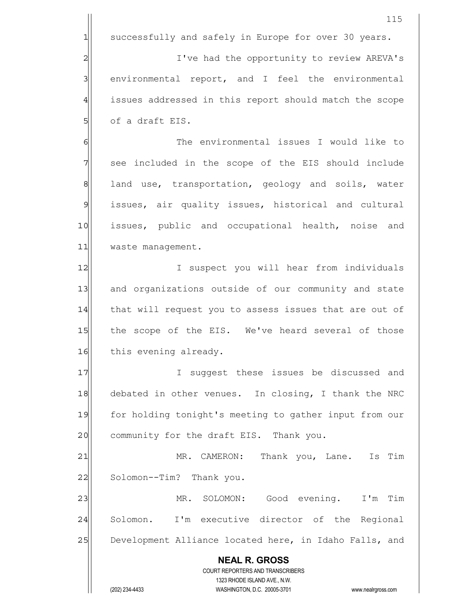**NEAL R. GROSS** COURT REPORTERS AND TRANSCRIBERS 1323 RHODE ISLAND AVE., N.W. (202) 234-4433 WASHINGTON, D.C. 20005-3701 www.nealrgross.com 115 1 successfully and safely in Europe for over 30 years. 2 2 I've had the opportunity to review AREVA's 3 | environmental report, and I feel the environmental 4 issues addressed in this report should match the scope  $5$  of a draft EIS. 6 6 KN GI CHA The environmental issues I would like to 7 see included in the scope of the EIS should include 8 8 land use, transportation, geology and soils, water 9 issues, air quality issues, historical and cultural 10 issues, public and occupational health, noise and 11 waste management. 12 I suspect you will hear from individuals 13 and organizations outside of our community and state 14 that will request you to assess issues that are out of 15 the scope of the EIS. We've heard several of those 16 this evening already. 17|| Suggest these issues be discussed and 18 debated in other venues. In closing, I thank the NRC 19 for holding tonight's meeting to gather input from our 20 community for the draft EIS. Thank you. 21 MR. CAMERON: Thank you, Lane. Is Tim 22 Solomon--Tim? Thank you. 23 MR. SOLOMON: Good evening. I'm Tim 24 Solomon. I'm executive director of the Regional 25 Development Alliance located here, in Idaho Falls, and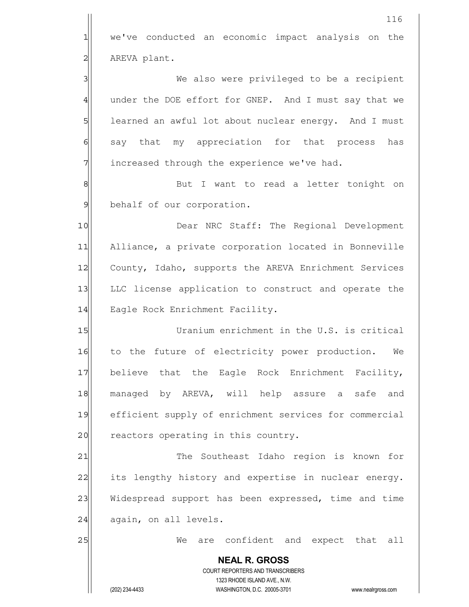|                 | 116                                                                 |
|-----------------|---------------------------------------------------------------------|
| $\mathbf{1}$    | we've conducted an economic impact analysis on the                  |
| $\overline{c}$  | AREVA plant.                                                        |
| 3               | We also were privileged to be a recipient                           |
| $\overline{4}$  | under the DOE effort for GNEP. And I must say that we               |
| $5\overline{)}$ | learned an awful lot about nuclear energy. And I must               |
| $\epsilon$      | say that my appreciation for that process<br>has                    |
| 7               | increased through the experience we've had.                         |
| $\,8\,$         | But I want to read a letter tonight on                              |
| $\mathfrak{S}$  | behalf of our corporation.                                          |
| 10              | Dear NRC Staff: The Regional Development                            |
| 11              | Alliance, a private corporation located in Bonneville               |
| 12              | County, Idaho, supports the AREVA Enrichment Services               |
| 13              | LLC license application to construct and operate the                |
| 14              | Eagle Rock Enrichment Facility.                                     |
| 15              | Uranium enrichment in the U.S. is critical                          |
| 16              | to the future of electricity power production.<br>We                |
| 17              | believe that the Eagle Rock Enrichment Facility,                    |
| 18              | managed by AREVA, will help assure a safe and                       |
| 19              | efficient supply of enrichment services for commercial              |
| 20              | reactors operating in this country.                                 |
| 21              | The Southeast Idaho region is known for                             |
| 22              | its lengthy history and expertise in nuclear energy.                |
| 23              | Widespread support has been expressed, time and time                |
| 24              | again, on all levels.                                               |
| 25              | are confident and expect that all<br>We                             |
|                 | <b>NEAL R. GROSS</b>                                                |
|                 | COURT REPORTERS AND TRANSCRIBERS<br>1323 RHODE ISLAND AVE., N.W.    |
|                 | (202) 234-4433<br>WASHINGTON, D.C. 20005-3701<br>www.nealrgross.com |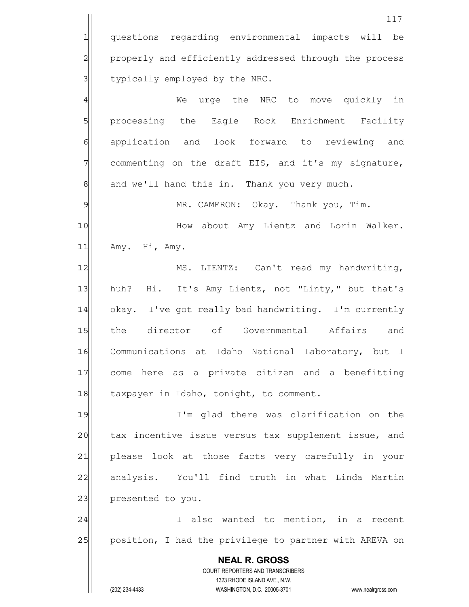**NEAL R. GROSS** COURT REPORTERS AND TRANSCRIBERS 1323 RHODE ISLAND AVE., N.W. (202) 234-4433 WASHINGTON, D.C. 20005-3701 www.nealrgross.com 117 1 questions regarding environmental impacts will be 2 properly and efficiently addressed through the process 3 1 stypically employed by the NRC. 4 We urge the NRC to move quickly in 5 | processing the Eagle Rock Enrichment Facility 6 application and look forward to reviewing and 7 commenting on the draft EIS, and it's my signature, 8 8 and we'll hand this in. Thank you very much. 9 MR. CAMERON: Okay. Thank you, Tim. 10 How about Amy Lientz and Lorin Walker. 11 Amy. Hi, Amy. 12 MS. LIENTZ: Can't read my handwriting, 13 huh? Hi. It's Amy Lientz, not "Linty," but that's 14 okay. I've got really bad handwriting. I'm currently 15 the director of Governmental Affairs and 16 Communications at Idaho National Laboratory, but I 17 come here as a private citizen and a benefitting 18 taxpayer in Idaho, tonight, to comment. 19 I'm glad there was clarification on the 20 tax incentive issue versus tax supplement issue, and 21 please look at those facts very carefully in your 22 analysis. You'll find truth in what Linda Martin 23 presented to you. 24 and 1 also wanted to mention, in a recent 25 position, I had the privilege to partner with AREVA on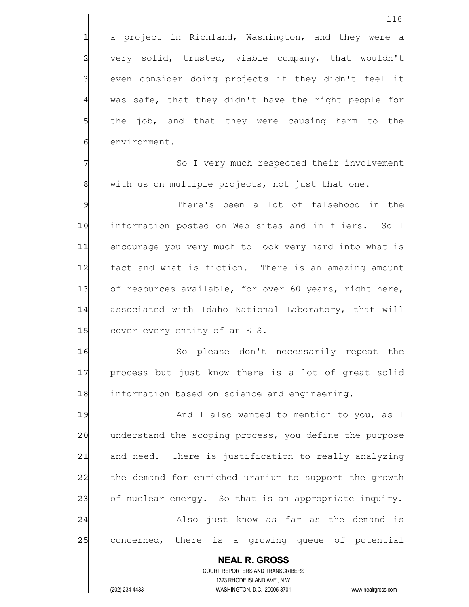1 a project in Richland, Washington, and they were a  $2$  very solid, trusted, viable company, that wouldn't 3 | even consider doing projects if they didn't feel it  $4$  was safe, that they didn't have the right people for 5 5 5 the job, and that they were causing harm to the 6 environment.

7 3 7 So I very much respected their involvement 8 with us on multiple projects, not just that one.

9 9 There's been a lot of falsehood in the 10| information posted on Web sites and in fliers. So I 11 encourage you very much to look very hard into what is 12 fact and what is fiction. There is an amazing amount 13 of resources available, for over 60 years, right here, 14 associated with Idaho National Laboratory, that will 15 cover every entity of an EIS.

16 So please don't necessarily repeat the 17 | process but just know there is a lot of great solid 18 information based on science and engineering.

19 And I also wanted to mention to you, as I 20 understand the scoping process, you define the purpose 21 and need. There is justification to really analyzing 22 the demand for enriched uranium to support the growth 23 of nuclear energy. So that is an appropriate inquiry. 24 also just know as far as the demand is 25 concerned, there is a growing queue of potential

 COURT REPORTERS AND TRANSCRIBERS 1323 RHODE ISLAND AVE., N.W. (202) 234-4433 WASHINGTON, D.C. 20005-3701 www.nealrgross.com

 **NEAL R. GROSS**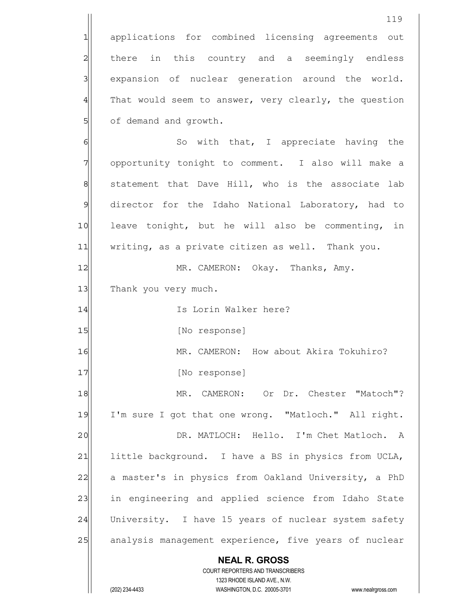**NEAL R. GROSS** COURT REPORTERS AND TRANSCRIBERS 1323 RHODE ISLAND AVE., N.W. 119 1 applications for combined licensing agreements out 2 all there in this country and a seemingly endless 3 3 expansion of nuclear generation around the world.  $4$  That would seem to answer, very clearly, the question 5 of demand and growth. 6 6 So with that, I appreciate having the 7 opportunity tonight to comment. I also will make a 8 statement that Dave Hill, who is the associate lab 9 director for the Idaho National Laboratory, had to 10 leave tonight, but he will also be commenting, in 11 writing, as a private citizen as well. Thank you. 12 MR. CAMERON: Okay. Thanks, Amy. 13 Thank you very much. 14 Is Lorin Walker here? 15 [No response] 16 MR. CAMERON: How about Akira Tokuhiro? 17 [No response] 18 MR. CAMERON: Or Dr. Chester "Matoch"? 19 I'm sure I got that one wrong. "Matloch." All right. 20 DR. MATLOCH: Hello. I'm Chet Matloch. A 21 little background. I have a BS in physics from UCLA, 22 a master's in physics from Oakland University, a PhD 23 in engineering and applied science from Idaho State 24 University. I have 15 years of nuclear system safety 25 analysis management experience, five years of nuclear

(202) 234-4433 WASHINGTON, D.C. 20005-3701 www.nealrgross.com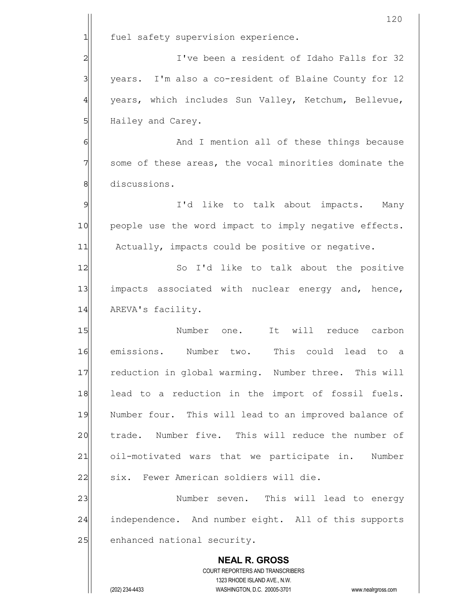|                | 120                                                                     |
|----------------|-------------------------------------------------------------------------|
| 1              | fuel safety supervision experience.                                     |
| $\overline{c}$ | I've been a resident of Idaho Falls for 32                              |
| 3              | years. I'm also a co-resident of Blaine County for 12                   |
| $\overline{4}$ | years, which includes Sun Valley, Ketchum, Bellevue,                    |
| 5              | Hailey and Carey.                                                       |
| 6              | And I mention all of these things because                               |
| 7              | some of these areas, the vocal minorities dominate the                  |
| 8              | discussions.                                                            |
| $\mathcal{Q}$  | I'd like to talk about impacts. Many                                    |
| 10             | people use the word impact to imply negative effects.                   |
| 11             | Actually, impacts could be positive or negative.                        |
| 12             | So I'd like to talk about the positive                                  |
| 13             | impacts associated with nuclear energy and, hence,                      |
| 14             | AREVA's facility.                                                       |
| 15             | Number one.<br>It will reduce carbon                                    |
| 16             | emissions. Number two.<br>This could lead to a                          |
| 17             | reduction in global warming. Number three. This will                    |
| 18             | lead to a reduction in the import of fossil fuels.                      |
| 19             | Number four. This will lead to an improved balance of                   |
| 20             | trade. Number five. This will reduce the number of                      |
| 21             | oil-motivated wars that we participate in.<br>Number                    |
| 22             | six. Fewer American soldiers will die.                                  |
| 23             | Number seven. This will lead to energy                                  |
| 24             | independence. And number eight. All of this supports                    |
| 25             | enhanced national security.                                             |
|                | <b>NEAL R. GROSS</b>                                                    |
|                | <b>COURT REPORTERS AND TRANSCRIBERS</b><br>1323 RHODE ISLAND AVE., N.W. |
|                | (202) 234-4433<br>WASHINGTON, D.C. 20005-3701<br>www.nealrgross.com     |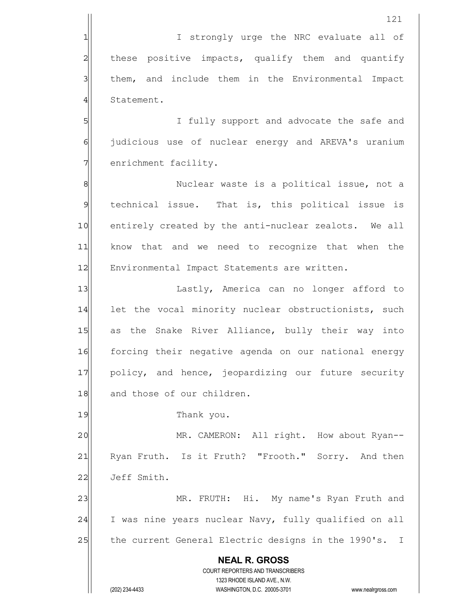1 1 I strongly urge the NRC evaluate all of 2 all these positive impacts, qualify them and quantify 3 3 | them, and include them in the Environmental Impact 4 Statement.

5 SI I fully support and advocate the safe and 6 6 judicious use of nuclear energy and AREVA's uranium 7 enrichment facility.

8 8 Nuclear waste is a political issue, not a 9 technical issue. That is, this political issue is 10 entirely created by the anti-nuclear zealots. We all 11 know that and we need to recognize that when the 12 Environmental Impact Statements are written.

13 | Lastly, America can no longer afford to 14 let the vocal minority nuclear obstructionists, such 15 as the Snake River Alliance, bully their way into 16 forcing their negative agenda on our national energy 17 policy, and hence, jeopardizing our future security 18 and those of our children.

19 Thank you.

20 MR. CAMERON: All right. How about Ryan--21 Ryan Fruth. Is it Fruth? "Frooth." Sorry. And then 22 Jeff Smith.

23 MR. FRUTH: Hi. My name's Ryan Fruth and 24 I was nine years nuclear Navy, fully qualified on all 25 the current General Electric designs in the 1990's. I

 **NEAL R. GROSS** COURT REPORTERS AND TRANSCRIBERS 1323 RHODE ISLAND AVE., N.W. (202) 234-4433 WASHINGTON, D.C. 20005-3701 www.nealrgross.com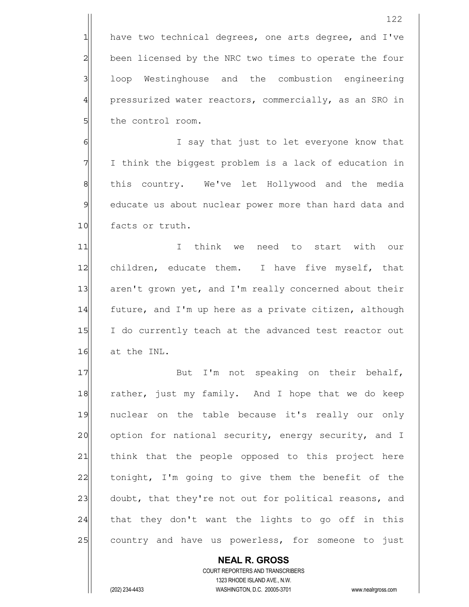$1$  have two technical degrees, one arts degree, and I've 2 been licensed by the NRC two times to operate the four 3 loop Westinghouse and the combustion engineering 4 pressurized water reactors, commercially, as an SRO in 5 5 5 blue control room.

6 6 I say that just to let everyone know that 7 I think the biggest problem is a lack of education in 8 8 this country. We've let Hollywood and the media 9 educate us about nuclear power more than hard data and 10 facts or truth.

11 I I think we need to start with our 12 children, educate them. I have five myself, that 13 aren't grown yet, and I'm really concerned about their 14 $\vert$  future, and I'm up here as a private citizen, although 15 I do currently teach at the advanced test reactor out 16 at the INL.

17 But I'm not speaking on their behalf, 18 rather, just my family. And I hope that we do keep 19 nuclear on the table because it's really our only 20 option for national security, energy security, and I 21 think that the people opposed to this project here  $22$  tonight, I'm going to give them the benefit of the 23 doubt, that they're not out for political reasons, and  $24$  that they don't want the lights to go off in this 25 country and have us powerless, for someone to just

 **NEAL R. GROSS** COURT REPORTERS AND TRANSCRIBERS 1323 RHODE ISLAND AVE., N.W. (202) 234-4433 WASHINGTON, D.C. 20005-3701 www.nealrgross.com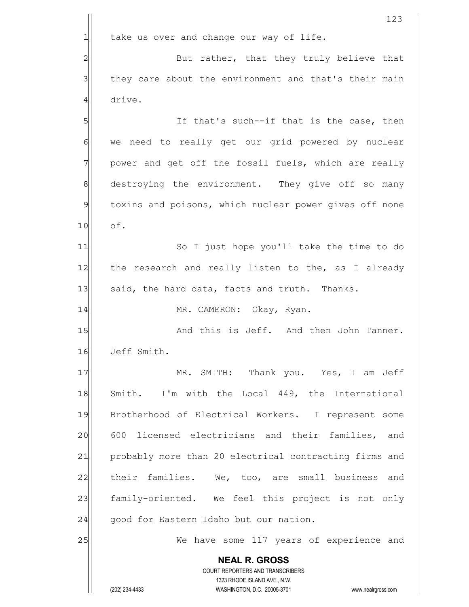**NEAL R. GROSS** COURT REPORTERS AND TRANSCRIBERS 1323 RHODE ISLAND AVE., N.W. (202) 234-4433 WASHINGTON, D.C. 20005-3701 www.nealrgross.com 123  $1$  take us over and change our way of life. 2 But rather, that they truly believe that 3 3 1 they care about the environment and that's their main 4 drive. 5 S 6 6 we need to really get our grid powered by nuclear 7 power and get off the fossil fuels, which are really 8 8 8 destroying the environment. They give off so many 9 toxins and poisons, which nuclear power gives off none 10 of. 11| So I just hope you'll take the time to do 12 the research and really listen to the, as I already 13 said, the hard data, facts and truth. Thanks. 14 MR. CAMERON: Okay, Ryan. 15 and this is Jeff. And then John Tanner. 16 Jeff Smith. 17 MR. SMITH: Thank you. Yes, I am Jeff 18 Smith. I'm with the Local 449, the International 19 Brotherhood of Electrical Workers. I represent some 20 600 licensed electricians and their families, and 21 probably more than 20 electrical contracting firms and 22 | their families. We, too, are small business and 23 family-oriented. We feel this project is not only 24 good for Eastern Idaho but our nation. 25 We have some 117 years of experience and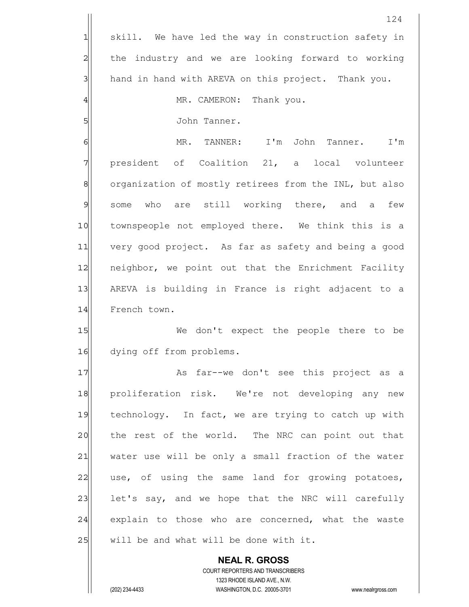|                | 124                                                                 |
|----------------|---------------------------------------------------------------------|
| $\mathbf{1}$   | skill. We have led the way in construction safety in                |
| $\overline{c}$ | the industry and we are looking forward to working                  |
| $\mathsf{3}$   | hand in hand with AREVA on this project. Thank you.                 |
| 4              | MR. CAMERON: Thank you.                                             |
| 5              | John Tanner.                                                        |
| 6              | MR. TANNER: I'm John Tanner. I'm                                    |
| 7              | president of Coalition 21, a local volunteer                        |
| 8              | organization of mostly retirees from the INL, but also              |
| $\mathcal{P}$  | some who are still working there, and a<br>few                      |
| 10             | townspeople not employed there. We think this is a                  |
| 11             | very good project. As far as safety and being a good                |
| 12             | neighbor, we point out that the Enrichment Facility                 |
| 13             | AREVA is building in France is right adjacent to a                  |
| 14             | French town.                                                        |
| 15             | We don't expect the people there to be                              |
| 16             | dying off from problems.                                            |
| 17             | As far--we don't see this project as a                              |
| 18             | proliferation risk. We're not developing any new                    |
| 19             | technology. In fact, we are trying to catch up with                 |
| 20             | the rest of the world. The NRC can point out that                   |
| 21             | water use will be only a small fraction of the water                |
| 22             | use, of using the same land for growing potatoes,                   |
| 23             | let's say, and we hope that the NRC will carefully                  |
| 24             | explain to those who are concerned, what the waste                  |
| 25             | will be and what will be done with it.                              |
|                | <b>NEAL R. GROSS</b>                                                |
|                | COURT REPORTERS AND TRANSCRIBERS<br>1323 RHODE ISLAND AVE., N.W.    |
|                | (202) 234-4433<br>WASHINGTON, D.C. 20005-3701<br>www.nealrgross.com |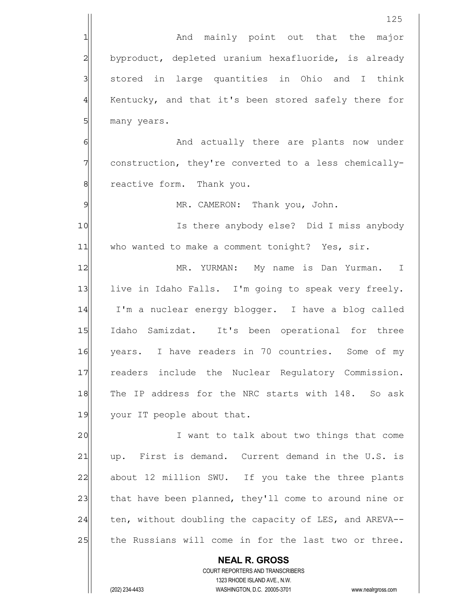|                | 125                                                                                                 |
|----------------|-----------------------------------------------------------------------------------------------------|
| 1              | And mainly point out that the major                                                                 |
| 2              | byproduct, depleted uranium hexafluoride, is already                                                |
| $\mathbf{3}$   | stored in large quantities in Ohio and I think                                                      |
| $\overline{4}$ | Kentucky, and that it's been stored safely there for                                                |
| 5              | many years.                                                                                         |
| 6              | And actually there are plants now under                                                             |
| $\overline{7}$ | construction, they're converted to a less chemically-                                               |
| $\,8\,$        | reactive form. Thank you.                                                                           |
| $\mathcal{Q}$  | MR. CAMERON: Thank you, John.                                                                       |
| 10             | Is there anybody else? Did I miss anybody                                                           |
| 11             | who wanted to make a comment tonight? Yes, sir.                                                     |
| 12             | MR. YURMAN: My name is Dan Yurman. I                                                                |
| 13             | live in Idaho Falls. I'm going to speak very freely.                                                |
| 14             | I'm a nuclear energy blogger. I have a blog called                                                  |
| 15             | Idaho Samizdat. It's been operational for three                                                     |
| 16             | years. I have readers in 70 countries. Some of my                                                   |
| 17             | readers include the Nuclear Regulatory Commission.                                                  |
| 18             | The IP address for the NRC starts with 148. So ask                                                  |
| 19             | your IT people about that.                                                                          |
| 20             | I want to talk about two things that come                                                           |
| 21             | First is demand. Current demand in the U.S. is<br>up.                                               |
| 22             | about 12 million SWU. If you take the three plants                                                  |
| 23             | that have been planned, they'll come to around nine or                                              |
| 24             | ten, without doubling the capacity of LES, and AREVA--                                              |
| 25             | the Russians will come in for the last two or three.                                                |
|                | <b>NEAL R. GROSS</b>                                                                                |
|                | COURT REPORTERS AND TRANSCRIBERS                                                                    |
|                | 1323 RHODE ISLAND AVE., N.W.<br>(202) 234-4433<br>WASHINGTON, D.C. 20005-3701<br>www.nealrgross.com |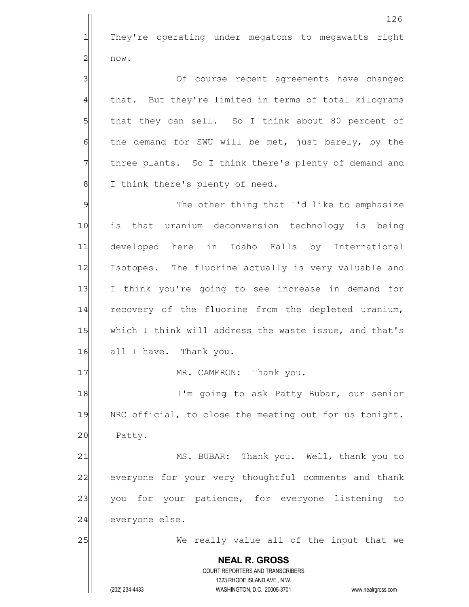**NEAL R. GROSS** COURT REPORTERS AND TRANSCRIBERS 1323 RHODE ISLAND AVE., N.W. (202) 234-4433 WASHINGTON, D.C. 20005-3701 www.nealrgross.com 126 1 They're operating under megatons to megawatts right  $2$  now. 3 3 3 Of course recent agreements have changed 4 that. But they're limited in terms of total kilograms 5 5 5 5 that they can sell. So I think about 80 percent of  $6$  the demand for SWU will be met, just barely, by the 7 The resolution of the the there's plenty of demand and 8| I think there's plenty of need. 9 The other thing that I'd like to emphasize 10 is that uranium deconversion technology is being 11 developed here in Idaho Falls by International 12 Isotopes. The fluorine actually is very valuable and 13 I think you're going to see increase in demand for 14 recovery of the fluorine from the depleted uranium, 15 which I think will address the waste issue, and that's 16 all I have. Thank you. 17 MR. CAMERON: Thank you. 18 I'm going to ask Patty Bubar, our senior 19 NRC official, to close the meeting out for us tonight. 20 Patty. 21 MS. BUBAR: Thank you. Well, thank you to 22 everyone for your very thoughtful comments and thank 23 you for your patience, for everyone listening to 24 everyone else. 25 We really value all of the input that we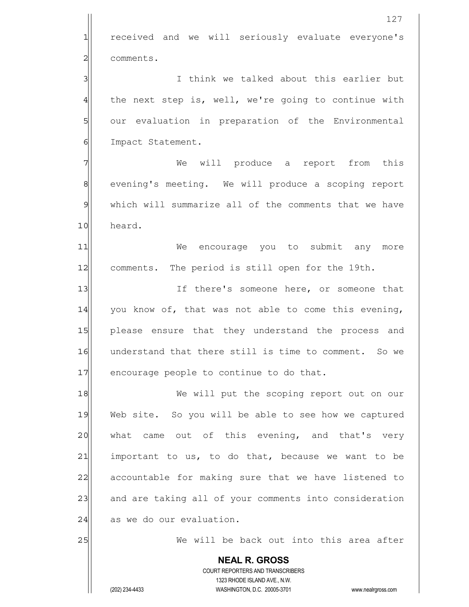|                | 127                                                                     |
|----------------|-------------------------------------------------------------------------|
| $\mathbf{1}$   | received and we will seriously evaluate everyone's                      |
| $\overline{c}$ | comments.                                                               |
| 3              | I think we talked about this earlier but                                |
| $\overline{4}$ | the next step is, well, we're going to continue with                    |
| $5 \mid$       | our evaluation in preparation of the Environmental                      |
| $\epsilon$     | Impact Statement.                                                       |
| 7              | We will produce a report from this                                      |
| 8              | evening's meeting. We will produce a scoping report                     |
| $\mathfrak{S}$ | which will summarize all of the comments that we have                   |
| 10             | heard.                                                                  |
| 11             | We encourage you to submit any more                                     |
| 12             | comments. The period is still open for the 19th.                        |
| 13             | If there's someone here, or someone that                                |
| 14             | you know of, that was not able to come this evening,                    |
| 15             | please ensure that they understand the process and                      |
| 16             | understand that there still is time to comment. So we                   |
| 17             | encourage people to continue to do that.                                |
| 18             | We will put the scoping report out on our                               |
| 19             | Web site. So you will be able to see how we captured                    |
| 20             | came out of this evening, and that's very<br>what                       |
| 21             | important to us, to do that, because we want to be                      |
| 22             | accountable for making sure that we have listened to                    |
| 23             | and are taking all of your comments into consideration                  |
| 24             | as we do our evaluation.                                                |
| 25             | We will be back out into this area after                                |
|                | <b>NEAL R. GROSS</b>                                                    |
|                | <b>COURT REPORTERS AND TRANSCRIBERS</b><br>1323 RHODE ISLAND AVE., N.W. |
|                | (202) 234-4433<br>WASHINGTON, D.C. 20005-3701<br>www.nealrgross.com     |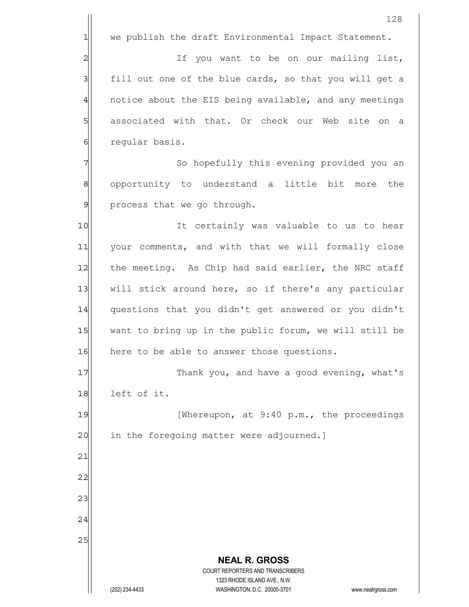|                | 128                                                                                                 |
|----------------|-----------------------------------------------------------------------------------------------------|
| 1              | we publish the draft Environmental Impact Statement.                                                |
| $\overline{c}$ | If you want to be on our mailing list,                                                              |
| 3              | fill out one of the blue cards, so that you will get a                                              |
| $\overline{4}$ | notice about the EIS being available, and any meetings                                              |
| 5              | associated with that. Or check our Web site on a                                                    |
| 6              | regular basis.                                                                                      |
| 7              | So hopefully this evening provided you an                                                           |
| 8              | opportunity to understand a little bit more<br>the                                                  |
| 9              | process that we go through.                                                                         |
| 10             | It certainly was valuable to us to hear                                                             |
| 11             | your comments, and with that we will formally close                                                 |
| 12             | the meeting. As Chip had said earlier, the NRC staff                                                |
| 13             | will stick around here, so if there's any particular                                                |
| 14             | questions that you didn't get answered or you didn't                                                |
| 15             | want to bring up in the public forum, we will still be                                              |
| 16             | here to be able to answer those questions.                                                          |
| 17             | Thank you, and have a good evening, what's                                                          |
| 18             | left of it.                                                                                         |
| 19             | [Whereupon, at 9:40 p.m., the proceedings                                                           |
| 20             | in the foregoing matter were adjourned.]                                                            |
| 21             |                                                                                                     |
| 22             |                                                                                                     |
| 23             |                                                                                                     |
| 24             |                                                                                                     |
| 25             |                                                                                                     |
|                | <b>NEAL R. GROSS</b>                                                                                |
|                | <b>COURT REPORTERS AND TRANSCRIBERS</b>                                                             |
|                | 1323 RHODE ISLAND AVE., N.W.<br>(202) 234-4433<br>WASHINGTON, D.C. 20005-3701<br>www.nealrgross.com |
|                |                                                                                                     |